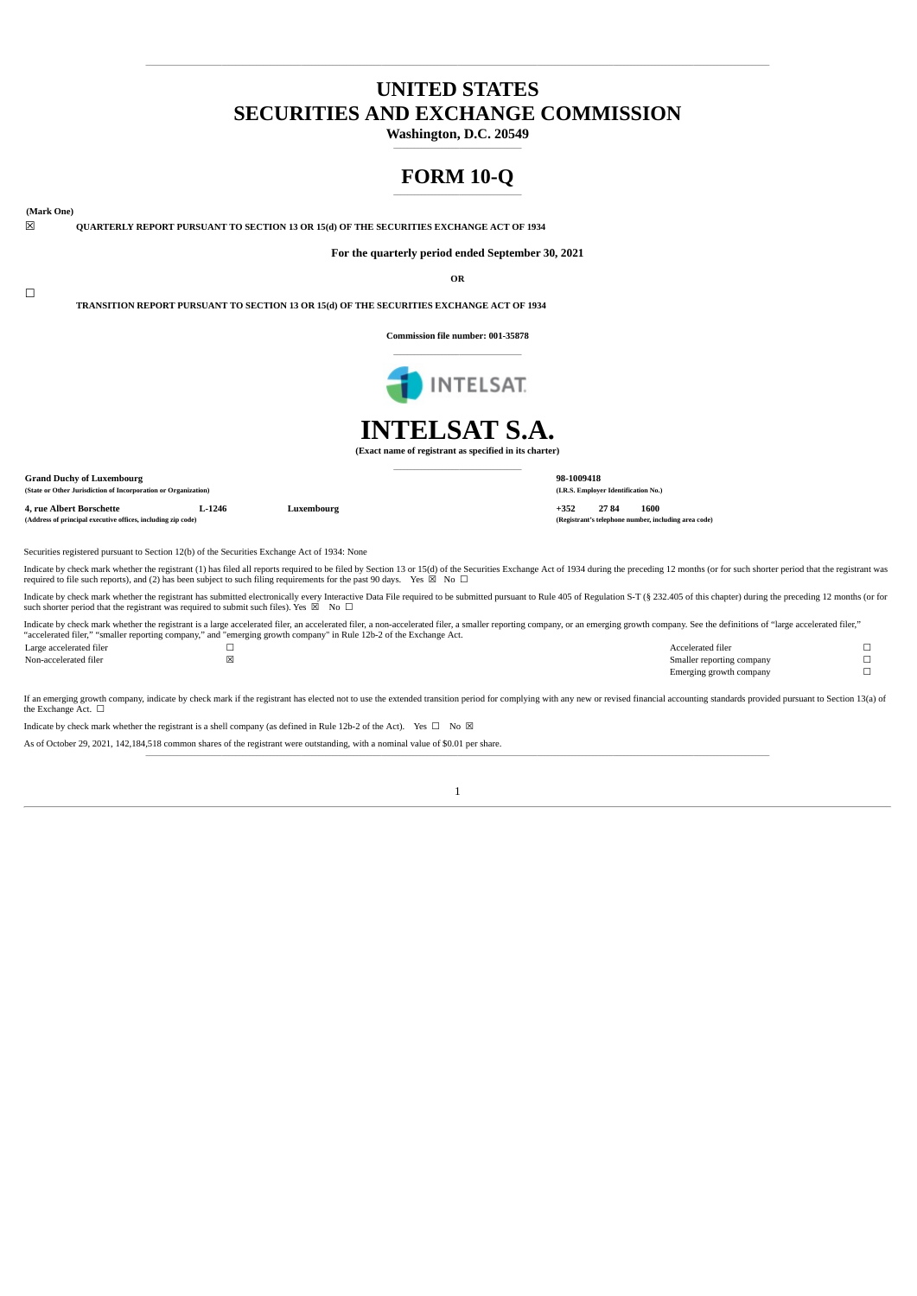# **UNITED STATES SECURITIES AND EXCHANGE COMMISSION**

 $\_$  ,  $\_$  ,  $\_$  ,  $\_$  ,  $\_$  ,  $\_$  ,  $\_$  ,  $\_$  ,  $\_$  ,  $\_$  ,  $\_$  ,  $\_$  ,  $\_$  ,  $\_$  ,  $\_$  ,  $\_$  ,  $\_$  ,  $\_$  ,  $\_$  ,  $\_$  ,  $\_$  ,  $\_$  ,  $\_$  ,  $\_$  ,  $\_$  ,  $\_$  ,  $\_$  ,  $\_$  ,  $\_$  ,  $\_$  ,  $\_$  ,  $\_$  ,  $\_$  ,  $\_$  ,  $\_$  ,  $\_$  ,  $\_$  ,

**Washington, D.C. 20549**  $\mathcal{L}_\text{max}$  and  $\mathcal{L}_\text{max}$  and  $\mathcal{L}_\text{max}$  and  $\mathcal{L}_\text{max}$ 

## **FORM 10-Q**  $\mathcal{L}_\text{max}$  and  $\mathcal{L}_\text{max}$  and  $\mathcal{L}_\text{max}$  and  $\mathcal{L}_\text{max}$

**(Mark One)**

☒ **QUARTERLY REPORT PURSUANT TO SECTION 13 OR 15(d) OF THE SECURITIES EXCHANGE ACT OF 1934**

**For the quarterly period ended September 30, 2021**

**OR**

 $\Box$ 

**TRANSITION REPORT PURSUANT TO SECTION 13 OR 15(d) OF THE SECURITIES EXCHANGE ACT OF 1934**

**Commission file number: 001-35878**



**INTELSAT S.A.**

**(Exact name of registrant as specified in its charter)**  $\mathcal{L}_\text{max}$  and  $\mathcal{L}_\text{max}$  and  $\mathcal{L}_\text{max}$  and  $\mathcal{L}_\text{max}$ 

**Grand Duchy of Luxembourg 98-1009418 (State or Other Jurisdiction of Incorporation or Organization) (I.R.S. Employer Identification No.) 4, rue Albert Borschette L-1246 Luxembourg +352 27 84 1600 (Address of principal executive offices, including zip code) (Registrant's telephone number, including area code)**

Securities registered pursuant to Section 12(b) of the Securities Exchange Act of 1934: None

Indicate by check mark whether the registrant (1) has filed all reports required to be filed by Section 13 or 15(d) of the Securities Exchange Act of 1934 during the preceding 12 months (or for such shorter period that th

Indicate by check mark whether the registrant has submitted electronically every Interactive Data File required to be submitted pursuant to Rule 405 of Regulation S-T (§ 232.405 of this chapter) during the preceding 12 mo

Indicate by check mark whether the registrant is a large accelerated filer, a naccelerated filer, a non-accelerated filer, a smaller reporting company, or an emerging growth company. See the definitions of "large accelerat

| Large accelerated filer | Accelerated filer         |  |
|-------------------------|---------------------------|--|
| Non-accelerated filer   | Smaller reporting company |  |
|                         | Emerging growth company   |  |

If an emerging growth company, indicate by check mark if the registrant has elected not to use the extended transition period for complying with any new or revised financial accounting standards provided pursuant to Sectio the Exchange Act.  $\square$ 

Indicate by check mark whether the registrant is a shell company (as defined in Rule 12b-2 of the Act). Yes  $\Box$  No  $\boxtimes$ 

As of October 29, 2021, 142,184,518 common shares of the registrant were outstanding, with a nominal value of \$0.01 per share.  $\_$  ,  $\_$  ,  $\_$  ,  $\_$  ,  $\_$  ,  $\_$  ,  $\_$  ,  $\_$  ,  $\_$  ,  $\_$  ,  $\_$  ,  $\_$  ,  $\_$  ,  $\_$  ,  $\_$  ,  $\_$  ,  $\_$  ,  $\_$  ,  $\_$  ,  $\_$  ,  $\_$  ,  $\_$  ,  $\_$  ,  $\_$  ,  $\_$  ,  $\_$  ,  $\_$  ,  $\_$  ,  $\_$  ,  $\_$  ,  $\_$  ,  $\_$  ,  $\_$  ,  $\_$  ,  $\_$  ,  $\_$  ,  $\_$  ,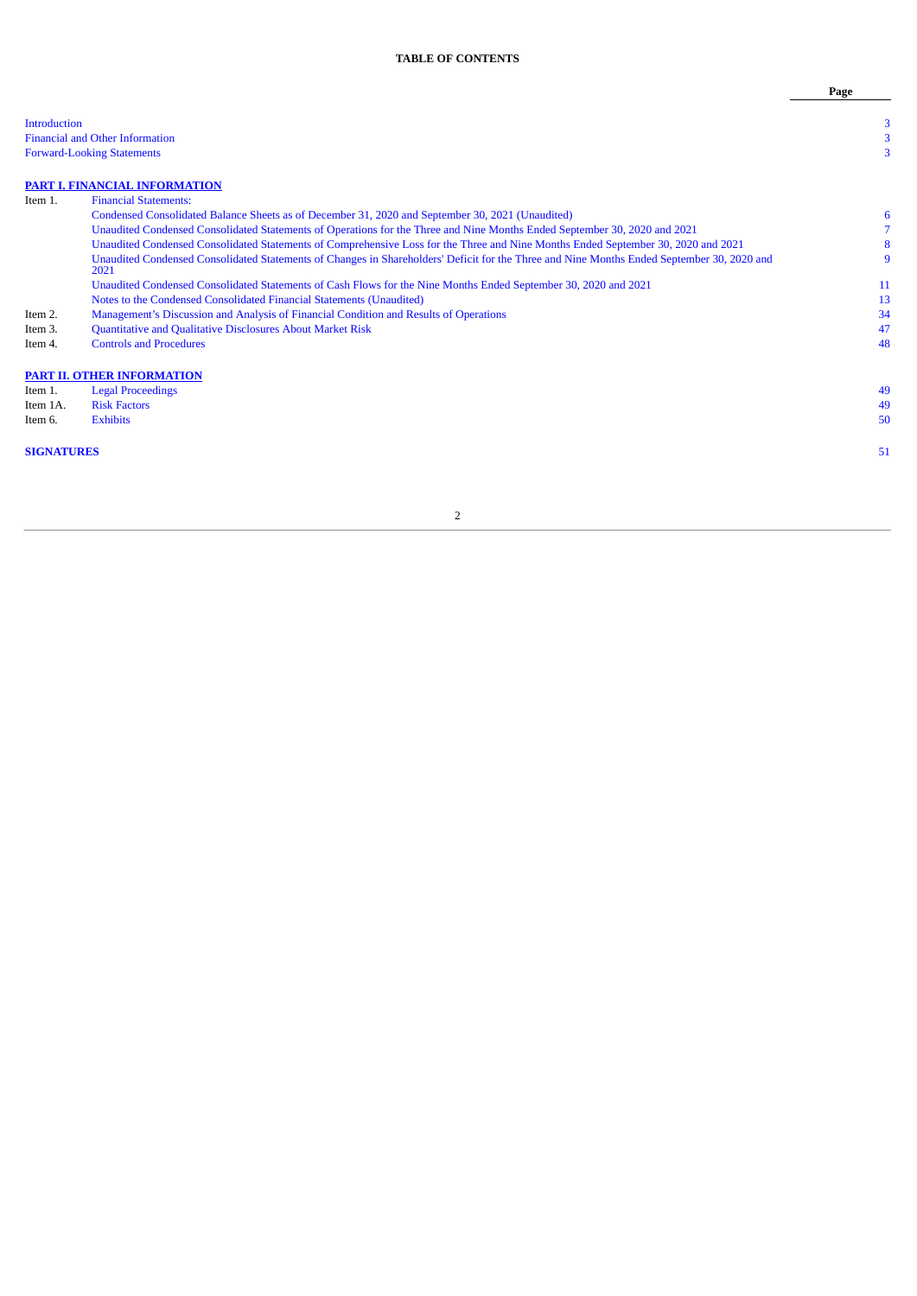**Page**

**[Introduction](#page-1-0)** [3](#page-1-0) Financial and Other [Information](#page-2-0) [3](#page-2-0) Financial and Other Information and Statements and Statements and Statements and Statements and Statements and Statements and Statements and Statements and Statements and Statements and Statements and Statements and Statem

### **PART I. FINANCIAL [INFORMATION](#page-4-0)**

#### Item 1. Financial [Statements:](#page-5-0)

<span id="page-1-0"></span>

| ltem 1.           | Financial Statements:                                                                                                                              |    |
|-------------------|----------------------------------------------------------------------------------------------------------------------------------------------------|----|
|                   | Condensed Consolidated Balance Sheets as of December 31, 2020 and September 30, 2021 (Unaudited)                                                   | 6  |
|                   | Unaudited Condensed Consolidated Statements of Operations for the Three and Nine Months Ended September 30, 2020 and 2021                          |    |
|                   | Unaudited Condensed Consolidated Statements of Comprehensive Loss for the Three and Nine Months Ended September 30, 2020 and 2021                  | 8  |
|                   | Unaudited Condensed Consolidated Statements of Changes in Shareholders' Deficit for the Three and Nine Months Ended September 30, 2020 and<br>2021 | 9  |
|                   | Unaudited Condensed Consolidated Statements of Cash Flows for the Nine Months Ended September 30, 2020 and 2021                                    | 11 |
|                   | Notes to the Condensed Consolidated Financial Statements (Unaudited)                                                                               | 13 |
| Item 2.           | Management's Discussion and Analysis of Financial Condition and Results of Operations                                                              | 34 |
| Item 3.           | <b>Quantitative and Qualitative Disclosures About Market Risk</b>                                                                                  | 47 |
| Item 4.           | <b>Controls and Procedures</b>                                                                                                                     | 48 |
|                   | <b>PART II. OTHER INFORMATION</b>                                                                                                                  |    |
| Item 1.           | <b>Legal Proceedings</b>                                                                                                                           | 49 |
| Item 1A.          | <b>Risk Factors</b>                                                                                                                                | 49 |
| Item 6.           | <b>Exhibits</b>                                                                                                                                    | 50 |
| <b>SIGNATURES</b> |                                                                                                                                                    | 51 |
|                   |                                                                                                                                                    |    |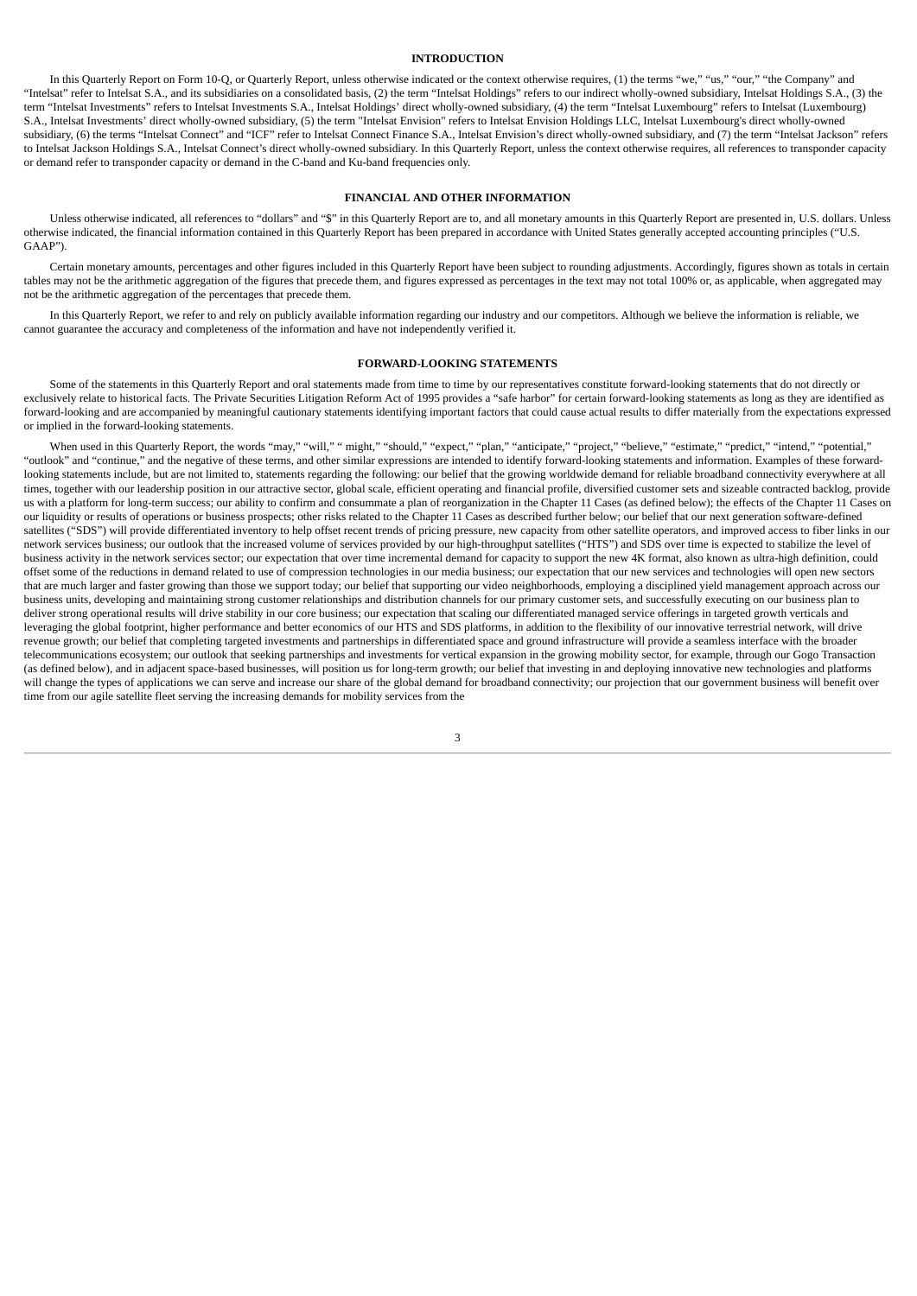## **INTRODUCTION**

In this Quarterly Report on Form 10-Q, or Quarterly Report, unless otherwise indicated or the context otherwise requires, (1) the terms "we," "us," "our," "the Company" and "Intelsat" refer to Intelsat S.A., and its subsidiaries on a consolidated basis, (2) the term "Intelsat Holdings" refers to our indirect wholly-owned subsidiary, Intelsat Holdings S.A., (3) the term "Intelsat Investments" refers to Intelsat Investments S.A., Intelsat Holdings' direct wholly-owned subsidiary, (4) the term "Intelsat Luxembourg" refers to Intelsat (Luxembourg) S.A., Intelsat Investments' direct wholly-owned subsidiary, (5) the term "Intelsat Envision" refers to Intelsat Envision Holdings LLC, Intelsat Luxembourg's direct wholly-owned subsidiary, (6) the terms "Intelsat Connect" and "ICF" refer to Intelsat Connect Finance S.A., Intelsat Envision's direct wholly-owned subsidiary, and (7) the term "Intelsat Jackson" refers to Intelsat Jackson Holdings S.A., Intelsat Connect's direct wholly-owned subsidiary. In this Quarterly Report, unless the context otherwise requires, all references to transponder capacity to Intelsat Jackson Holdings S.A or demand refer to transponder capacity or demand in the C-band and Ku-band frequencies only.

### **FINANCIAL AND OTHER INFORMATION**

<span id="page-2-0"></span>Unless otherwise indicated, all references to "dollars" and "\$" in this Quarterly Report are to, and all monetary amounts in this Quarterly Report are presented in, U.S. dollars. Unless otherwise indicated, the financial information contained in this Quarterly Report has been prepared in accordance with United States generally accepted accounting principles ("U.S. GAAP").

Certain monetary amounts, percentages and other figures included in this Quarterly Report have been subject to rounding adjustments. Accordingly, figures shown as totals in certain tables may not be the arithmetic aggregation of the figures that precede them, and figures expressed as percentages in the text may not total 100% or, as applicable, when aggregated may not be the arithmetic aggregation of the percentages that precede them.

<span id="page-2-1"></span>In this Quarterly Report, we refer to and rely on publicly available information regarding our industry and our competitors. Although we believe the information is reliable, we cannot guarantee the accuracy and completeness of the information and have not independently verified it.

## **FORWARD-LOOKING STATEMENTS**

Some of the statements in this Quarterly Report and oral statements made from time to time by our representatives constitute forward-looking statements that do not directly or exclusively relate to historical facts. The Private Securities Litigation Reform Act of 1995 provides a "safe harbor" for certain forward-looking statements as long as they are identified as forward-looking and are accompanied by meaningful cautionary statements identifying important factors that could cause actual results to differ materially from the expectations expressed or implied in the forward-looking statements.

When used in this Quarterly Report, the words "may," "will," " might," "should," "expect," "plan," "anticipate," "project," "believe," "estimate," "predict," "intend," "potential," "outlook" and "continue," and the negative of these terms, and other similar expressions are intended to identify forward-looking statements and information. Examples of these forwardlooking statements include, but are not limited to, statements regarding the following: our belief that the growing worldwide demand for reliable broadband connectivity everywhere at all times, together with our leadership position in our attractive sector, global scale, efficient operating and financial profile, diversified customer sets and sizeable contracted backlog, provide us with a platform for long-term success; our ability to confirm and consummate a plan of reorganization in the Chapter 11 Cases (as defined below); the effects of the Chapter 11 Cases on our liquidity or results of operations or business prospects; other risks related to the Chapter 11 Cases as described further below; our belief that our next generation software-defined satellites ("SDS") will provide differentiated inventory to help offset recent trends of pricing pressure, new capacity from other satellite operators, and improved access to fiber links in our network services business; our outlook that the increased volume of services provided by our high-throughput satellites ("HTS") and SDS over time is expected to stabilize the level of business activity in the network services sector; our expectation that over time incremental demand for capacity to support the new 4K format, also known as ultra-high definition, could offset some of the reductions in demand related to use of compression technologies in our media business; our expectation that our new services and technologies will open new sectors that are much larger and faster growing than those we support today; our belief that supporting our video neighborhoods, employing a disciplined yield management approach across our business units, developing and maintaining strong customer relationships and distribution channels for our primary customer sets, and successfully executing on our business plan to deliver strong operational results will drive stability in our core business; our expectation that scaling our differentiated managed service offerings in targeted growth verticals and leveraging the global footprint, higher performance and better economics of our HTS and SDS platforms, in addition to the flexibility of our innovative terrestrial network, will drive revenue growth; our belief that completing targeted investments and partnerships in differentiated space and ground infrastructure will provide a seamless interface with the broader telecommunications ecosystem; our outlook that seeking partnerships and investments for vertical expansion in the growing mobility sector, for example, through our Gogo Transaction (as defined below), and in adjacent space-based businesses, will position us for long-term growth; our belief that investing in and deploying innovative new technologies and platforms will change the types of applications we can serve and increase our share of the global demand for broadband connectivity; our projection that our government business will benefit over time from our agile satellite fleet serving the increasing demands for mobility services from the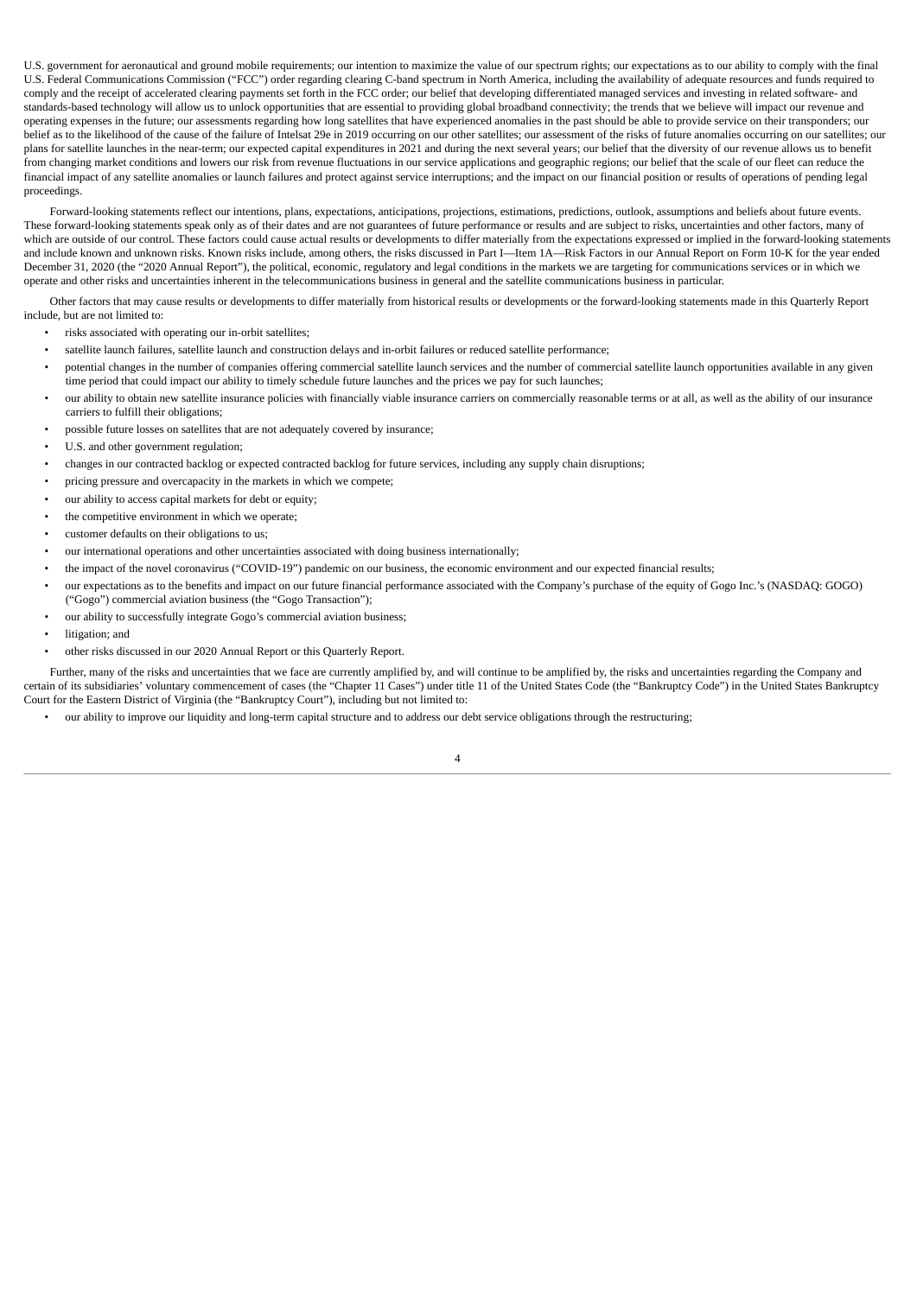U.S. government for aeronautical and ground mobile requirements; our intention to maximize the value of our spectrum rights; our expectations as to our ability to comply with the final U.S. Federal Communications Commission ("FCC") order regarding clearing C-band spectrum in North America, including the availability of adequate resources and funds required to comply and the receipt of accelerated clearing payments set forth in the FCC order; our belief that developing differentiated managed services and investing in related software- and standards-based technology will allow us to unlock opportunities that are essential to providing global broadband connectivity; the trends that we believe will impact our revenue and operating expenses in the future; our assessments regarding how long satellites that have experienced anomalies in the past should be able to provide service on their transponders; our belief as to the likelihood of the cause of the failure of Intelsat 29e in 2019 occurring on our other satellites; our assessment of the risks of future anomalies occurring on our satellites; our plans for satellite launches in the near-term; our expected capital expenditures in 2021 and during the next several years; our belief that the diversity of our revenue allows us to benefit from changing market conditions and lowers our risk from revenue fluctuations in our service applications and geographic regions; our belief that the scale of our fleet can reduce the financial impact of any satellite anomalies or launch failures and protect against service interruptions; and the impact on our financial position or results of operations of pending legal proceedings.

Forward-looking statements reflect our intentions, plans, expectations, anticipations, projections, estimations, predictions, outlook, assumptions and beliefs about future events. These forward-looking statements speak only as of their dates and are not guarantees of future performance or results and are subject to risks, uncertainties and other factors, many of which are outside of our control. These factors could cause actual results or developments to differ materially from the expectations expressed or implied in the forward-looking statements and include known and unknown risks. Known risks include, among others, the risks discussed in Part I—Item 1A—Risk Factors in our Annual Report on Form 10-K for the year ended December 31, 2020 (the "2020 Annual Report"), the political, economic, regulatory and legal conditions in the markets we are targeting for communications services or in which we operate and other risks and uncertainties inherent in the telecommunications business in general and the satellite communications business in particular.

Other factors that may cause results or developments to differ materially from historical results or developments or the forward-looking statements made in this Quarterly Report include, but are not limited to:

- risks associated with operating our in-orbit satellites;
- satellite launch failures, satellite launch and construction delays and in-orbit failures or reduced satellite performance;
- potential changes in the number of companies offering commercial satellite launch services and the number of commercial satellite launch opportunities available in any given time period that could impact our ability to timely schedule future launches and the prices we pay for such launches;
- our ability to obtain new satellite insurance policies with financially viable insurance carriers on commercially reasonable terms or at all, as well as the ability of our insurance carriers to fulfill their obligations;
- possible future losses on satellites that are not adequately covered by insurance;
- U.S. and other government regulation;
- changes in our contracted backlog or expected contracted backlog for future services, including any supply chain disruptions;
- pricing pressure and overcapacity in the markets in which we compete;
- our ability to access capital markets for debt or equity;
- the competitive environment in which we operate;
- customer defaults on their obligations to us;
- our international operations and other uncertainties associated with doing business internationally;
- the impact of the novel coronavirus ("COVID-19") pandemic on our business, the economic environment and our expected financial results;
- our expectations as to the benefits and impact on our future financial performance associated with the Company's purchase of the equity of Gogo Inc.'s (NASDAQ: GOGO) ("Gogo") commercial aviation business (the "Gogo Transaction");
- our ability to successfully integrate Gogo's commercial aviation business;
- litigation; and
- other risks discussed in our 2020 Annual Report or this Quarterly Report.

Further, many of the risks and uncertainties that we face are currently amplified by, and will continue to be amplified by, the risks and uncertainties regarding the Company and certain of its subsidiaries' voluntary commencement of cases (the "Chapter 11 Cases") under title 11 of the United States Code (the "Bankruptcy Code") in the United States Bankruptcy Court for the Eastern District of Virginia (the "Bankruptcy Court"), including but not limited to:

• our ability to improve our liquidity and long-term capital structure and to address our debt service obligations through the restructuring;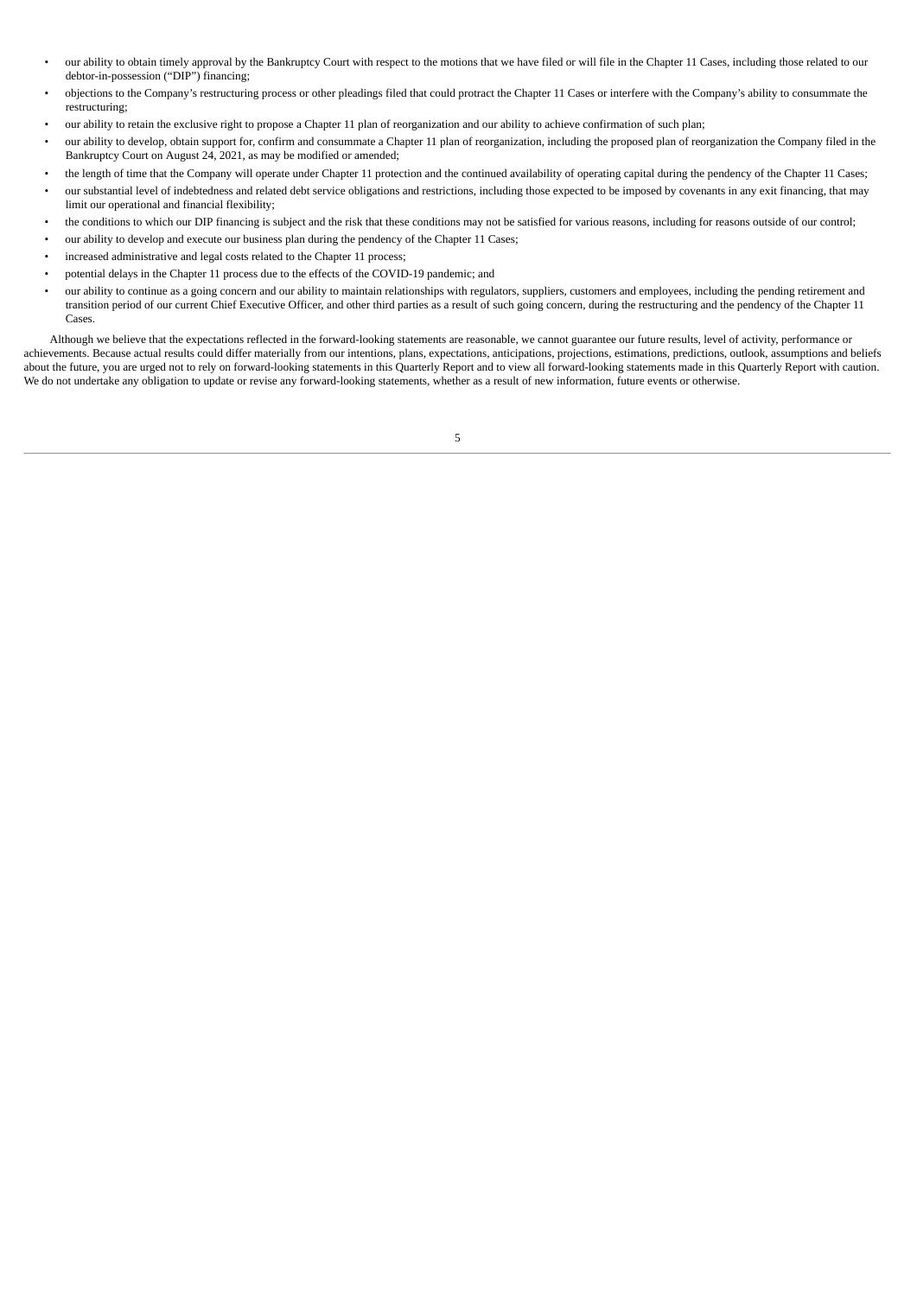- our ability to obtain timely approval by the Bankruptcy Court with respect to the motions that we have filed or will file in the Chapter 11 Cases, including those related to our debtor-in-possession ("DIP") financing;
- objections to the Company's restructuring process or other pleadings filed that could protract the Chapter 11 Cases or interfere with the Company's ability to consummate the restructuring;
- our ability to retain the exclusive right to propose a Chapter 11 plan of reorganization and our ability to achieve confirmation of such plan;
- our ability to develop, obtain support for, confirm and consummate a Chapter 11 plan of reorganization, including the proposed plan of reorganization the Company filed in the Bankruptcy Court on August 24, 2021, as may be modified or amended;
- the length of time that the Company will operate under Chapter 11 protection and the continued availability of operating capital during the pendency of the Chapter 11 Cases;
- our substantial level of indebtedness and related debt service obligations and restrictions, including those expected to be imposed by covenants in any exit financing, that may limit our operational and financial flexibility;
- the conditions to which our DIP financing is subject and the risk that these conditions may not be satisfied for various reasons, including for reasons outside of our control;
- our ability to develop and execute our business plan during the pendency of the Chapter 11 Cases;
- increased administrative and legal costs related to the Chapter 11 process;
- potential delays in the Chapter 11 process due to the effects of the COVID-19 pandemic; and
- our ability to continue as a going concern and our ability to maintain relationships with regulators, suppliers, customers and employees, including the pending retirement and transition period of our current Chief Executive Officer, and other third parties as a result of such going concern, during the restructuring and the pendency of the Chapter 11 **Cases**

<span id="page-4-0"></span>Although we believe that the expectations reflected in the forward-looking statements are reasonable, we cannot guarantee our future results, level of activity, performance or achievements. Because actual results could differ materially from our intentions, plans, expectations, anticipations, projections, estimations, predictions, outlook, assumptions and beliefs about the future, you are urged not to rely on forward-looking statements in this Quarterly Report and to view all forward-looking statements made in this Quarterly Report with caution. We do not undertake any obligation to update or revise any forward-looking statements, whether as a result of new information, future events or otherwise.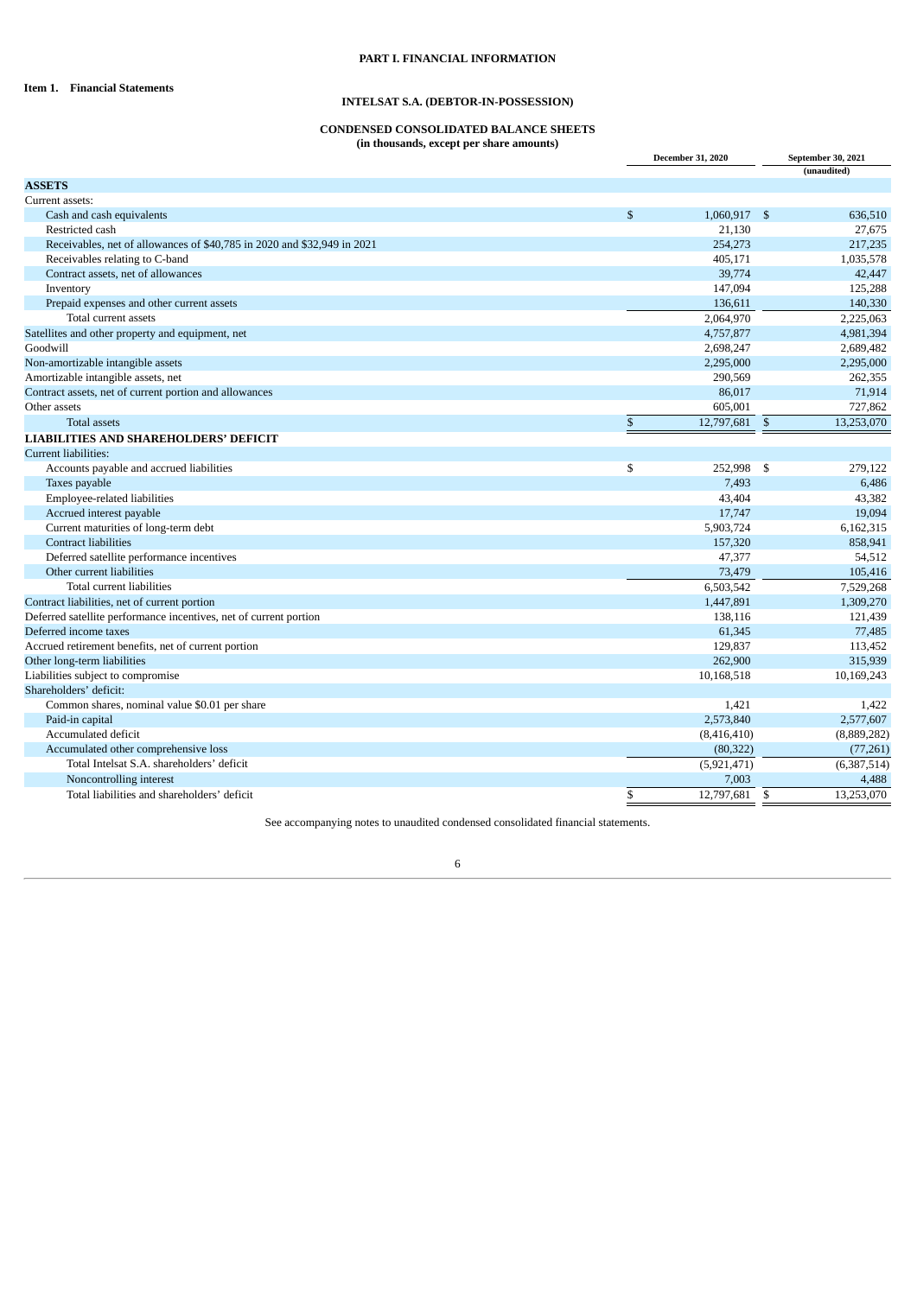# **PART I. FINANCIAL INFORMATION**

# **INTELSAT S.A. (DEBTOR-IN-POSSESSION)**

# **CONDENSED CONSOLIDATED BALANCE SHEETS (in thousands, except per share amounts)**

<span id="page-5-1"></span><span id="page-5-0"></span>

|                                                                         |                    | <b>December 31, 2020</b> |              |             |  |
|-------------------------------------------------------------------------|--------------------|--------------------------|--------------|-------------|--|
|                                                                         |                    |                          |              | (unaudited) |  |
| <b>ASSETS</b>                                                           |                    |                          |              |             |  |
| Current assets:                                                         |                    |                          |              |             |  |
| Cash and cash equivalents                                               | $\mathbf{\hat{S}}$ | 1,060,917 \$             |              | 636,510     |  |
| Restricted cash                                                         |                    | 21,130                   |              | 27,675      |  |
| Receivables, net of allowances of \$40,785 in 2020 and \$32,949 in 2021 |                    | 254,273                  |              | 217,235     |  |
| Receivables relating to C-band                                          |                    | 405,171                  |              | 1,035,578   |  |
| Contract assets, net of allowances                                      |                    | 39,774                   |              | 42,447      |  |
| Inventory                                                               |                    | 147,094                  |              | 125,288     |  |
| Prepaid expenses and other current assets                               |                    | 136,611                  |              | 140,330     |  |
| Total current assets                                                    |                    | 2,064,970                |              | 2,225,063   |  |
| Satellites and other property and equipment, net                        |                    | 4,757,877                |              | 4,981,394   |  |
| Goodwill                                                                |                    | 2,698,247                |              | 2,689,482   |  |
| Non-amortizable intangible assets                                       |                    | 2,295,000                |              | 2,295,000   |  |
| Amortizable intangible assets, net                                      |                    | 290,569                  |              | 262,355     |  |
| Contract assets, net of current portion and allowances                  |                    | 86,017                   |              | 71,914      |  |
| Other assets                                                            |                    | 605,001                  |              | 727,862     |  |
| <b>Total assets</b>                                                     | \$                 | 12,797,681 \$            |              | 13,253,070  |  |
| <b>LIABILITIES AND SHAREHOLDERS' DEFICIT</b>                            |                    |                          |              |             |  |
| Current liabilities:                                                    |                    |                          |              |             |  |
| Accounts payable and accrued liabilities                                | \$                 | 252,998 \$               |              | 279,122     |  |
| Taxes payable                                                           |                    | 7.493                    |              | 6,486       |  |
| Employee-related liabilities                                            |                    | 43,404                   |              | 43,382      |  |
| Accrued interest payable                                                |                    | 17,747                   |              | 19,094      |  |
| Current maturities of long-term debt                                    |                    | 5,903,724                |              | 6,162,315   |  |
| <b>Contract liabilities</b>                                             |                    | 157,320                  |              | 858,941     |  |
| Deferred satellite performance incentives                               |                    | 47,377                   |              | 54,512      |  |
| Other current liabilities                                               |                    | 73,479                   |              | 105,416     |  |
| Total current liabilities                                               |                    | 6,503,542                |              | 7,529,268   |  |
| Contract liabilities, net of current portion                            |                    | 1,447,891                |              | 1,309,270   |  |
| Deferred satellite performance incentives, net of current portion       |                    | 138,116                  |              | 121,439     |  |
| Deferred income taxes                                                   |                    | 61,345                   |              | 77,485      |  |
| Accrued retirement benefits, net of current portion                     |                    | 129,837                  |              | 113,452     |  |
| Other long-term liabilities                                             |                    | 262,900                  |              | 315,939     |  |
| Liabilities subject to compromise                                       |                    | 10,168,518               |              | 10,169,243  |  |
| Shareholders' deficit:                                                  |                    |                          |              |             |  |
| Common shares, nominal value \$0.01 per share                           |                    | 1,421                    |              | 1,422       |  |
| Paid-in capital                                                         |                    | 2,573,840                |              | 2,577,607   |  |
| Accumulated deficit                                                     |                    | (8,416,410)              |              | (8,889,282) |  |
| Accumulated other comprehensive loss                                    |                    | (80, 322)                |              | (77, 261)   |  |
| Total Intelsat S.A. shareholders' deficit                               |                    | (5,921,471)              |              | (6,387,514) |  |
| Noncontrolling interest                                                 |                    | 7,003                    |              | 4,488       |  |
| Total liabilities and shareholders' deficit                             | \$                 | 12,797,681               | $\mathbb{S}$ | 13,253,070  |  |

<span id="page-5-2"></span>See accompanying notes to unaudited condensed consolidated financial statements.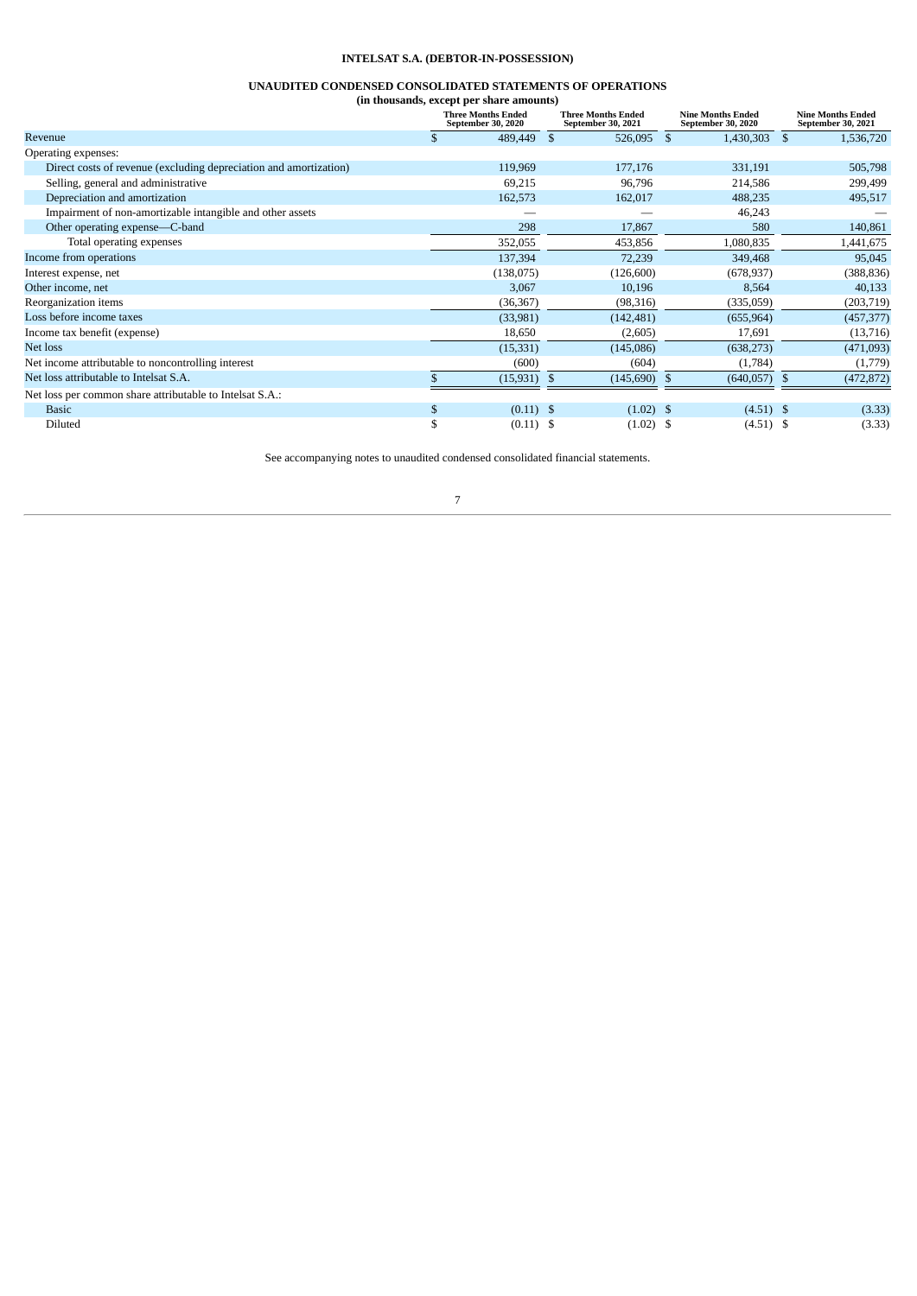# **UNAUDITED CONDENSED CONSOLIDATED STATEMENTS OF OPERATIONS (in thousands, except per share amounts)**

|                                                                   | <b>Three Months Ended</b><br><b>September 30, 2020</b> |                    | <b>Three Months Ended</b><br>September 30, 2021 |     | <b>Nine Months Ended</b><br>September 30, 2020 |     | <b>Nine Months Ended</b><br>September 30, 2021 |
|-------------------------------------------------------------------|--------------------------------------------------------|--------------------|-------------------------------------------------|-----|------------------------------------------------|-----|------------------------------------------------|
| Revenue                                                           | 489,449                                                | $\mathbf{\hat{S}}$ | 526,095 \$                                      |     | 1,430,303                                      | -\$ | 1,536,720                                      |
| Operating expenses:                                               |                                                        |                    |                                                 |     |                                                |     |                                                |
| Direct costs of revenue (excluding depreciation and amortization) | 119,969                                                |                    | 177,176                                         |     | 331,191                                        |     | 505,798                                        |
| Selling, general and administrative                               | 69,215                                                 |                    | 96,796                                          |     | 214,586                                        |     | 299,499                                        |
| Depreciation and amortization                                     | 162,573                                                |                    | 162,017                                         |     | 488,235                                        |     | 495,517                                        |
| Impairment of non-amortizable intangible and other assets         |                                                        |                    |                                                 |     | 46,243                                         |     |                                                |
| Other operating expense—C-band                                    | 298                                                    |                    | 17,867                                          |     | 580                                            |     | 140,861                                        |
| Total operating expenses                                          | 352,055                                                |                    | 453,856                                         |     | 1,080,835                                      |     | 1,441,675                                      |
| Income from operations                                            | 137,394                                                |                    | 72,239                                          |     | 349,468                                        |     | 95,045                                         |
| Interest expense, net                                             | (138,075)                                              |                    | (126,600)                                       |     | (678, 937)                                     |     | (388, 836)                                     |
| Other income, net                                                 | 3,067                                                  |                    | 10,196                                          |     | 8,564                                          |     | 40,133                                         |
| Reorganization items                                              | (36, 367)                                              |                    | (98, 316)                                       |     | (335,059)                                      |     | (203, 719)                                     |
| Loss before income taxes                                          | (33,981)                                               |                    | (142, 481)                                      |     | (655, 964)                                     |     | (457, 377)                                     |
| Income tax benefit (expense)                                      | 18,650                                                 |                    | (2,605)                                         |     | 17,691                                         |     | (13,716)                                       |
| Net loss                                                          | (15, 331)                                              |                    | (145,086)                                       |     | (638, 273)                                     |     | (471,093)                                      |
| Net income attributable to noncontrolling interest                | (600)                                                  |                    | (604)                                           |     | (1,784)                                        |     | (1,779)                                        |
| Net loss attributable to Intelsat S.A.                            | (15, 931)                                              | -S                 | (145,690)                                       | - 5 | (640, 057)                                     | -S  | (472, 872)                                     |
| Net loss per common share attributable to Intelsat S.A.:          |                                                        |                    |                                                 |     |                                                |     |                                                |
| <b>Basic</b>                                                      | \$<br>$(0.11)$ \$                                      |                    | $(1.02)$ \$                                     |     | $(4.51)$ \$                                    |     | (3.33)                                         |
| Diluted                                                           | (0.11)                                                 | -5                 | (1.02)                                          | -5  | (4.51)                                         | -5  | (3.33)                                         |

<span id="page-6-0"></span>See accompanying notes to unaudited condensed consolidated financial statements.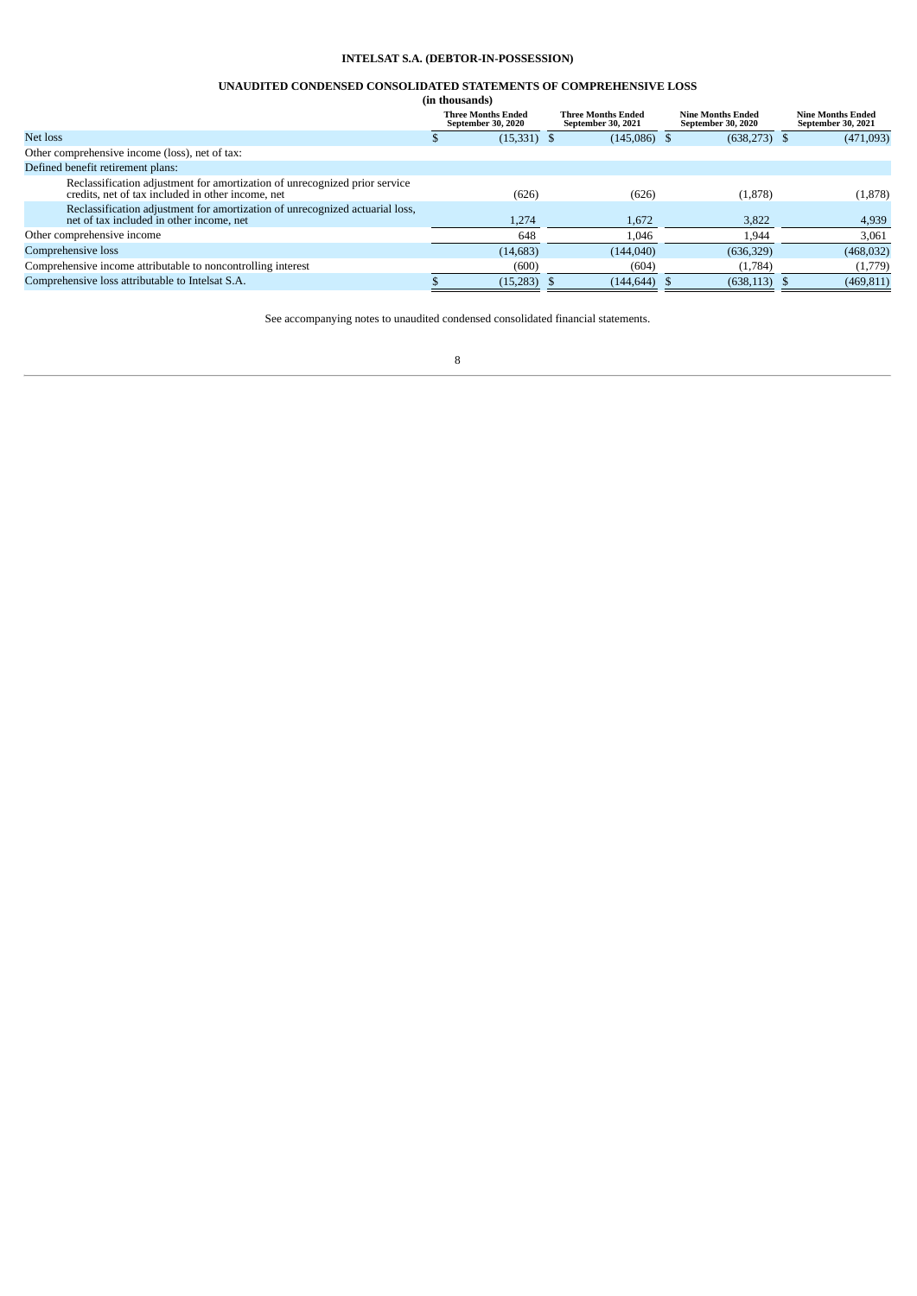### **UNAUDITED CONDENSED CONSOLIDATED STATEMENTS OF COMPREHENSIVE LOSS**

| (in thousands)                                                                                                                  |                                                        |                                          |                                                |                                                |  |  |  |  |  |  |
|---------------------------------------------------------------------------------------------------------------------------------|--------------------------------------------------------|------------------------------------------|------------------------------------------------|------------------------------------------------|--|--|--|--|--|--|
|                                                                                                                                 | <b>Three Months Ended</b><br><b>September 30, 2020</b> | Three Months Ended<br>September 30, 2021 | <b>Nine Months Ended</b><br>September 30, 2020 | Nine Months Ended<br><b>September 30, 2021</b> |  |  |  |  |  |  |
| Net loss                                                                                                                        | $(15,331)$ \$                                          | $(145,086)$ \$                           | $(638, 273)$ \$                                | (471,093)                                      |  |  |  |  |  |  |
| Other comprehensive income (loss), net of tax:                                                                                  |                                                        |                                          |                                                |                                                |  |  |  |  |  |  |
| Defined benefit retirement plans:                                                                                               |                                                        |                                          |                                                |                                                |  |  |  |  |  |  |
| Reclassification adjustment for amortization of unrecognized prior service<br>credits, net of tax included in other income, net | (626)                                                  | (626)                                    | (1,878)                                        | (1,878)                                        |  |  |  |  |  |  |
| Reclassification adjustment for amortization of unrecognized actuarial loss,<br>net of tax included in other income, net        | 1,274                                                  | 1,672                                    | 3,822                                          | 4,939                                          |  |  |  |  |  |  |
| Other comprehensive income                                                                                                      | 648                                                    | 1,046                                    | 1,944                                          | 3,061                                          |  |  |  |  |  |  |
| Comprehensive loss                                                                                                              | (14, 683)                                              | (144, 040)                               | (636, 329)                                     | (468, 032)                                     |  |  |  |  |  |  |
| Comprehensive income attributable to noncontrolling interest                                                                    | (600)                                                  | (604)                                    | (1,784)                                        | (1,779)                                        |  |  |  |  |  |  |
| Comprehensive loss attributable to Intelsat S.A.                                                                                | (15,283)                                               | (144, 644)                               | (638, 113)                                     | (469, 811)                                     |  |  |  |  |  |  |

<span id="page-7-0"></span>See accompanying notes to unaudited condensed consolidated financial statements.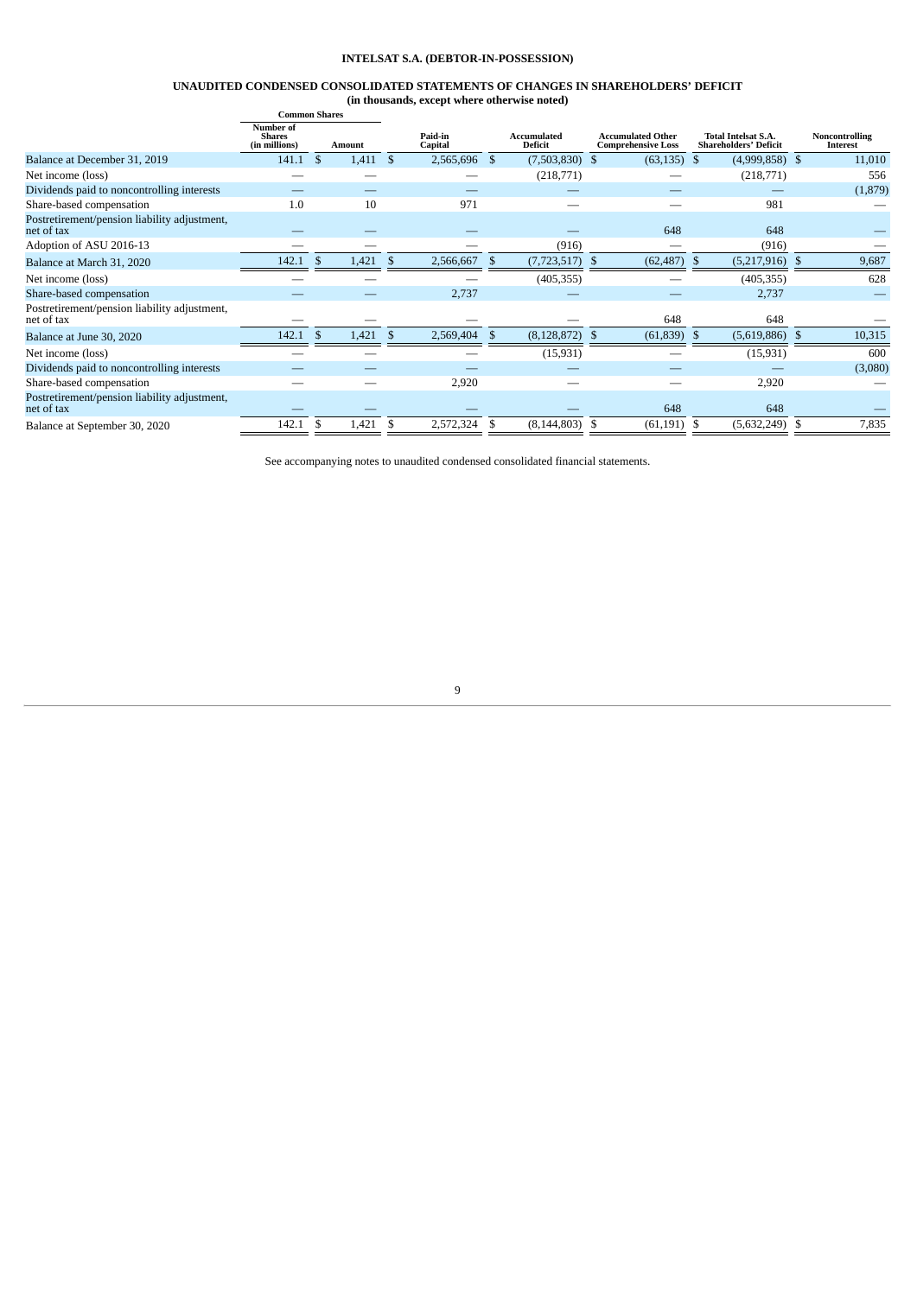### **UNAUDITED CONDENSED CONSOLIDATED STATEMENTS OF CHANGES IN SHAREHOLDERS' DEFICIT (in thousands, except where otherwise noted) Common Shares**

|                                                            | Number of<br><b>Shares</b><br>(in millions) |          | <b>Amount</b> |    | Paid-in<br>Capital | Accumulated<br><b>Deficit</b> |               |    | <b>Accumulated Other</b><br><b>Comprehensive Loss</b> |  | <b>Total Intelsat S.A.</b><br><b>Shareholders' Deficit</b> |     | Noncontrolling<br><b>Interest</b> |
|------------------------------------------------------------|---------------------------------------------|----------|---------------|----|--------------------|-------------------------------|---------------|----|-------------------------------------------------------|--|------------------------------------------------------------|-----|-----------------------------------|
| Balance at December 31, 2019                               | 141.1                                       | <b>S</b> | 1,411         | \$ | 2,565,696          | \$                            | (7,503,830)   | -S | $(63, 135)$ \$                                        |  | $(4,999,858)$ \$                                           |     | 11,010                            |
| Net income (loss)                                          |                                             |          |               |    |                    |                               | (218,771)     |    |                                                       |  | (218,771)                                                  |     | 556                               |
| Dividends paid to noncontrolling interests                 |                                             |          |               |    |                    |                               |               |    |                                                       |  |                                                            |     | (1,879)                           |
| Share-based compensation                                   | 1.0                                         |          | 10            |    | 971                |                               |               |    |                                                       |  | 981                                                        |     |                                   |
| Postretirement/pension liability adjustment,<br>net of tax |                                             |          |               |    |                    |                               |               |    | 648                                                   |  | 648                                                        |     |                                   |
| Adoption of ASU 2016-13                                    |                                             |          |               |    |                    |                               | (916)         |    |                                                       |  | (916)                                                      |     |                                   |
| Balance at March 31, 2020                                  | 142.1                                       | S        | 1,421         | S  | 2,566,667          |                               | (7, 723, 517) |    | (62, 487)                                             |  | $(5,217,916)$ \$                                           |     | 9,687                             |
| Net income (loss)                                          |                                             |          |               |    |                    |                               | (405, 355)    |    |                                                       |  | (405, 355)                                                 |     | 628                               |
| Share-based compensation                                   |                                             |          |               |    | 2,737              |                               |               |    |                                                       |  | 2,737                                                      |     |                                   |
| Postretirement/pension liability adjustment,<br>net of tax |                                             |          |               |    |                    |                               |               |    | 648                                                   |  | 648                                                        |     |                                   |
| Balance at June 30, 2020                                   | 142.1                                       |          | 1,421         |    | 2,569,404          |                               | (8, 128, 872) |    | (61, 839)                                             |  | (5,619,886)                                                |     | 10,315                            |
| Net income (loss)                                          |                                             |          |               |    |                    |                               | (15, 931)     |    |                                                       |  | (15, 931)                                                  |     | 600                               |
| Dividends paid to noncontrolling interests                 |                                             |          |               |    |                    |                               |               |    |                                                       |  |                                                            |     | (3,080)                           |
| Share-based compensation                                   |                                             |          |               |    | 2,920              |                               |               |    |                                                       |  | 2,920                                                      |     |                                   |
| Postretirement/pension liability adjustment,<br>net of tax |                                             |          |               |    |                    |                               |               |    | 648                                                   |  | 648                                                        |     |                                   |
| Balance at September 30, 2020                              | 142.1                                       | \$       | 1,421         | \$ | 2,572,324          |                               | (8, 144, 803) |    | (61, 191)                                             |  | (5,632,249)                                                | - S | 7,835                             |

See accompanying notes to unaudited condensed consolidated financial statements.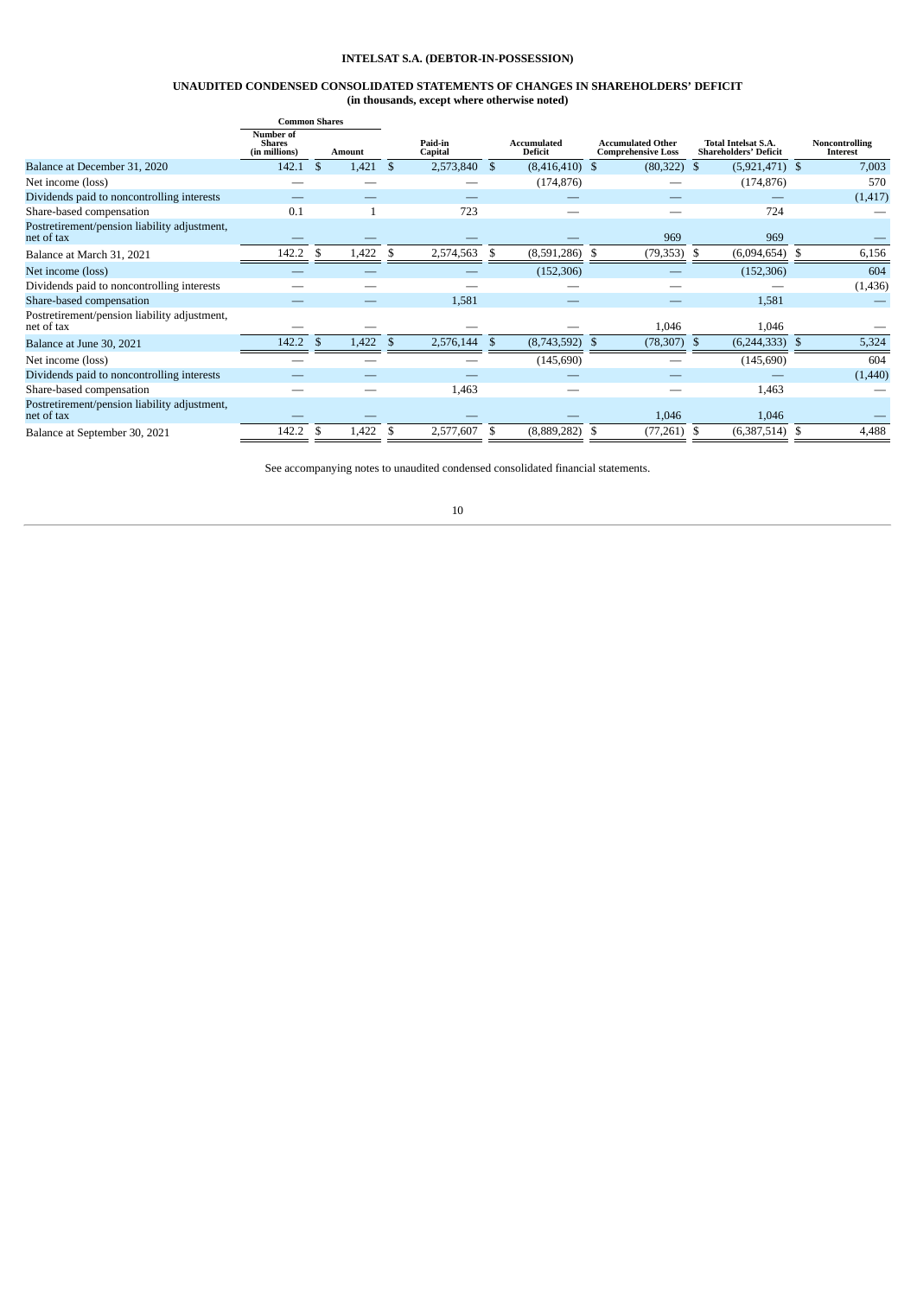# **UNAUDITED CONDENSED CONSOLIDATED STATEMENTS OF CHANGES IN SHAREHOLDERS' DEFICIT (in thousands, except where otherwise noted)**

|                                                            | <b>Common Shares</b>                        |    |               |     |                    |     |                               |    |                                                       |     |                                                            |          |                                   |
|------------------------------------------------------------|---------------------------------------------|----|---------------|-----|--------------------|-----|-------------------------------|----|-------------------------------------------------------|-----|------------------------------------------------------------|----------|-----------------------------------|
|                                                            | Number of<br><b>Shares</b><br>(in millions) |    | <b>Amount</b> |     | Paid-in<br>Capital |     | Accumulated<br><b>Deficit</b> |    | <b>Accumulated Other</b><br><b>Comprehensive Loss</b> |     | <b>Total Intelsat S.A.</b><br><b>Shareholders' Deficit</b> |          | Noncontrolling<br><b>Interest</b> |
| Balance at December 31, 2020                               | 142.1                                       | S. | 1,421         | \$  | 2,573,840          | -\$ | $(8,416,410)$ \$              |    | $(80,322)$ \$                                         |     | $(5,921,471)$ \$                                           |          | 7,003                             |
| Net income (loss)                                          |                                             |    |               |     |                    |     | (174, 876)                    |    |                                                       |     | (174, 876)                                                 |          | 570                               |
| Dividends paid to noncontrolling interests                 |                                             |    |               |     |                    |     |                               |    |                                                       |     |                                                            |          | (1, 417)                          |
| Share-based compensation                                   | 0.1                                         |    |               |     | 723                |     |                               |    |                                                       |     | 724                                                        |          |                                   |
| Postretirement/pension liability adjustment,<br>net of tax |                                             |    |               |     |                    |     |                               |    | 969                                                   |     | 969                                                        |          |                                   |
| Balance at March 31, 2021                                  | 142.2                                       | \$ | 1,422         | -S  | 2,574,563          | Y   | (8,591,286)                   | -5 | (79, 353)                                             | -\$ | (6,094,654)                                                | - \$     | 6,156                             |
| Net income (loss)                                          |                                             |    |               |     |                    |     | (152, 306)                    |    |                                                       |     | (152, 306)                                                 |          | 604                               |
| Dividends paid to noncontrolling interests                 |                                             |    |               |     |                    |     |                               |    |                                                       |     |                                                            |          | (1, 436)                          |
| Share-based compensation                                   |                                             |    |               |     | 1,581              |     |                               |    |                                                       |     | 1,581                                                      |          |                                   |
| Postretirement/pension liability adjustment,<br>net of tax |                                             |    |               |     |                    |     |                               |    | 1,046                                                 |     | 1,046                                                      |          |                                   |
| Balance at June 30, 2021                                   | 142.2                                       | -S | 1,422         | -S  | 2,576,144          | Ъ.  | (8,743,592)                   | -S | (78, 307)                                             |     | (6,244,333)                                                | <b>S</b> | 5,324                             |
| Net income (loss)                                          |                                             |    |               |     |                    |     | (145, 690)                    |    |                                                       |     | (145, 690)                                                 |          | 604                               |
| Dividends paid to noncontrolling interests                 |                                             |    |               |     |                    |     |                               |    |                                                       |     |                                                            |          | (1,440)                           |
| Share-based compensation                                   |                                             |    |               |     | 1,463              |     |                               |    |                                                       |     | 1,463                                                      |          |                                   |
| Postretirement/pension liability adjustment,<br>net of tax |                                             |    |               |     |                    |     |                               |    | 1,046                                                 |     | 1,046                                                      |          |                                   |
| Balance at September 30, 2021                              | 142.2                                       | £. | 1,422         | \$. | 2,577,607          | S.  | (8,889,282)                   | S  | (77, 261)                                             |     | (6,387,514)                                                | - S      | 4,488                             |

<span id="page-9-0"></span>See accompanying notes to unaudited condensed consolidated financial statements.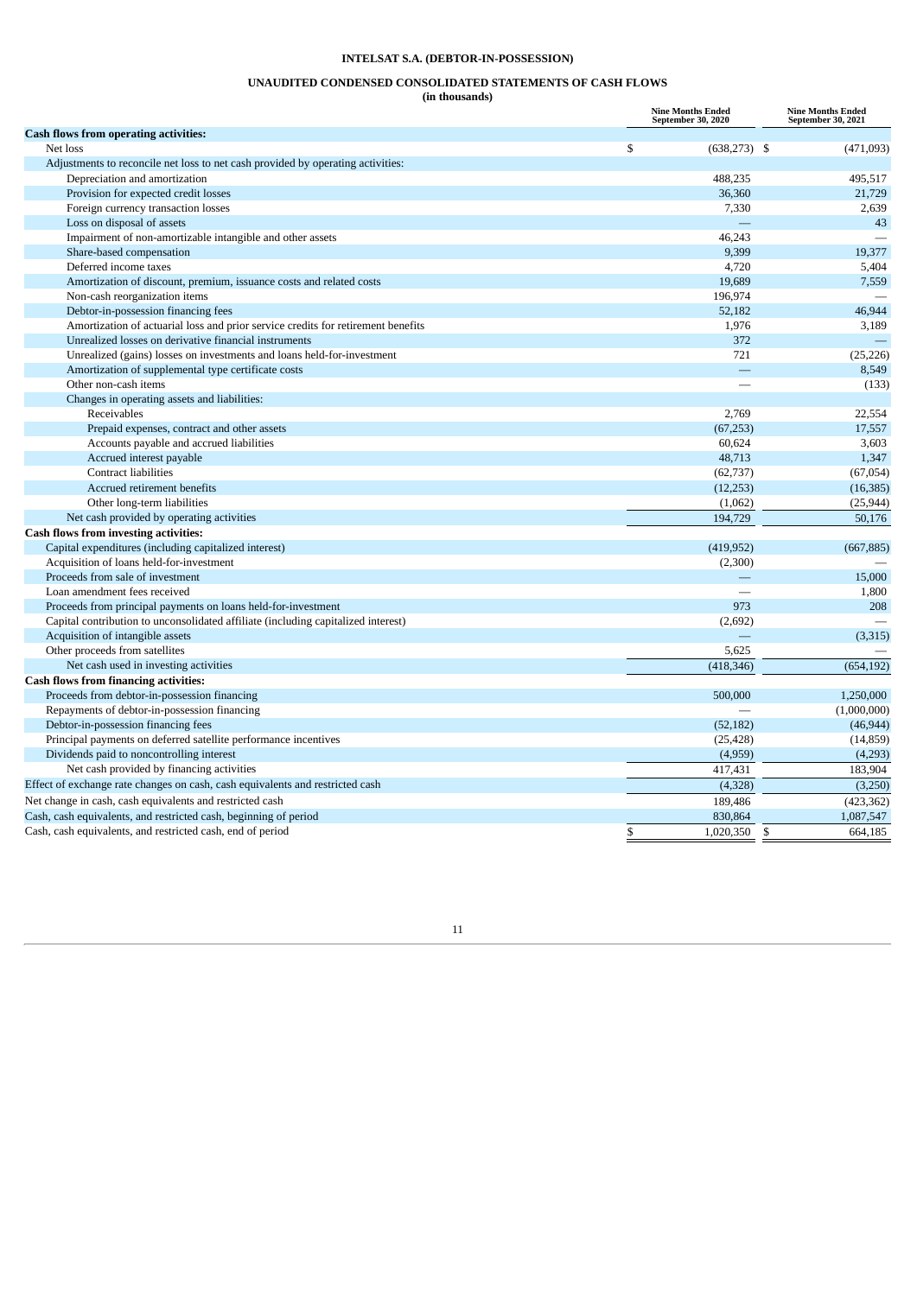## **UNAUDITED CONDENSED CONSOLIDATED STATEMENTS OF CASH FLOWS (in thousands)**

|                                                                                   | <b>Nine Months Ended</b><br>September 30, 2020 | <b>Nine Months Ended</b><br>September 30, 2021 |  |  |
|-----------------------------------------------------------------------------------|------------------------------------------------|------------------------------------------------|--|--|
| <b>Cash flows from operating activities:</b>                                      |                                                |                                                |  |  |
| Net loss                                                                          | \$<br>$(638, 273)$ \$                          | (471,093)                                      |  |  |
| Adjustments to reconcile net loss to net cash provided by operating activities:   |                                                |                                                |  |  |
| Depreciation and amortization                                                     | 488,235                                        | 495,517                                        |  |  |
| Provision for expected credit losses                                              | 36,360                                         | 21,729                                         |  |  |
| Foreign currency transaction losses                                               | 7,330                                          | 2,639                                          |  |  |
| Loss on disposal of assets                                                        |                                                | 43                                             |  |  |
| Impairment of non-amortizable intangible and other assets                         | 46,243                                         |                                                |  |  |
| Share-based compensation                                                          | 9,399                                          | 19.377                                         |  |  |
| Deferred income taxes                                                             | 4,720                                          | 5,404                                          |  |  |
| Amortization of discount, premium, issuance costs and related costs               | 19,689                                         | 7,559                                          |  |  |
| Non-cash reorganization items                                                     | 196,974                                        |                                                |  |  |
| Debtor-in-possession financing fees                                               | 52,182                                         | 46.944                                         |  |  |
| Amortization of actuarial loss and prior service credits for retirement benefits  | 1,976                                          | 3,189                                          |  |  |
| Unrealized losses on derivative financial instruments                             | 372                                            |                                                |  |  |
| Unrealized (gains) losses on investments and loans held-for-investment            | 721                                            | (25, 226)                                      |  |  |
| Amortization of supplemental type certificate costs                               |                                                | 8,549                                          |  |  |
| Other non-cash items                                                              |                                                | (133)                                          |  |  |
| Changes in operating assets and liabilities:                                      |                                                |                                                |  |  |
| Receivables                                                                       | 2,769                                          | 22,554                                         |  |  |
| Prepaid expenses, contract and other assets                                       | (67, 253)                                      | 17,557                                         |  |  |
| Accounts payable and accrued liabilities                                          | 60,624                                         | 3,603                                          |  |  |
| Accrued interest payable                                                          | 48,713                                         | 1,347                                          |  |  |
| <b>Contract liabilities</b>                                                       | (62, 737)                                      | (67,054)                                       |  |  |
| Accrued retirement benefits                                                       | (12, 253)                                      | (16, 385)                                      |  |  |
| Other long-term liabilities                                                       | (1,062)                                        | (25, 944)                                      |  |  |
| Net cash provided by operating activities                                         | 194,729                                        | 50,176                                         |  |  |
| Cash flows from investing activities:                                             |                                                |                                                |  |  |
| Capital expenditures (including capitalized interest)                             | (419, 952)                                     | (667, 885)                                     |  |  |
| Acquisition of loans held-for-investment                                          | (2,300)                                        |                                                |  |  |
| Proceeds from sale of investment                                                  |                                                | 15,000                                         |  |  |
| Loan amendment fees received                                                      |                                                | 1,800                                          |  |  |
| Proceeds from principal payments on loans held-for-investment                     | 973                                            | 208                                            |  |  |
| Capital contribution to unconsolidated affiliate (including capitalized interest) | (2,692)                                        |                                                |  |  |
| Acquisition of intangible assets                                                  |                                                | (3,315)                                        |  |  |
| Other proceeds from satellites                                                    | 5,625                                          |                                                |  |  |
| Net cash used in investing activities                                             | (418, 346)                                     | (654, 192)                                     |  |  |
| <b>Cash flows from financing activities:</b>                                      |                                                |                                                |  |  |
| Proceeds from debtor-in-possession financing                                      | 500,000                                        | 1,250,000                                      |  |  |
| Repayments of debtor-in-possession financing                                      |                                                | (1,000,000)                                    |  |  |
| Debtor-in-possession financing fees                                               | (52, 182)                                      | (46, 944)                                      |  |  |
| Principal payments on deferred satellite performance incentives                   | (25, 428)                                      | (14, 859)                                      |  |  |
| Dividends paid to noncontrolling interest                                         | (4,959)                                        | (4,293)                                        |  |  |
| Net cash provided by financing activities                                         | 417,431                                        | 183,904                                        |  |  |
| Effect of exchange rate changes on cash, cash equivalents and restricted cash     | (4,328)                                        | (3,250)                                        |  |  |
| Net change in cash, cash equivalents and restricted cash                          | 189,486                                        | (423, 362)                                     |  |  |
| Cash, cash equivalents, and restricted cash, beginning of period                  | 830,864                                        | 1,087,547                                      |  |  |
| Cash, cash equivalents, and restricted cash, end of period                        | \$<br>1.020.350                                | -S<br>664.185                                  |  |  |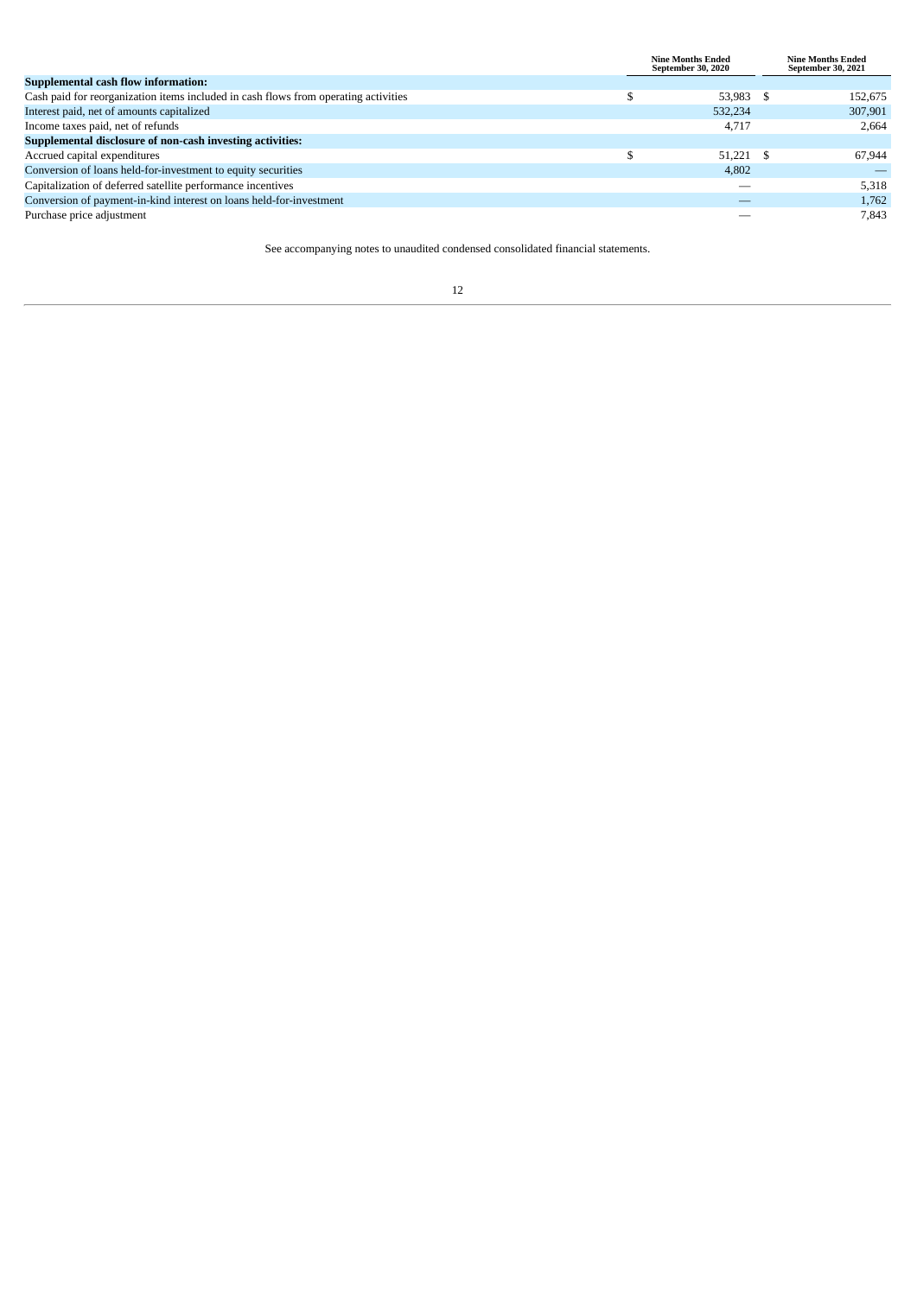<span id="page-11-0"></span>

|                                                                                     | <b>Nine Months Ended</b><br><b>September 30, 2020</b> | <b>Nine Months Ended</b><br><b>September 30, 2021</b> |
|-------------------------------------------------------------------------------------|-------------------------------------------------------|-------------------------------------------------------|
| <b>Supplemental cash flow information:</b>                                          |                                                       |                                                       |
| Cash paid for reorganization items included in cash flows from operating activities | 53,983 \$                                             | 152,675                                               |
| Interest paid, net of amounts capitalized                                           | 532,234                                               | 307,901                                               |
| Income taxes paid, net of refunds                                                   | 4,717                                                 | 2,664                                                 |
| Supplemental disclosure of non-cash investing activities:                           |                                                       |                                                       |
| Accrued capital expenditures                                                        | 51,221 \$                                             | 67,944                                                |
| Conversion of loans held-for-investment to equity securities                        | 4,802                                                 |                                                       |
| Capitalization of deferred satellite performance incentives                         |                                                       | 5,318                                                 |
| Conversion of payment-in-kind interest on loans held-for-investment                 |                                                       | 1,762                                                 |
| Purchase price adjustment                                                           |                                                       | 7,843                                                 |

See accompanying notes to unaudited condensed consolidated financial statements.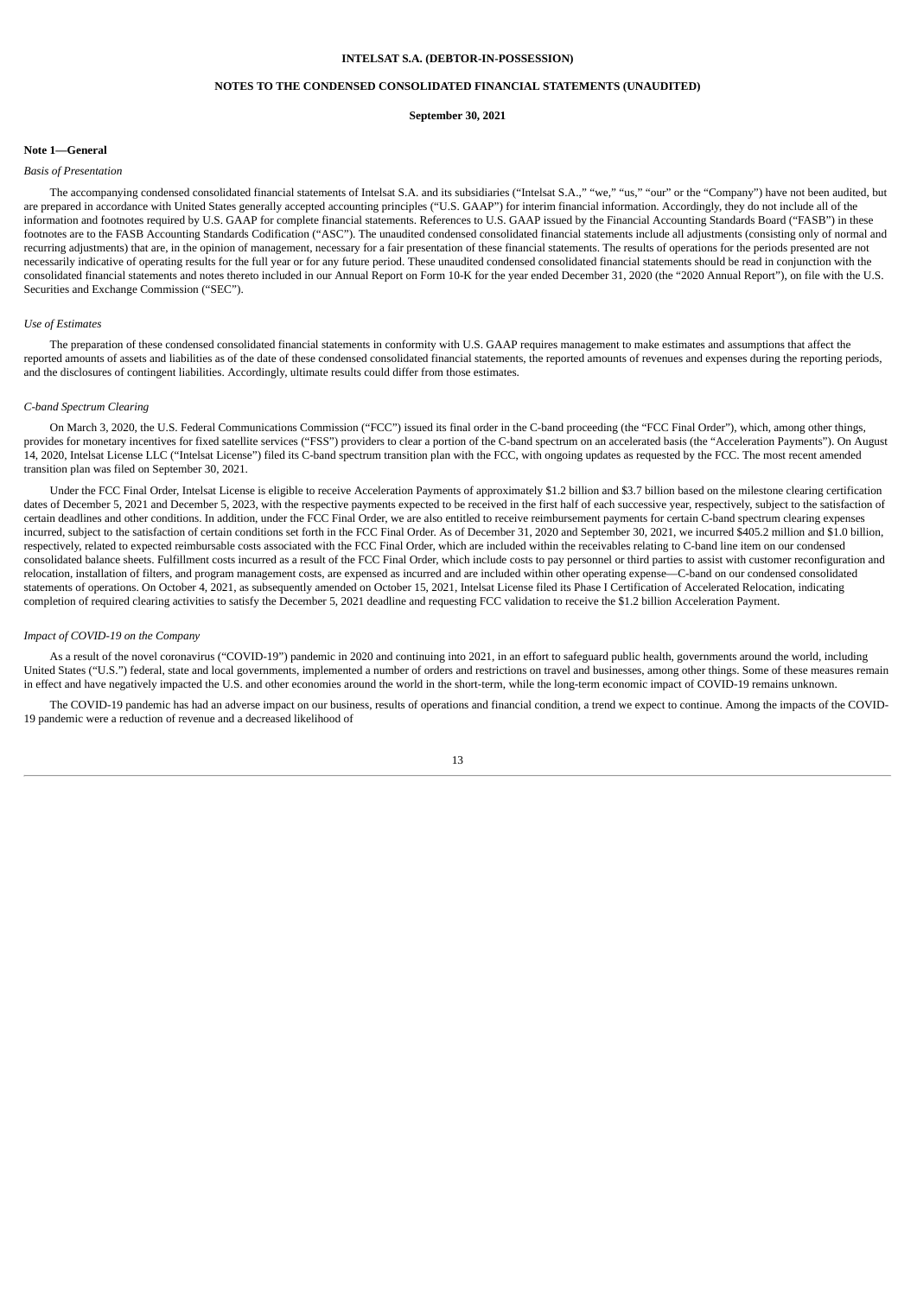## **NOTES TO THE CONDENSED CONSOLIDATED FINANCIAL STATEMENTS (UNAUDITED)**

## **September 30, 2021**

## **Note 1—General**

### *Basis of Presentation*

The accompanying condensed consolidated financial statements of Intelsat S.A. and its subsidiaries ("Intelsat S.A.," "we," "us," "our" or the "Company") have not been audited, but are prepared in accordance with United States generally accepted accounting principles ("U.S. GAAP") for interim financial information. Accordingly, they do not include all of the information and footnotes required by U.S. GAAP for complete financial statements. References to U.S. GAAP issued by the Financial Accounting Standards Board ("FASB") in these footnotes are to the FASB Accounting Standards Codification ("ASC"). The unaudited condensed consolidated financial statements include all adjustments (consisting only of normal and recurring adjustments) that are, in the opinion of management, necessary for a fair presentation of these financial statements. The results of operations for the periods presented are not necessarily indicative of operating results for the full year or for any future period. These unaudited condensed consolidated financial statements should be read in conjunction with the consolidated financial statements and notes thereto included in our Annual Report on Form 10-K for the year ended December 31, 2020 (the "2020 Annual Report"), on file with the U.S. Securities and Exchange Commission ("SEC").

# *Use of Estimates*

The preparation of these condensed consolidated financial statements in conformity with U.S. GAAP requires management to make estimates and assumptions that affect the reported amounts of assets and liabilities as of the date of these condensed consolidated financial statements, the reported amounts of revenues and expenses during the reporting periods, and the disclosures of contingent liabilities. Accordingly, ultimate results could differ from those estimates.

### *C-band Spectrum Clearing*

On March 3, 2020, the U.S. Federal Communications Commission ("FCC") issued its final order in the C-band proceeding (the "FCC Final Order"), which, among other things, provides for monetary incentives for fixed satellite services ("FSS") providers to clear a portion of the C-band spectrum on an accelerated basis (the "Acceleration Payments"). On August 14, 2020, Intelsat License LLC ("Intelsat License") filed its C-band spectrum transition plan with the FCC, with ongoing updates as requested by the FCC. The most recent amended transition plan was filed on September 30, 2021.

Under the FCC Final Order, Intelsat License is eligible to receive Acceleration Payments of approximately \$1.2 billion and \$3.7 billion based on the milestone clearing certification dates of December 5, 2021 and December 5, 2023, with the respective payments expected to be received in the first half of each successive year, respectively, subject to the satisfaction of certain deadlines and other conditions. In addition, under the FCC Final Order, we are also entitled to receive reimbursement payments for certain C-band spectrum clearing expenses incurred, subject to the satisfaction of certain conditions set forth in the FCC Final Order. As of December 31, 2020 and September 30, 2021, we incurred \$405.2 million and \$1.0 billion, respectively, related to expected reimbursable costs associated with the FCC Final Order, which are included within the receivables relating to C-band line item on our condensed consolidated balance sheets. Fulfillment costs incurred as a result of the FCC Final Order, which include costs to pay personnel or third parties to assist with customer reconfiguration and relocation, installation of filters, and program management costs, are expensed as incurred and are included within other operating expense—C-band on our condensed consolidated statements of operations. On October 4, 2021, as subsequently amended on October 15, 2021, Intelsat License filed its Phase I Certification of Accelerated Relocation, indicating completion of required clearing activities to satisfy the December 5, 2021 deadline and requesting FCC validation to receive the \$1.2 billion Acceleration Payment.

### *Impact of COVID-19 on the Company*

As a result of the novel coronavirus ("COVID-19") pandemic in 2020 and continuing into 2021, in an effort to safeguard public health, governments around the world, including United States ("U.S.") federal, state and local governments, implemented a number of orders and restrictions on travel and businesses, among other things. Some of these measures remain in effect and have negatively impacted the U.S. and other economies around the world in the short-term, while the long-term economic impact of COVID-19 remains unknown.

The COVID-19 pandemic has had an adverse impact on our business, results of operations and financial condition, a trend we expect to continue. Among the impacts of the COVID-19 pandemic were a reduction of revenue and a decreased likelihood of

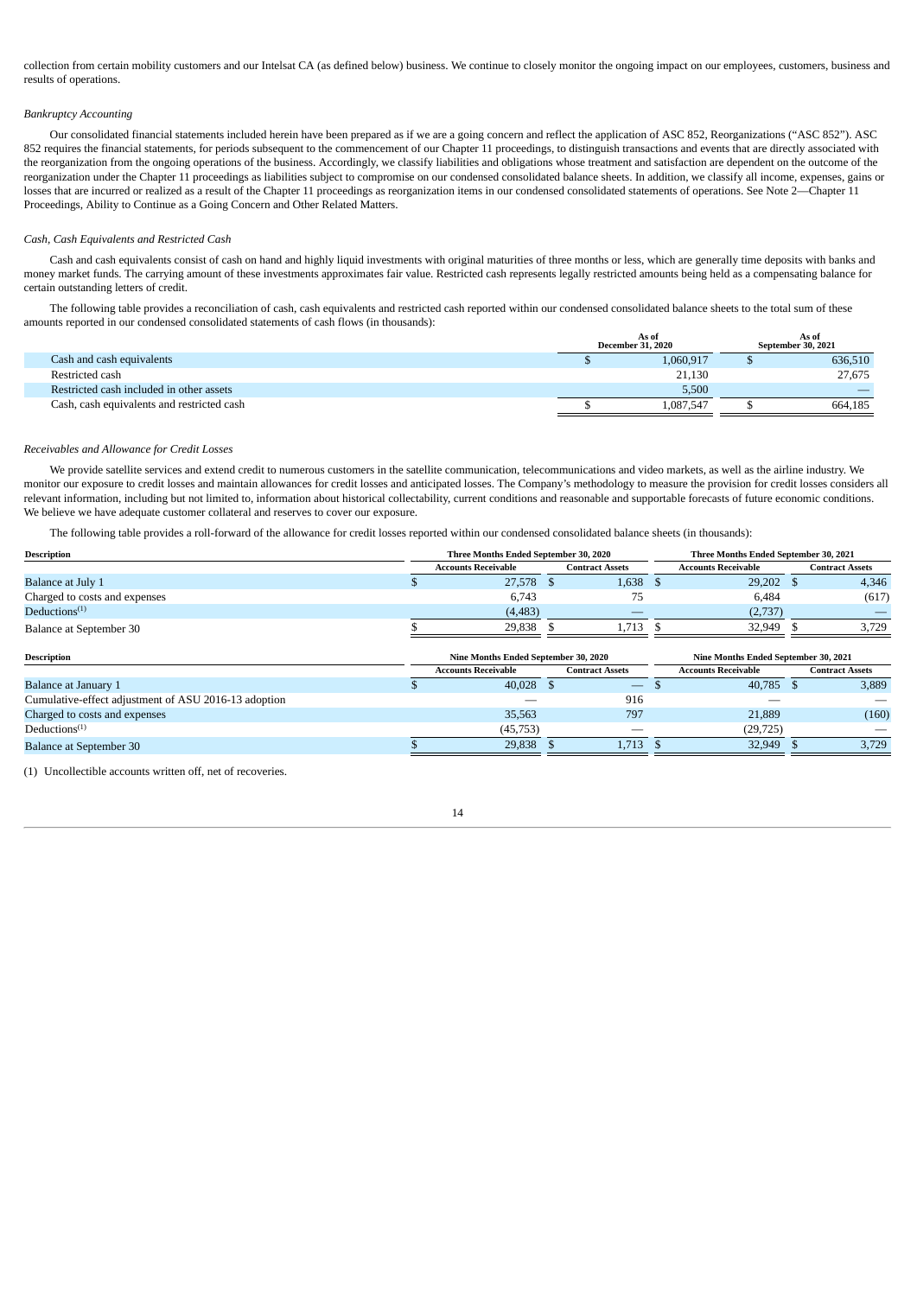collection from certain mobility customers and our Intelsat CA (as defined below) business. We continue to closely monitor the ongoing impact on our employees, customers, business and results of operations.

## *Bankruptcy Accounting*

Our consolidated financial statements included herein have been prepared as if we are a going concern and reflect the application of ASC 852, Reorganizations ("ASC 852"). ASC 852 requires the financial statements, for periods subsequent to the commencement of our Chapter 11 proceedings, to distinguish transactions and events that are directly associated with the reorganization from the ongoing operations of the business. Accordingly, we classify liabilities and obligations whose treatment and satisfaction are dependent on the outcome of the reorganization under the Chapter 11 proceedings as liabilities subject to compromise on our condensed consolidated balance sheets. In addition, we classify all income, expenses, gains or losses that are incurred or realized as a result of the Chapter 11 proceedings as reorganization items in our condensed consolidated statements of operations. See Note 2—Chapter 11 Proceedings, Ability to Continue as a Going Concern and Other Related Matters.

### *Cash, Cash Equivalents and Restricted Cash*

Cash and cash equivalents consist of cash on hand and highly liquid investments with original maturities of three months or less, which are generally time deposits with banks and money market funds. The carrying amount of these investments approximates fair value. Restricted cash represents legally restricted amounts being held as a compensating balance for certain outstanding letters of credit.

The following table provides a reconciliation of cash, cash equivalents and restricted cash reported within our condensed consolidated balance sheets to the total sum of these amounts reported in our condensed consolidated statements of cash flows (in thousands): **As of**

|                                            | As of<br><b>December 31, 2020</b> | As of<br>September 30, 2021 |
|--------------------------------------------|-----------------------------------|-----------------------------|
| Cash and cash equivalents                  | 1,060,917                         | 636,510                     |
| Restricted cash                            | 21,130                            | 27,675                      |
| Restricted cash included in other assets   | 5,500                             |                             |
| Cash, cash equivalents and restricted cash | 1,087,547                         | 664,185                     |

## *Receivables and Allowance for Credit Losses*

We provide satellite services and extend credit to numerous customers in the satellite communication, telecommunications and video markets, as well as the airline industry. We monitor our exposure to credit losses and maintain allowances for credit losses and anticipated losses. The Company's methodology to measure the provision for credit losses considers all relevant information, including but not limited to, information about historical collectability, current conditions and reasonable and supportable forecasts of future economic conditions. We believe we have adequate customer collateral and reserves to cover our exposure.

The following table provides a roll-forward of the allowance for credit losses reported within our condensed consolidated balance sheets (in thousands):

| <b>Description</b>            | Three Months Ended September 30, 2020<br>Three Months Ended September 30, 2021 |          |  |                          |                        |         |  |                            |  |                 |  |
|-------------------------------|--------------------------------------------------------------------------------|----------|--|--------------------------|------------------------|---------|--|----------------------------|--|-----------------|--|
|                               | <b>Accounts Receivable</b>                                                     |          |  |                          | <b>Contract Assets</b> |         |  | <b>Accounts Receivable</b> |  | Contract Assets |  |
| Balance at July 1             |                                                                                | 27,578   |  | 1,638                    |                        | 29,202  |  | 4,346                      |  |                 |  |
| Charged to costs and expenses |                                                                                | 6,743    |  |                          |                        | 6.484   |  | (617)                      |  |                 |  |
| Deductions <sup>(1)</sup>     |                                                                                | (4, 483) |  | $\overline{\phantom{a}}$ |                        | (2,737) |  | _                          |  |                 |  |
| Balance at September 30       |                                                                                | 29.838   |  | 1.713                    |                        | 32.949  |  | 3,729                      |  |                 |  |
|                               |                                                                                |          |  |                          |                        |         |  |                            |  |                 |  |

| Description                                          | Nine Months Ended September 30, 2020<br>Nine Months Ended September 30, 2021 |                            |                        |                                 |  |                     |  |                        |
|------------------------------------------------------|------------------------------------------------------------------------------|----------------------------|------------------------|---------------------------------|--|---------------------|--|------------------------|
|                                                      |                                                                              | <b>Accounts Receivable</b> | <b>Contract Assets</b> |                                 |  | Accounts Receivable |  | <b>Contract Assets</b> |
| <b>Balance at January 1</b>                          |                                                                              | 40.028                     |                        | $\hspace{0.1mm}-\hspace{0.1mm}$ |  | 40,785              |  | 3,889                  |
| Cumulative-effect adjustment of ASU 2016-13 adoption |                                                                              |                            |                        | 916                             |  |                     |  |                        |
| Charged to costs and expenses                        |                                                                              | 35,563                     |                        | 797                             |  | 21,889              |  | (160)                  |
| Deduction <sub>5</sub> (1)                           |                                                                              | (45,753)                   |                        |                                 |  | (29, 725)           |  |                        |
| Balance at September 30                              |                                                                              | 29,838                     |                        | 1.713                           |  | 32.949              |  | 3.729                  |

(1) Uncollectible accounts written off, net of recoveries.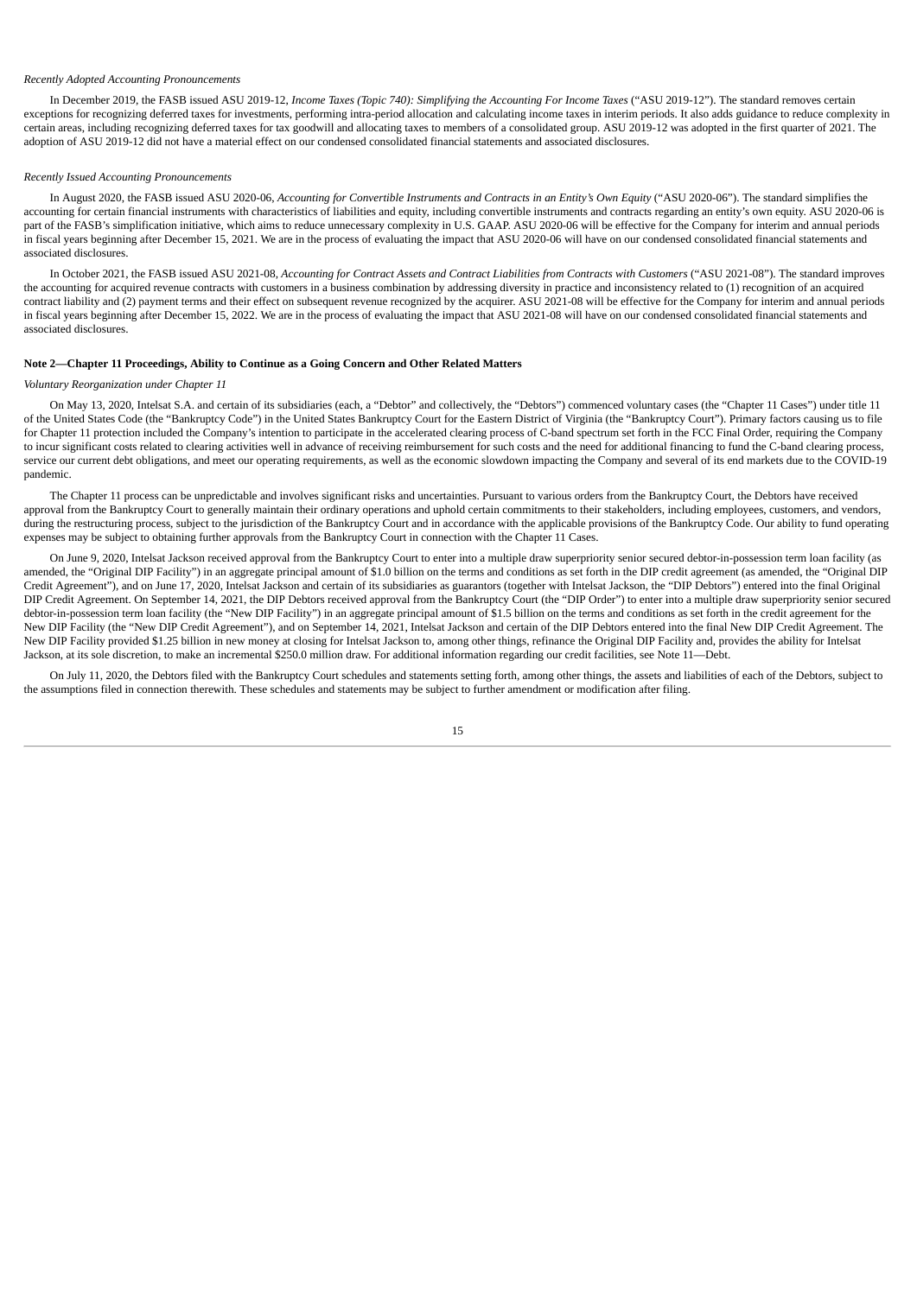### *Recently Adopted Accounting Pronouncements*

In December 2019, the FASB issued ASU 2019-12, Income Taxes (Topic 740): Simplifying the Accounting For Income Taxes ("ASU 2019-12"). The standard removes certain exceptions for recognizing deferred taxes for investments, performing intra-period allocation and calculating income taxes in interim periods. It also adds guidance to reduce complexity in certain areas, including recognizing deferred taxes for tax goodwill and allocating taxes to members of a consolidated group. ASU 2019-12 was adopted in the first quarter of 2021. The adoption of ASU 2019-12 did not have a material effect on our condensed consolidated financial statements and associated disclosures.

### *Recently Issued Accounting Pronouncements*

In August 2020, the FASB issued ASU 2020-06, Accounting for Convertible Instruments and Contracts in an Entity's Own Equity ("ASU 2020-06"). The standard simplifies the accounting for certain financial instruments with characteristics of liabilities and equity, including convertible instruments and contracts regarding an entity's own equity. ASU 2020-06 is part of the FASB's simplification initiative, which aims to reduce unnecessary complexity in U.S. GAAP. ASU 2020-06 will be effective for the Company for interim and annual periods in fiscal years beginning after December 15, 2021. We are in the process of evaluating the impact that ASU 2020-06 will have on our condensed consolidated financial statements and associated disclosures.

In October 2021, the FASB issued ASU 2021-08, Accounting for Contract Assets and Contract Liabilities from Contracts with Customers ("ASU 2021-08"). The standard improves the accounting for acquired revenue contracts with customers in a business combination by addressing diversity in practice and inconsistency related to (1) recognition of an acquired contract liability and (2) payment terms and their effect on subsequent revenue recognized by the acquirer. ASU 2021-08 will be effective for the Company for interim and annual periods in fiscal years beginning after December 15, 2022. We are in the process of evaluating the impact that ASU 2021-08 will have on our condensed consolidated financial statements and associated disclosures.

### **Note 2—Chapter 11 Proceedings, Ability to Continue as a Going Concern and Other Related Matters**

## *Voluntary Reorganization under Chapter 11*

On May 13, 2020, Intelsat S.A. and certain of its subsidiaries (each, a "Debtor" and collectively, the "Debtors") commenced voluntary cases (the "Chapter 11 Cases") under title 11 of the United States Code (the "Bankruptcy Code") in the United States Bankruptcy Court for the Eastern District of Virginia (the "Bankruptcy Court"). Primary factors causing us to file for Chapter 11 protection included the Company's intention to participate in the accelerated clearing process of C-band spectrum set forth in the FCC Final Order, requiring the Company to incur significant costs related to clearing activities well in advance of receiving reimbursement for such costs and the need for additional financing to fund the C-band clearing process, service our current debt obligations, and meet our operating requirements, as well as the economic slowdown impacting the Company and several of its end markets due to the COVID-19 pandemic.

The Chapter 11 process can be unpredictable and involves significant risks and uncertainties. Pursuant to various orders from the Bankruptcy Court, the Debtors have received approval from the Bankruptcy Court to generally maintain their ordinary operations and uphold certain commitments to their stakeholders, including employees, customers, and vendors, during the restructuring process, subject to the jurisdiction of the Bankruptcy Court and in accordance with the applicable provisions of the Bankruptcy Code. Our ability to fund operating expenses may be subject to obtaining further approvals from the Bankruptcy Court in connection with the Chapter 11 Cases.

On June 9, 2020, Intelsat Jackson received approval from the Bankruptcy Court to enter into a multiple draw superpriority senior secured debtor-in-possession term loan facility (as amended, the "Original DIP Facility") in an aggregate principal amount of \$1.0 billion on the terms and conditions as set forth in the DIP credit agreement (as amended, the "Original DIP Credit Agreement"), and on June 17, 2020, Intelsat Jackson and certain of its subsidiaries as guarantors (together with Intelsat Jackson, the "DIP Debtors") entered into the final Original DIP Credit Agreement. On September 14, 2021, the DIP Debtors received approval from the Bankruptcy Court (the "DIP Order") to enter into a multiple draw superpriority senior secured debtor-in-possession term loan facility (the "New DIP Facility") in an aggregate principal amount of \$1.5 billion on the terms and conditions as set forth in the credit agreement for the New DIP Facility (the "New DIP Credit Agreement"), and on September 14, 2021, Intelsat Jackson and certain of the DIP Debtors entered into the final New DIP Credit Agreement. The New DIP Facility provided \$1.25 billion in new money at closing for Intelsat Jackson to, among other things, refinance the Original DIP Facility and, provides the ability for Intelsat Jackson, at its sole discretion, to make an incremental \$250.0 million draw. For additional information regarding our credit facilities, see Note 11—Debt.

On July 11, 2020, the Debtors filed with the Bankruptcy Court schedules and statements setting forth, among other things, the assets and liabilities of each of the Debtors, subject to the assumptions filed in connection therewith. These schedules and statements may be subject to further amendment or modification after filing.

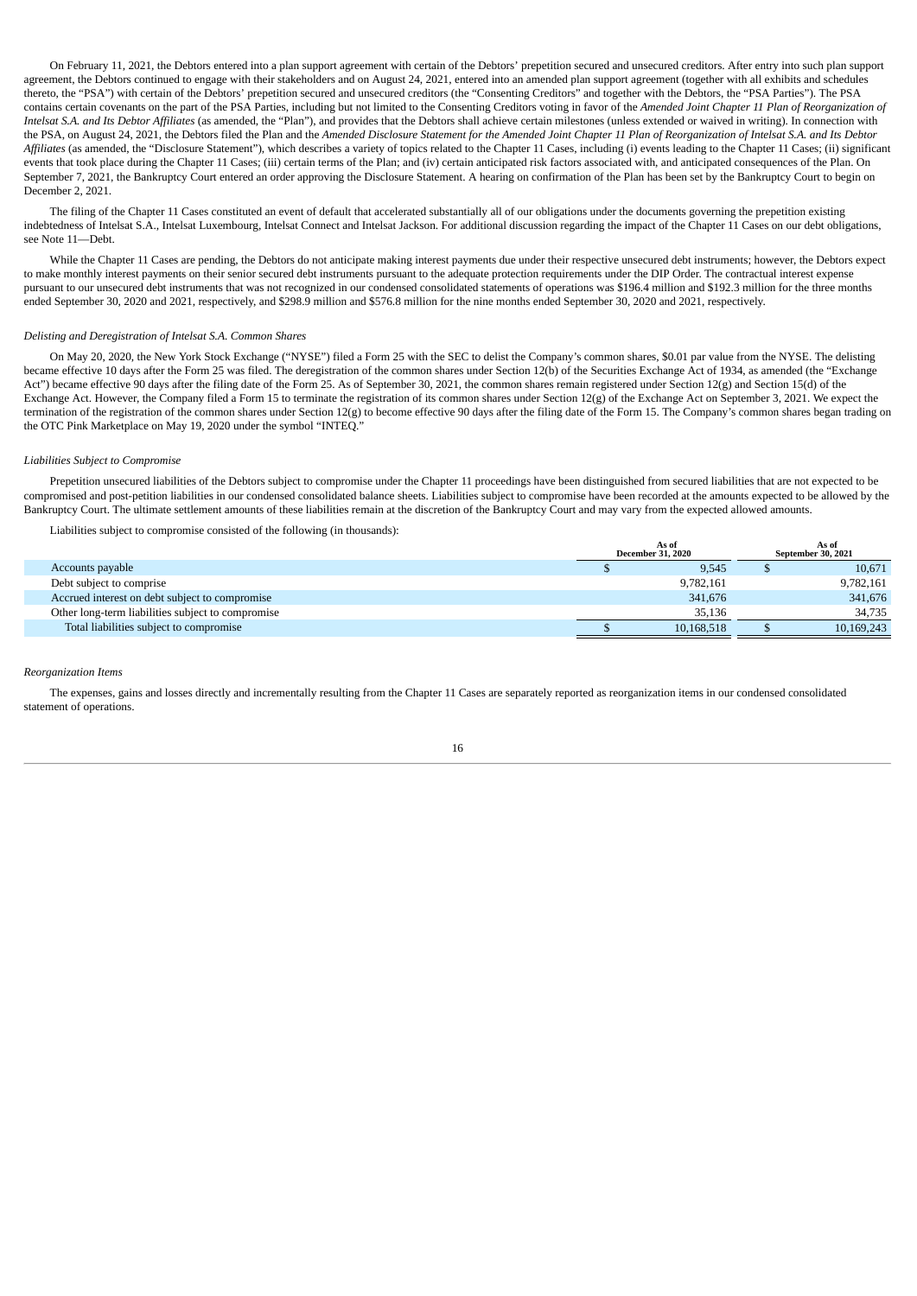On February 11, 2021, the Debtors entered into a plan support agreement with certain of the Debtors' prepetition secured and unsecured creditors. After entry into such plan support agreement, the Debtors continued to engage with their stakeholders and on August 24, 2021, entered into an amended plan support agreement (together with all exhibits and schedules thereto, the "PSA") with certain of the Debtors' prepetition secured and unsecured creditors (the "Consenting Creditors" and together with the Debtors, the "PSA Parties"). The PSA contains certain covenants on the part of the PSA Parties, including but not limited to the Consenting Creditors voting in favor of the Amended Joint Chapter 11 Plan of Reorganization of Intelsat S.A. and Its Debtor Affiliates (as amended, the "Plan"), and provides that the Debtors shall achieve certain milestones (unless extended or waived in writing). In connection with the PSA, on August 24, 2021, the Debtors filed the Plan and the Amended Disclosure Statement for the Amended Joint Chapter 11 Plan of Reorganization of Intelsat S.A. and Its Debtor *Affiliates* (as amended, the "Disclosure Statement"), which describes a variety of topics related to the Chapter 11 Cases, including (i) events leading to the Chapter 11 Cases; (ii) significant events that took place during the Chapter 11 Cases; (iii) certain terms of the Plan; and (iv) certain anticipated risk factors associated with, and anticipated consequences of the Plan. On September 7, 2021, the Bankruptcy Court entered an order approving the Disclosure Statement. A hearing on confirmation of the Plan has been set by the Bankruptcy Court to begin on December 2, 2021.

The filing of the Chapter 11 Cases constituted an event of default that accelerated substantially all of our obligations under the documents governing the prepetition existing indebtedness of Intelsat S.A., Intelsat Luxembourg, Intelsat Connect and Intelsat Jackson. For additional discussion regarding the impact of the Chapter 11 Cases on our debt obligations, see Note 11—Debt.

While the Chapter 11 Cases are pending, the Debtors do not anticipate making interest payments due under their respective unsecured debt instruments; however, the Debtors expect to make monthly interest payments on their senior secured debt instruments pursuant to the adequate protection requirements under the DIP Order. The contractual interest expense pursuant to our unsecured debt instruments that was not recognized in our condensed consolidated statements of operations was \$196.4 million and \$192.3 million for the three months ended September 30, 2020 and 2021, respectively, and \$298.9 million and \$576.8 million for the nine months ended September 30, 2020 and 2021, respectively.

### *Delisting and Deregistration of Intelsat S.A. Common Shares*

On May 20, 2020, the New York Stock Exchange ("NYSE") filed a Form 25 with the SEC to delist the Company's common shares, \$0.01 par value from the NYSE. The delisting became effective 10 days after the Form 25 was filed. The deregistration of the common shares under Section 12(b) of the Securities Exchange Act of 1934, as amended (the "Exchange Act") became effective 90 days after the filing date of the Form 25. As of September 30, 2021, the common shares remain registered under Section 12(g) and Section 15(d) of the Exchange Act. However, the Company filed a Form 15 to terminate the registration of its common shares under Section 12(g) of the Exchange Act on September 3, 2021. We expect the termination of the registration of the common shares under Section 12(g) to become effective 90 days after the filing date of the Form 15. The Company's common shares began trading on the OTC Pink Marketplace on May 19, 2020 under the symbol "INTEQ."

### *Liabilities Subject to Compromise*

Prepetition unsecured liabilities of the Debtors subject to compromise under the Chapter 11 proceedings have been distinguished from secured liabilities that are not expected to be compromised and post-petition liabilities in our condensed consolidated balance sheets. Liabilities subject to compromise have been recorded at the amounts expected to be allowed by the Bankruptcy Court. The ultimate settlement amounts of these liabilities remain at the discretion of the Bankruptcy Court and may vary from the expected allowed amounts.

Liabilities subject to compromise consisted of the following (in thousands):

|                                                   | As of<br><b>December 31, 2020</b> | As of<br>September 30, 2021 |
|---------------------------------------------------|-----------------------------------|-----------------------------|
| Accounts payable                                  | 9,545                             | 10,671                      |
| Debt subject to comprise                          | 9,782,161                         | 9,782,161                   |
| Accrued interest on debt subject to compromise    | 341,676                           | 341,676                     |
| Other long-term liabilities subject to compromise | 35.136                            | 34,735                      |
| Total liabilities subject to compromise           | 10,168,518                        | 10,169,243                  |

**As of**

### *Reorganization Items*

The expenses, gains and losses directly and incrementally resulting from the Chapter 11 Cases are separately reported as reorganization items in our condensed consolidated statement of operations.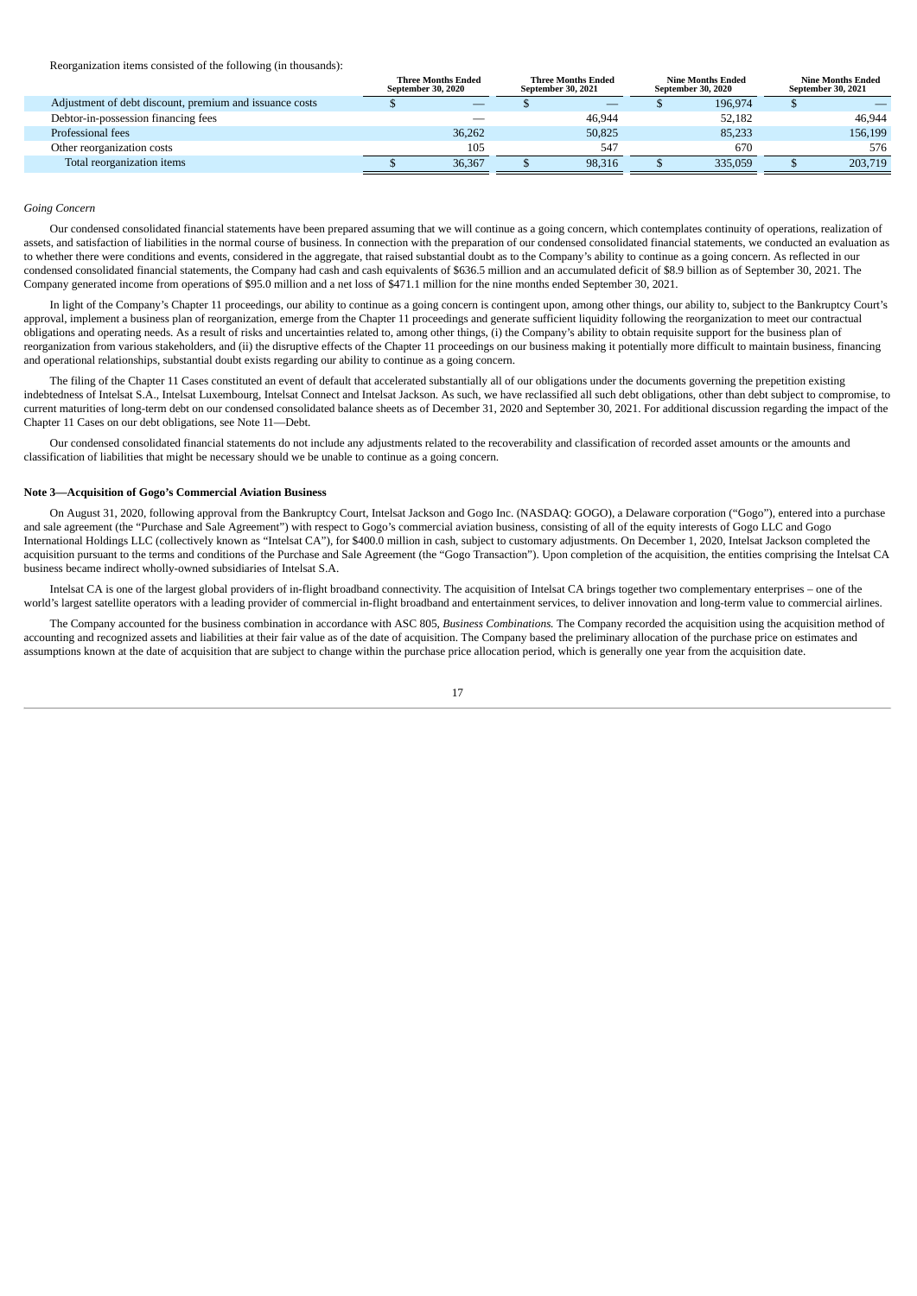## Reorganization items consisted of the following (in thousands):

|                                                         | September 30, 2020 | <b>Three Months Ended</b> | <b>Three Months Ended</b><br>September 30, 2021 | <b>Nine Months Ended</b><br>September 30, 2020 | <b>Nine Months Ended</b><br><b>September 30, 2021</b> |
|---------------------------------------------------------|--------------------|---------------------------|-------------------------------------------------|------------------------------------------------|-------------------------------------------------------|
| Adjustment of debt discount, premium and issuance costs |                    | $\qquad \qquad - \qquad$  |                                                 | 196.974                                        |                                                       |
| Debtor-in-possession financing fees                     |                    |                           | 46.944                                          | 52,182                                         | 46.944                                                |
| Professional fees                                       |                    | 36.262                    | 50,825                                          | 85,233                                         | 156,199                                               |
| Other reorganization costs                              |                    | 105                       | 547                                             | 670                                            | 576                                                   |
| Total reorganization items                              |                    | 36,367                    | 98.316                                          | 335,059                                        | 203,719                                               |

## *Going Concern*

Our condensed consolidated financial statements have been prepared assuming that we will continue as a going concern, which contemplates continuity of operations, realization of assets, and satisfaction of liabilities in the normal course of business. In connection with the preparation of our condensed consolidated financial statements, we conducted an evaluation as to whether there were conditions and events, considered in the aggregate, that raised substantial doubt as to the Company's ability to continue as a going concern. As reflected in our condensed consolidated financial statements, the Company had cash and cash equivalents of \$636.5 million and an accumulated deficit of \$8.9 billion as of September 30, 2021. The Company generated income from operations of \$95.0 million and a net loss of \$471.1 million for the nine months ended September 30, 2021.

In light of the Company's Chapter 11 proceedings, our ability to continue as a going concern is contingent upon, among other things, our ability to, subject to the Bankruptcy Court's approval, implement a business plan of reorganization, emerge from the Chapter 11 proceedings and generate sufficient liquidity following the reorganization to meet our contractual obligations and operating needs. As a result of risks and uncertainties related to, among other things, (i) the Company's ability to obtain requisite support for the business plan of reorganization from various stakeholders, and (ii) the disruptive effects of the Chapter 11 proceedings on our business making it potentially more difficult to maintain business, financing and operational relationships, substantial doubt exists regarding our ability to continue as a going concern.

The filing of the Chapter 11 Cases constituted an event of default that accelerated substantially all of our obligations under the documents governing the prepetition existing indebtedness of Intelsat S.A., Intelsat Luxembourg, Intelsat Connect and Intelsat Jackson. As such, we have reclassified all such debt obligations, other than debt subject to compromise, to current maturities of long-term debt on our condensed consolidated balance sheets as of December 31, 2020 and September 30, 2021. For additional discussion regarding the impact of the Chapter 11 Cases on our debt obligations, see Note 11—Debt.

Our condensed consolidated financial statements do not include any adjustments related to the recoverability and classification of recorded asset amounts or the amounts and classification of liabilities that might be necessary should we be unable to continue as a going concern.

### **Note 3—Acquisition of Gogo's Commercial Aviation Business**

On August 31, 2020, following approval from the Bankruptcy Court, Intelsat Jackson and Gogo Inc. (NASDAQ: GOGO), a Delaware corporation ("Gogo"), entered into a purchase and sale agreement (the "Purchase and Sale Agreement") with respect to Gogo's commercial aviation business, consisting of all of the equity interests of Gogo LLC and Gogo International Holdings LLC (collectively known as "Intelsat CA"), for \$400.0 million in cash, subject to customary adjustments. On December 1, 2020, Intelsat Jackson completed the acquisition pursuant to the terms and conditions of the Purchase and Sale Agreement (the "Gogo Transaction"). Upon completion of the acquisition, the entities comprising the Intelsat CA business became indirect wholly-owned subsidiaries of Intelsat S.A.

Intelsat CA is one of the largest global providers of in-flight broadband connectivity. The acquisition of Intelsat CA brings together two complementary enterprises – one of the world's largest satellite operators with a leading provider of commercial in-flight broadband and entertainment services, to deliver innovation and long-term value to commercial airlines.

The Company accounted for the business combination in accordance with ASC 805, *Business Combinations.* The Company recorded the acquisition using the acquisition method of accounting and recognized assets and liabilities at their fair value as of the date of acquisition. The Company based the preliminary allocation of the purchase price on estimates and assumptions known at the date of acquisition that are subject to change within the purchase price allocation period, which is generally one year from the acquisition date.

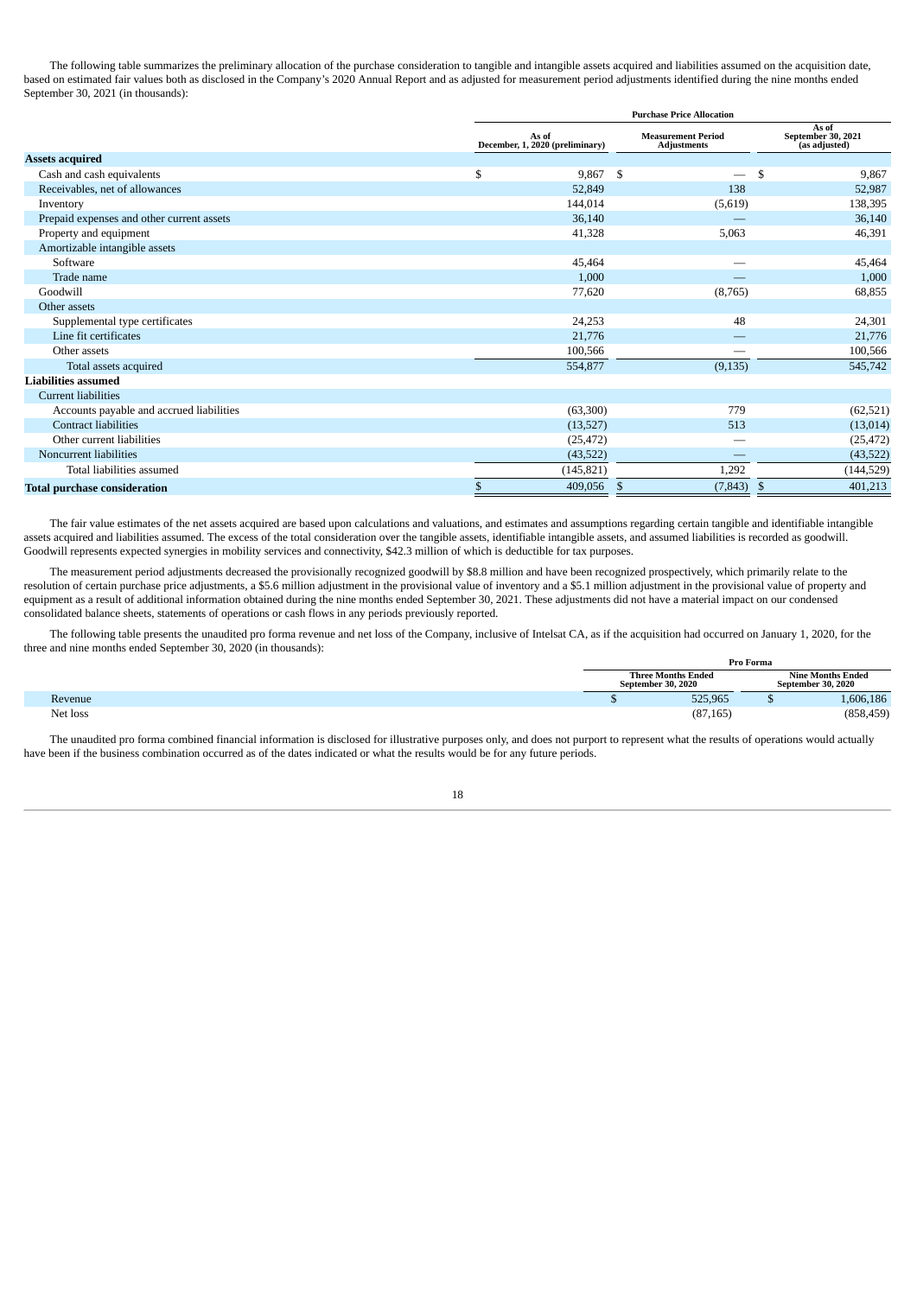The following table summarizes the preliminary allocation of the purchase consideration to tangible and intangible assets acquired and liabilities assumed on the acquisition date, based on estimated fair values both as disclosed in the Company's 2020 Annual Report and as adjusted for measurement period adjustments identified during the nine months ended September 30, 2021 (in thousands):

|                                           |                                          | <b>Purchase Price Allocation</b>                |          |                                                     |
|-------------------------------------------|------------------------------------------|-------------------------------------------------|----------|-----------------------------------------------------|
|                                           | As of<br>December, 1, 2020 (preliminary) | <b>Measurement Period</b><br><b>Adjustments</b> |          | As of<br><b>September 30, 2021</b><br>(as adjusted) |
| <b>Assets acquired</b>                    |                                          |                                                 |          |                                                     |
| Cash and cash equivalents                 | \$<br>9,867                              | \$                                              |          | \$<br>9,867                                         |
| Receivables, net of allowances            | 52,849                                   |                                                 | 138      | 52,987                                              |
| Inventory                                 | 144,014                                  |                                                 | (5,619)  | 138,395                                             |
| Prepaid expenses and other current assets | 36,140                                   |                                                 |          | 36,140                                              |
| Property and equipment                    | 41,328                                   |                                                 | 5,063    | 46,391                                              |
| Amortizable intangible assets             |                                          |                                                 |          |                                                     |
| Software                                  | 45,464                                   |                                                 |          | 45,464                                              |
| Trade name                                | 1,000                                    |                                                 |          | 1,000                                               |
| Goodwill                                  | 77,620                                   |                                                 | (8,765)  | 68,855                                              |
| Other assets                              |                                          |                                                 |          |                                                     |
| Supplemental type certificates            | 24,253                                   |                                                 | 48       | 24,301                                              |
| Line fit certificates                     | 21,776                                   |                                                 |          | 21,776                                              |
| Other assets                              | 100,566                                  |                                                 | --       | 100,566                                             |
| Total assets acquired                     | 554,877                                  |                                                 | (9, 135) | 545,742                                             |
| <b>Liabilities assumed</b>                |                                          |                                                 |          |                                                     |
| <b>Current liabilities</b>                |                                          |                                                 |          |                                                     |
| Accounts payable and accrued liabilities  | (63,300)                                 |                                                 | 779      | (62, 521)                                           |
| <b>Contract liabilities</b>               | (13,527)                                 |                                                 | 513      | (13,014)                                            |
| Other current liabilities                 | (25, 472)                                |                                                 |          | (25, 472)                                           |
| Noncurrent liabilities                    | (43,522)                                 |                                                 | _        | (43,522)                                            |
| Total liabilities assumed                 | (145, 821)                               |                                                 | 1,292    | (144, 529)                                          |
| <b>Total purchase consideration</b>       | 409,056                                  | \$                                              | (7, 843) | 401,213<br>-\$                                      |

The fair value estimates of the net assets acquired are based upon calculations and valuations, and estimates and assumptions regarding certain tangible and identifiable intangible assets acquired and liabilities assumed. The excess of the total consideration over the tangible assets, identifiable intangible assets, and assumed liabilities is recorded as goodwill. Goodwill represents expected synergies in mobility services and connectivity, \$42.3 million of which is deductible for tax purposes.

The measurement period adjustments decreased the provisionally recognized goodwill by \$8.8 million and have been recognized prospectively, which primarily relate to the resolution of certain purchase price adjustments, a \$5.6 million adjustment in the provisional value of inventory and a \$5.1 million adjustment in the provisional value of property and equipment as a result of additional information obtained during the nine months ended September 30, 2021. These adjustments did not have a material impact on our condensed consolidated balance sheets, statements of operations or cash flows in any periods previously reported.

The following table presents the unaudited pro forma revenue and net loss of the Company, inclusive of Intelsat CA, as if the acquisition had occurred on January 1, 2020, for the three and nine months ended September 30, 2020 (in thousands):

|          | Pro Forma |                                                        |  |                                                |  |  |
|----------|-----------|--------------------------------------------------------|--|------------------------------------------------|--|--|
|          |           | <b>Three Months Ended</b><br><b>September 30, 2020</b> |  | <b>Nine Months Ended</b><br>September 30, 2020 |  |  |
| Revenue  |           | 525,965                                                |  | .606,186                                       |  |  |
| Net loss |           | (87, 165)                                              |  | (858, 459)                                     |  |  |

The unaudited pro forma combined financial information is disclosed for illustrative purposes only, and does not purport to represent what the results of operations would actually have been if the business combination occurred as of the dates indicated or what the results would be for any future periods.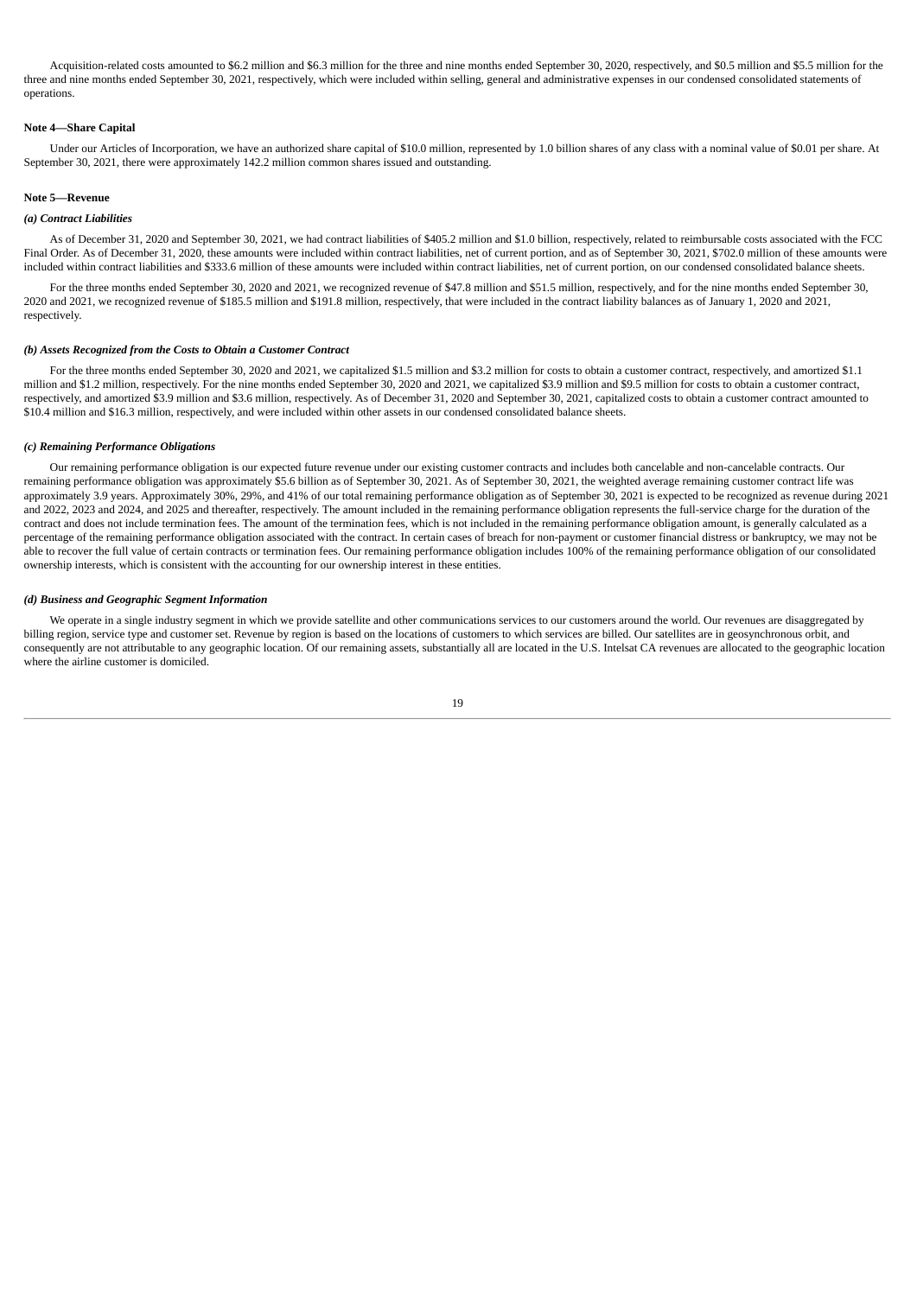Acquisition-related costs amounted to \$6.2 million and \$6.3 million for the three and nine months ended September 30, 2020, respectively, and \$0.5 million and \$5.5 million for the three and nine months ended September 30, 2021, respectively, which were included within selling, general and administrative expenses in our condensed consolidated statements of operations.

### **Note 4—Share Capital**

Under our Articles of Incorporation, we have an authorized share capital of \$10.0 million, represented by 1.0 billion shares of any class with a nominal value of \$0.01 per share. At September 30, 2021, there were approximately 142.2 million common shares issued and outstanding.

### **Note 5—Revenue**

## *(a) Contract Liabilities*

As of December 31, 2020 and September 30, 2021, we had contract liabilities of \$405.2 million and \$1.0 billion, respectively, related to reimbursable costs associated with the FCC Final Order. As of December 31, 2020, these amounts were included within contract liabilities, net of current portion, and as of September 30, 2021, \$702.0 million of these amounts were included within contract liabilities and \$333.6 million of these amounts were included within contract liabilities, net of current portion, on our condensed consolidated balance sheets.

For the three months ended September 30, 2020 and 2021, we recognized revenue of \$47.8 million and \$51.5 million, respectively, and for the nine months ended September 30, 2020 and 2021, we recognized revenue of \$185.5 million and \$191.8 million, respectively, that were included in the contract liability balances as of January 1, 2020 and 2021, respectively.

### *(b) Assets Recognized from the Costs to Obtain a Customer Contract*

For the three months ended September 30, 2020 and 2021, we capitalized \$1.5 million and \$3.2 million for costs to obtain a customer contract, respectively, and amortized \$1.1 million and \$1.2 million, respectively. For the nine months ended September 30, 2020 and 2021, we capitalized \$3.9 million and \$9.5 million for costs to obtain a customer contract, respectively, and amortized \$3.9 million and \$3.6 million, respectively. As of December 31, 2020 and September 30, 2021, capitalized costs to obtain a customer contract amounted to \$10.4 million and \$16.3 million, respectively, and were included within other assets in our condensed consolidated balance sheets.

### *(c) Remaining Performance Obligations*

Our remaining performance obligation is our expected future revenue under our existing customer contracts and includes both cancelable and non-cancelable contracts. Our remaining performance obligation was approximately \$5.6 billion as of September 30, 2021. As of September 30, 2021, the weighted average remaining customer contract life was approximately 3.9 years. Approximately 30%, 29%, and 41% of our total remaining performance obligation as of September 30, 2021 is expected to be recognized as revenue during 2021 and 2022, 2023 and 2024, and 2025 and thereafter, respectively. The amount included in the remaining performance obligation represents the full-service charge for the duration of the contract and does not include termination fees. The amount of the termination fees, which is not included in the remaining performance obligation amount, is generally calculated as a percentage of the remaining performance obligation associated with the contract. In certain cases of breach for non-payment or customer financial distress or bankruptcy, we may not be able to recover the full value of certain contracts or termination fees. Our remaining performance obligation includes 100% of the remaining performance obligation of our consolidated ownership interests, which is consistent with the accounting for our ownership interest in these entities.

## *(d) Business and Geographic Segment Information*

We operate in a single industry segment in which we provide satellite and other communications services to our customers around the world. Our revenues are disaggregated by billing region, service type and customer set. Revenue by region is based on the locations of customers to which services are billed. Our satellites are in geosynchronous orbit, and consequently are not attributable to any geographic location. Of our remaining assets, substantially all are located in the U.S. Intelsat CA revenues are allocated to the geographic location where the airline customer is domiciled.

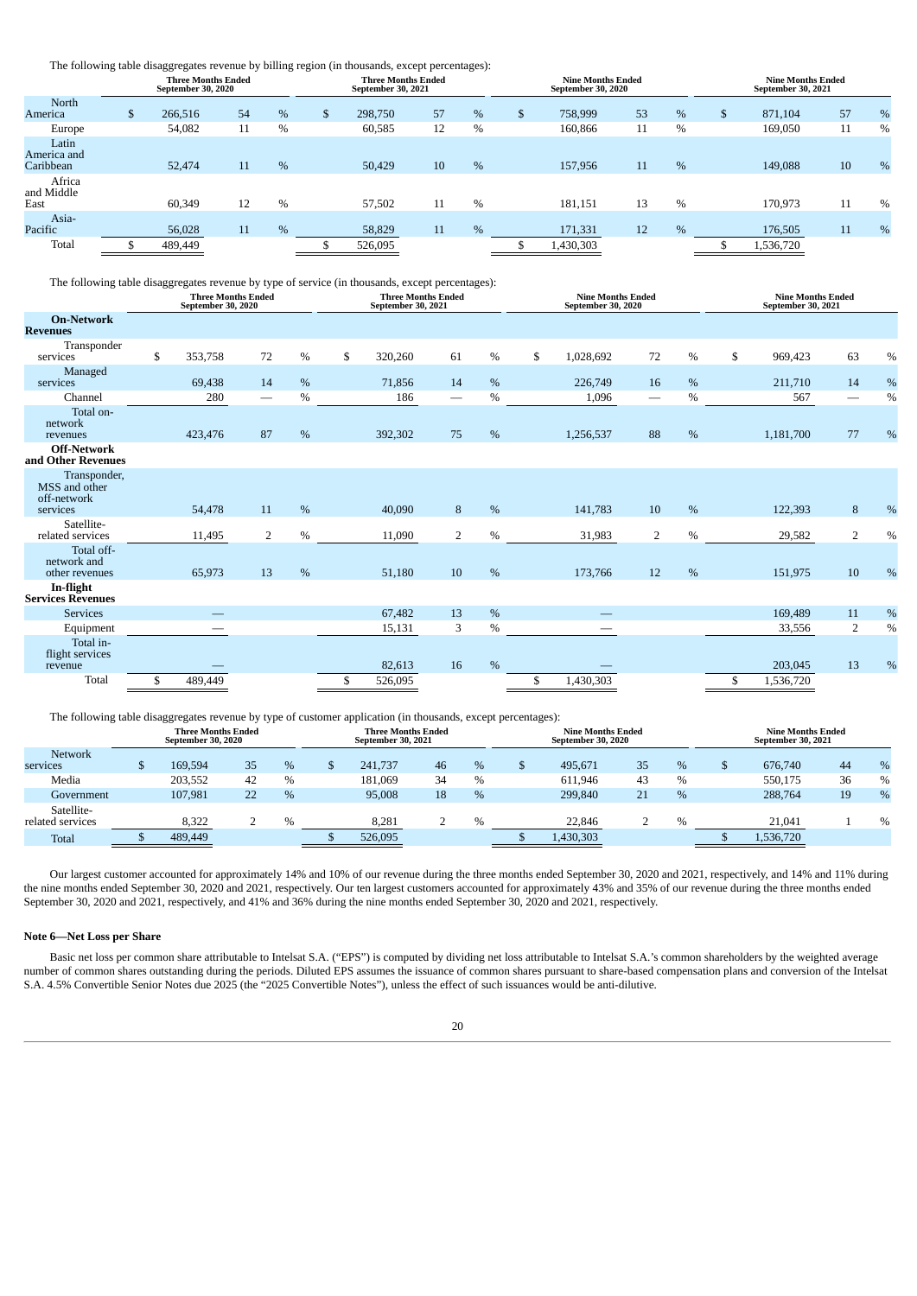## The following table disaggregates revenue by billing region (in thousands, except percentages):

| . <del>. .</del>                  |   |                                                        |    |      |                                                        |         |    |      |                                                       |    |      |    |                                                |    |      |  |  |
|-----------------------------------|---|--------------------------------------------------------|----|------|--------------------------------------------------------|---------|----|------|-------------------------------------------------------|----|------|----|------------------------------------------------|----|------|--|--|
|                                   |   | <b>Three Months Ended</b><br><b>September 30, 2020</b> |    |      | <b>Three Months Ended</b><br><b>September 30, 2021</b> |         |    |      | <b>Nine Months Ended</b><br><b>September 30, 2020</b> |    |      |    | <b>Nine Months Ended</b><br>September 30, 2021 |    |      |  |  |
| North<br>America                  | D | 266,516                                                | 54 | $\%$ | \$                                                     | 298,750 | 57 | $\%$ | \$<br>758,999                                         | 53 | $\%$ | \$ | 871,104                                        | 57 | $\%$ |  |  |
| Europe                            |   | 54,082                                                 | 11 | $\%$ |                                                        | 60,585  | 12 | $\%$ | 160,866                                               | 11 | $\%$ |    | 169,050                                        | 11 | $\%$ |  |  |
| Latin<br>America and<br>Caribbean |   | 52,474                                                 | 11 | %    |                                                        | 50,429  | 10 | $\%$ | 157,956                                               | 11 | %    |    | 149,088                                        | 10 | $\%$ |  |  |
| Africa<br>and Middle<br>East      |   | 60,349                                                 | 12 | $\%$ |                                                        | 57,502  | 11 | $\%$ | 181,151                                               | 13 | $\%$ |    | 170,973                                        | 11 | $\%$ |  |  |
| Asia-<br>Pacific                  |   | 56,028                                                 | 11 | $\%$ |                                                        | 58,829  | 11 | $\%$ | 171,331                                               | 12 | $\%$ |    | 176,505                                        | 11 | %    |  |  |
| Total                             |   | 489,449                                                |    |      |                                                        | 526,095 |    |      | 1,430,303                                             |    |      |    | 1,536,720                                      |    |      |  |  |

## The following table disaggregates revenue by type of service (in thousands, except percentages):

|                                                          | <b>Three Months Ended</b><br>September 30, 2020 |    |      | <b>Three Months Ended</b><br>September 30, 2021 |         |                | <b>Nine Months Ended</b><br><b>September 30, 2020</b> |    |           |    | <b>Nine Months Ended</b><br>September 30, 2021 |    |           |                |      |
|----------------------------------------------------------|-------------------------------------------------|----|------|-------------------------------------------------|---------|----------------|-------------------------------------------------------|----|-----------|----|------------------------------------------------|----|-----------|----------------|------|
| <b>On-Network</b><br><b>Revenues</b>                     |                                                 |    |      |                                                 |         |                |                                                       |    |           |    |                                                |    |           |                |      |
| Transponder<br>services                                  | \$<br>353,758                                   | 72 | $\%$ | \$                                              | 320,260 | 61             | $\%$                                                  | \$ | 1,028,692 | 72 | %                                              | \$ | 969,423   | 63             | $\%$ |
| Managed<br>services                                      | 69,438                                          | 14 | %    |                                                 | 71,856  | 14             | $\%$                                                  |    | 226,749   | 16 | $\%$                                           |    | 211,710   | 14             | $\%$ |
| Channel                                                  | 280                                             |    | $\%$ |                                                 | 186     |                | $\%$                                                  |    | 1,096     | -  | %                                              |    | 567       |                | $\%$ |
| Total on-<br>network<br>revenues                         | 423,476                                         | 87 | %    |                                                 | 392,302 | 75             | $\%$                                                  |    | 1,256,537 | 88 | %                                              |    | 1,181,700 | 77             | $\%$ |
| Off-Network<br>and Other Revenues                        |                                                 |    |      |                                                 |         |                |                                                       |    |           |    |                                                |    |           |                |      |
| Transponder,<br>MSS and other<br>off-network<br>services | 54,478                                          | 11 | $\%$ |                                                 | 40.090  | 8              | $\%$                                                  |    | 141,783   | 10 | %                                              |    | 122,393   | 8              | %    |
| Satellite-<br>related services                           | 11,495                                          | 2  | %    |                                                 | 11,090  | $\overline{2}$ | $\%$                                                  |    | 31,983    | 2  | %                                              |    | 29,582    | $\overline{2}$ | $\%$ |
| Total off-<br>network and<br>other revenues              | 65,973                                          | 13 | $\%$ |                                                 | 51,180  | 10             | $\%$                                                  |    | 173,766   | 12 | %                                              |    | 151,975   | 10             | $\%$ |
| In-flight<br><b>Services Revenues</b>                    |                                                 |    |      |                                                 |         |                |                                                       |    |           |    |                                                |    |           |                |      |
| <b>Services</b>                                          |                                                 |    |      |                                                 | 67,482  | 13             | $\%$                                                  |    |           |    |                                                |    | 169,489   | 11             | $\%$ |
| Equipment                                                |                                                 |    |      |                                                 | 15,131  | 3              | $\%$                                                  |    |           |    |                                                |    | 33,556    | $\overline{2}$ | $\%$ |
| Total in-<br>flight services<br>revenue                  |                                                 |    |      |                                                 | 82,613  | 16             | $\%$                                                  |    |           |    |                                                |    | 203,045   | 13             | $\%$ |
| Total                                                    | \$<br>489,449                                   |    |      | \$                                              | 526,095 |                |                                                       | \$ | 1,430,303 |    |                                                | \$ | 1,536,720 |                |      |

## The following table disaggregates revenue by type of customer application (in thousands, except percentages):

| <b>Three Months Ended</b><br>September 30, 2020 |  |         |    | <b>Three Months Ended</b><br><b>September 30, 2021</b> |  |         | <b>Nine Months Ended</b><br><b>September 30, 2020</b> |      |  |           | <b>Nine Months Ended</b><br><b>September 30, 2021</b> |      |  |           |    |      |
|-------------------------------------------------|--|---------|----|--------------------------------------------------------|--|---------|-------------------------------------------------------|------|--|-----------|-------------------------------------------------------|------|--|-----------|----|------|
| <b>Network</b><br>services                      |  | 169.594 | 35 | $\%$                                                   |  | 241,737 | 46                                                    | $\%$ |  | 495.671   | 35                                                    | $\%$ |  | 676,740   | 44 | $\%$ |
| Media                                           |  | 203,552 | 42 | $\frac{0}{0}$                                          |  | 181.069 | 34                                                    | $\%$ |  | 611.946   | 43                                                    | $\%$ |  | 550,175   | 36 | $\%$ |
| Government                                      |  | 107.981 | 22 | $\%$                                                   |  | 95,008  | 18                                                    | $\%$ |  | 299.840   | 21                                                    | $\%$ |  | 288,764   | 19 | %    |
| Satellite-<br>related services                  |  | 8,322   |    | %                                                      |  | 8,281   |                                                       |      |  | 22.846    |                                                       | $\%$ |  | 21.041    |    | $\%$ |
| Total                                           |  | 489,449 |    |                                                        |  | 526,095 |                                                       |      |  | 1,430,303 |                                                       |      |  | 1,536,720 |    |      |

Our largest customer accounted for approximately 14% and 10% of our revenue during the three months ended September 30, 2020 and 2021, respectively, and 14% and 11% during the nine months ended September 30, 2020 and 2021, respectively. Our ten largest customers accounted for approximately 43% and 35% of our revenue during the three months ended September 30, 2020 and 2021, respectively, and 41% and 36% during the nine months ended September 30, 2020 and 2021, respectively.

### **Note 6—Net Loss per Share**

Basic net loss per common share attributable to Intelsat S.A. ("EPS") is computed by dividing net loss attributable to Intelsat S.A.'s common shareholders by the weighted average number of common shares outstanding during the periods. Diluted EPS assumes the issuance of common shares pursuant to share-based compensation plans and conversion of the Intelsat S.A. 4.5% Convertible Senior Notes due 2025 (the "2025 Convertible Notes"), unless the effect of such issuances would be anti-dilutive.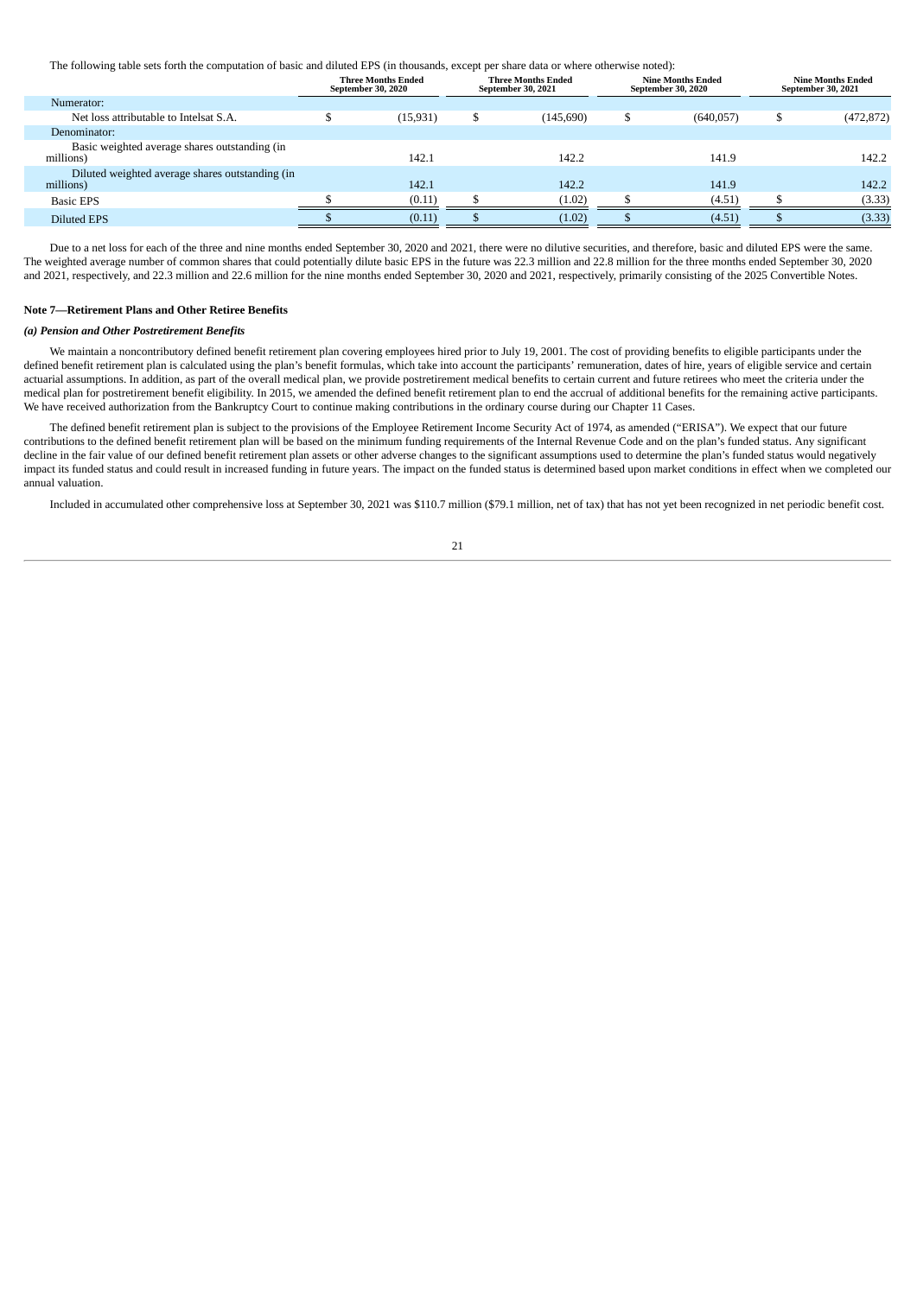The following table sets forth the computation of basic and diluted EPS (in thousands, except per share data or where otherwise noted):

|                                                              | <b>Three Months Ended</b><br><b>September 30, 2020</b> | <b>Three Months Ended</b><br><b>September 30, 2021</b> |            |   | <b>Nine Months Ended</b><br><b>September 30, 2020</b> | <b>Nine Months Ended</b><br>September 30, 2021 |            |
|--------------------------------------------------------------|--------------------------------------------------------|--------------------------------------------------------|------------|---|-------------------------------------------------------|------------------------------------------------|------------|
| Numerator:                                                   |                                                        |                                                        |            |   |                                                       |                                                |            |
| Net loss attributable to Intelsat S.A.                       | (15, 931)                                              | \$                                                     | (145, 690) | S | (640, 057)                                            |                                                | (472, 872) |
| Denominator:                                                 |                                                        |                                                        |            |   |                                                       |                                                |            |
| Basic weighted average shares outstanding (in<br>millions)   | 142.1                                                  |                                                        | 142.2      |   | 141.9                                                 |                                                | 142.2      |
| Diluted weighted average shares outstanding (in<br>millions) | 142.1                                                  |                                                        | 142.2      |   | 141.9                                                 |                                                | 142.2      |
| <b>Basic EPS</b>                                             | (0.11)                                                 |                                                        | (1.02)     |   | (4.51)                                                |                                                | (3.33)     |
| Diluted EPS                                                  | (0.11)                                                 |                                                        | (1.02)     |   | (4.51)                                                |                                                | (3.33)     |

Due to a net loss for each of the three and nine months ended September 30, 2020 and 2021, there were no dilutive securities, and therefore, basic and diluted EPS were the same. The weighted average number of common shares that could potentially dilute basic EPS in the future was 22.3 million and 22.8 million for the three months ended September 30, 2020 and 2021, respectively, and 22.3 million and 22.6 million for the nine months ended September 30, 2020 and 2021, respectively, primarily consisting of the 2025 Convertible Notes.

### **Note 7—Retirement Plans and Other Retiree Benefits**

### *(a) Pension and Other Postretirement Benefits*

We maintain a noncontributory defined benefit retirement plan covering employees hired prior to July 19, 2001. The cost of providing benefits to eligible participants under the defined benefit retirement plan is calculated using the plan's benefit formulas, which take into account the participants' remuneration, dates of hire, years of eligible service and certain actuarial assumptions. In addition, as part of the overall medical plan, we provide postretirement medical benefits to certain current and future retirees who meet the criteria under the medical plan for postretirement benefit eligibility. In 2015, we amended the defined benefit retirement plan to end the accrual of additional benefits for the remaining active participants. We have received authorization from the Bankruptcy Court to continue making contributions in the ordinary course during our Chapter 11 Cases.

The defined benefit retirement plan is subject to the provisions of the Employee Retirement Income Security Act of 1974, as amended ("ERISA"). We expect that our future contributions to the defined benefit retirement plan will be based on the minimum funding requirements of the Internal Revenue Code and on the plan's funded status. Any significant decline in the fair value of our defined benefit retirement plan assets or other adverse changes to the significant assumptions used to determine the plan's funded status would negatively impact its funded status and could result in increased funding in future years. The impact on the funded status is determined based upon market conditions in effect when we completed our annual valuation.

Included in accumulated other comprehensive loss at September 30, 2021 was \$110.7 million (\$79.1 million, net of tax) that has not yet been recognized in net periodic benefit cost.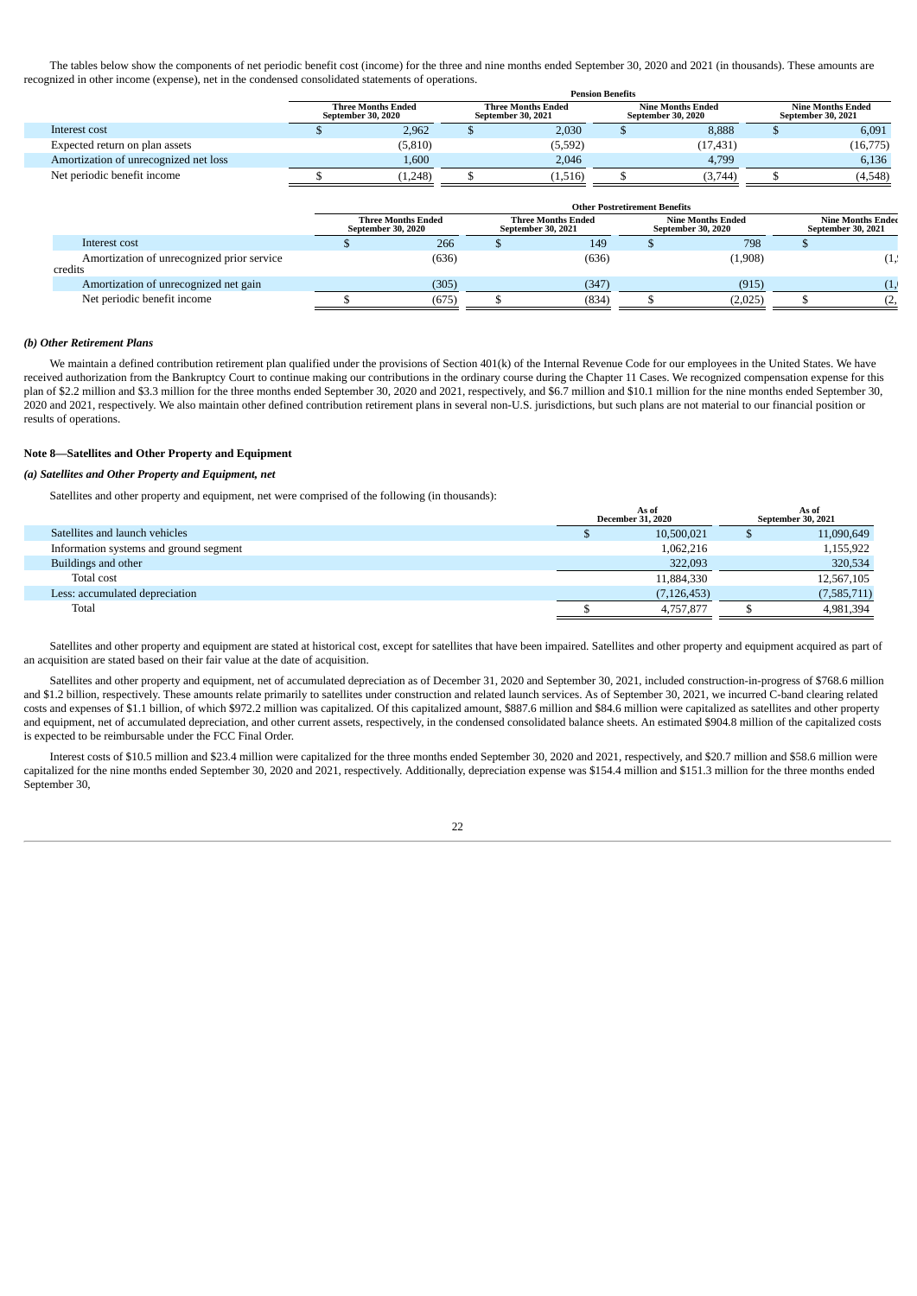The tables below show the components of net periodic benefit cost (income) for the three and nine months ended September 30, 2020 and 2021 (in thousands). These amounts are recognized in other income (expense), net in the condensed consolidated statements of operations. **Pension Benefits**

|                                       | Pension Benefits |                                                        |  |                                                 |  |                                                |  |                                         |  |  |
|---------------------------------------|------------------|--------------------------------------------------------|--|-------------------------------------------------|--|------------------------------------------------|--|-----------------------------------------|--|--|
|                                       |                  | <b>Three Months Ended</b><br><b>September 30, 2020</b> |  | <b>Three Months Ended</b><br>September 30, 2021 |  | <b>Nine Months Ended</b><br>September 30, 2020 |  | Nine Months Ended<br>September 30, 2021 |  |  |
| Interest cost                         |                  | 2,962                                                  |  | 2,030                                           |  | 8,888                                          |  | 6,091                                   |  |  |
| Expected return on plan assets        |                  | (5, 810)                                               |  | (5,592)                                         |  | (17, 431)                                      |  | (16, 775)                               |  |  |
| Amortization of unrecognized net loss |                  | 1.600                                                  |  | 2.046                                           |  | 4.799                                          |  | 6.136                                   |  |  |
| Net periodic benefit income           |                  | (1,248)                                                |  | (1,516)                                         |  | (3,744)                                        |  | (4,548)                                 |  |  |

|                                                       |                    |                           |                    |                    | <b>Other Postretirement Benefits</b> |                                                |                                                       |
|-------------------------------------------------------|--------------------|---------------------------|--------------------|--------------------|--------------------------------------|------------------------------------------------|-------------------------------------------------------|
|                                                       | September 30, 2020 | <b>Three Months Ended</b> | September 30, 2021 | Three Months Ended |                                      | <b>Nine Months Ended</b><br>September 30, 2020 | <b>Nine Months Endec</b><br><b>September 30, 2021</b> |
| Interest cost                                         |                    | 266                       |                    | 149                |                                      | 798                                            |                                                       |
| Amortization of unrecognized prior service<br>credits |                    | (636)                     |                    | (636)              |                                      | (1,908)                                        | (1,                                                   |
| Amortization of unrecognized net gain                 |                    | (305)                     |                    | (347)              |                                      | (915)                                          |                                                       |
| Net periodic benefit income                           |                    | (675)                     |                    | (834)              |                                      | (2,025)                                        |                                                       |

### *(b) Other Retirement Plans*

We maintain a defined contribution retirement plan qualified under the provisions of Section 401(k) of the Internal Revenue Code for our employees in the United States. We have received authorization from the Bankruptcy Court to continue making our contributions in the ordinary course during the Chapter 11 Cases. We recognized compensation expense for this plan of \$2.2 million and \$3.3 million for the three months ended September 30, 2020 and 2021, respectively, and \$6.7 million and \$10.1 million for the nine months ended September 30, 2020 and 2021, respectively. We also maintain other defined contribution retirement plans in several non-U.S. jurisdictions, but such plans are not material to our financial position or results of operations.

## **Note 8—Satellites and Other Property and Equipment**

## *(a) Satellites and Other Property and Equipment, net*

Satellites and other property and equipment, net were comprised of the following (in thousands):

|                                        | As of<br><b>December 31, 2020</b> | As of<br><b>September 30, 2021</b> |             |  |
|----------------------------------------|-----------------------------------|------------------------------------|-------------|--|
| Satellites and launch vehicles         | 10,500,021                        |                                    | 11,090,649  |  |
| Information systems and ground segment | 1,062,216                         |                                    | 1,155,922   |  |
| Buildings and other                    | 322,093                           |                                    | 320,534     |  |
| Total cost                             | 11,884,330                        |                                    | 12,567,105  |  |
| Less: accumulated depreciation         | (7, 126, 453)                     |                                    | (7,585,711) |  |
| Total                                  | 4,757,877                         |                                    | 4,981,394   |  |

Satellites and other property and equipment are stated at historical cost, except for satellites that have been impaired. Satellites and other property and equipment acquired as part of an acquisition are stated based on their fair value at the date of acquisition.

Satellites and other property and equipment, net of accumulated depreciation as of December 31, 2020 and September 30, 2021, included construction-in-progress of \$768.6 million and \$1.2 billion, respectively. These amounts relate primarily to satellites under construction and related launch services. As of September 30, 2021, we incurred C-band clearing related costs and expenses of \$1.1 billion, of which \$972.2 million was capitalized. Of this capitalized amount, \$887.6 million and \$84.6 million were capitalized as satellites and other property and equipment, net of accumulated depreciation, and other current assets, respectively, in the condensed consolidated balance sheets. An estimated \$904.8 million of the capitalized costs is expected to be reimbursable under the FCC Final Order.

Interest costs of \$10.5 million and \$23.4 million were capitalized for the three months ended September 30, 2020 and 2021, respectively, and \$20.7 million and \$58.6 million were capitalized for the nine months ended September 30, 2020 and 2021, respectively. Additionally, depreciation expense was \$154.4 million and \$151.3 million for the three months ended September 30,

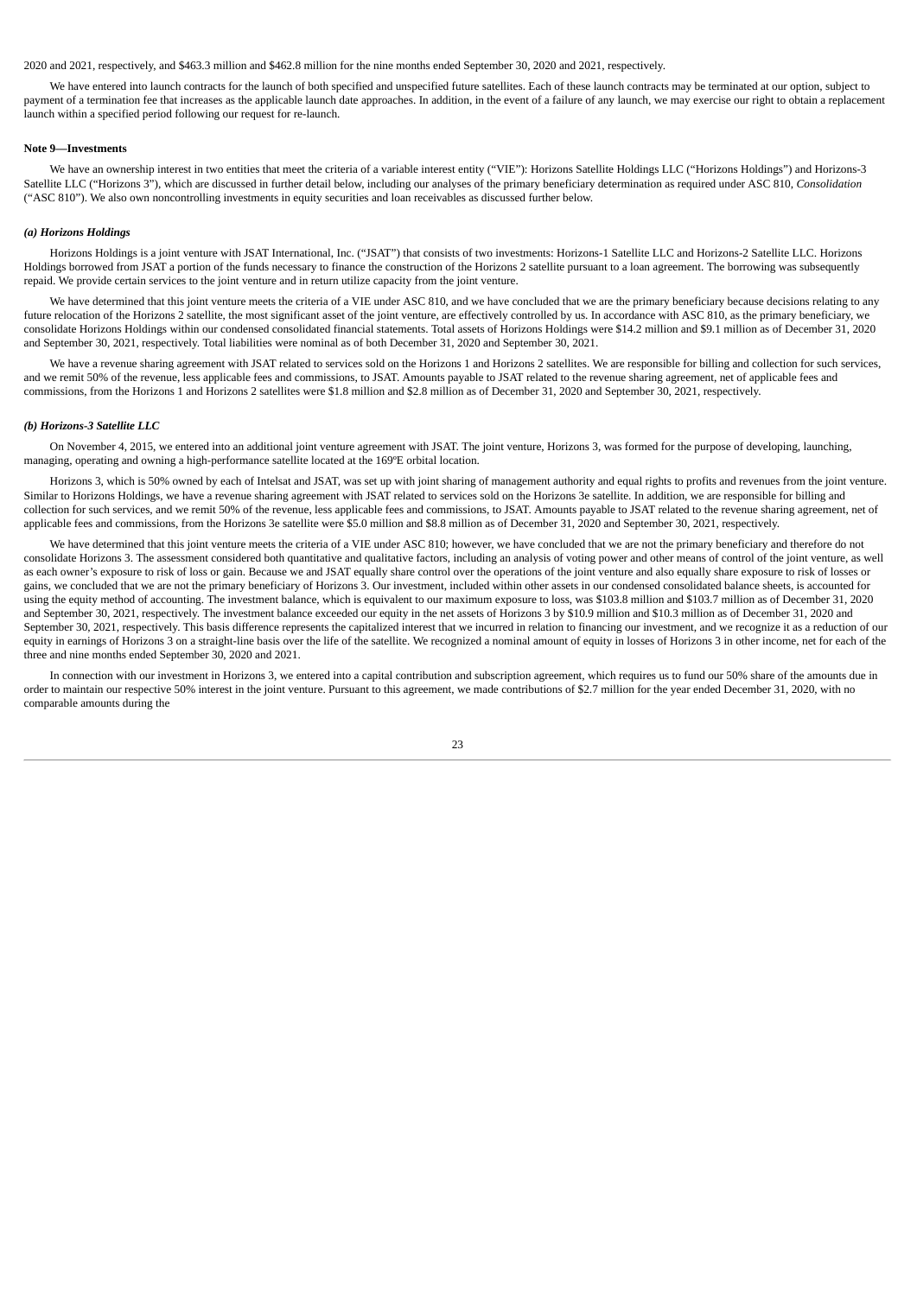2020 and 2021, respectively, and \$463.3 million and \$462.8 million for the nine months ended September 30, 2020 and 2021, respectively.

We have entered into launch contracts for the launch of both specified and unspecified future satellites. Each of these launch contracts may be terminated at our option, subject to payment of a termination fee that increases as the applicable launch date approaches. In addition, in the event of a failure of any launch, we may exercise our right to obtain a replacement launch within a specified period following our request for re-launch.

### **Note 9—Investments**

We have an ownership interest in two entities that meet the criteria of a variable interest entity ("VIE"): Horizons Satellite Holdings LLC ("Horizons Holdings") and Horizons-3 Satellite LLC ("Horizons 3"), which are discussed in further detail below, including our analyses of the primary beneficiary determination as required under ASC 810, *Consolidation* ("ASC 810"). We also own noncontrolling investments in equity securities and loan receivables as discussed further below.

### *(a) Horizons Holdings*

Horizons Holdings is a joint venture with JSAT International, Inc. ("JSAT") that consists of two investments: Horizons-1 Satellite LLC and Horizons-2 Satellite LLC. Horizons Holdings borrowed from JSAT a portion of the funds necessary to finance the construction of the Horizons 2 satellite pursuant to a loan agreement. The borrowing was subsequently repaid. We provide certain services to the joint venture and in return utilize capacity from the joint venture.

We have determined that this joint venture meets the criteria of a VIE under ASC 810, and we have concluded that we are the primary beneficiary because decisions relating to any future relocation of the Horizons 2 satellite, the most significant asset of the joint venture, are effectively controlled by us. In accordance with ASC 810, as the primary beneficiary, we consolidate Horizons Holdings within our condensed consolidated financial statements. Total assets of Horizons Holdings were \$14.2 million and \$9.1 million as of December 31, 2020 and September 30, 2021, respectively. Total liabilities were nominal as of both December 31, 2020 and September 30, 2021.

We have a revenue sharing agreement with JSAT related to services sold on the Horizons 1 and Horizons 2 satellites. We are responsible for billing and collection for such services, and we remit 50% of the revenue, less applicable fees and commissions, to JSAT. Amounts payable to JSAT related to the revenue sharing agreement, net of applicable fees and commissions, from the Horizons 1 and Horizons 2 satellites were \$1.8 million and \$2.8 million as of December 31, 2020 and September 30, 2021, respectively.

## *(b) Horizons-3 Satellite LLC*

On November 4, 2015, we entered into an additional joint venture agreement with JSAT. The joint venture, Horizons 3, was formed for the purpose of developing, launching, managing, operating and owning a high-performance satellite located at the 169ºE orbital location.

Horizons 3, which is 50% owned by each of Intelsat and JSAT, was set up with joint sharing of management authority and equal rights to profits and revenues from the joint venture. Similar to Horizons Holdings, we have a revenue sharing agreement with JSAT related to services sold on the Horizons 3e satellite. In addition, we are responsible for billing and collection for such services, and we remit 50% of the revenue, less applicable fees and commissions, to JSAT. Amounts payable to JSAT related to the revenue sharing agreement, net of applicable fees and commissions, from the Horizons 3e satellite were \$5.0 million and \$8.8 million as of December 31, 2020 and September 30, 2021, respectively.

We have determined that this joint venture meets the criteria of a VIE under ASC 810; however, we have concluded that we are not the primary beneficiary and therefore do not consolidate Horizons 3. The assessment considered both quantitative and qualitative factors, including an analysis of voting power and other means of control of the joint venture, as well as each owner's exposure to risk of loss or gain. Because we and JSAT equally share control over the operations of the joint venture and also equally share exposure to risk of losses or gains, we concluded that we are not the primary beneficiary of Horizons 3. Our investment, included within other assets in our condensed consolidated balance sheets, is accounted for using the equity method of accounting. The investment balance, which is equivalent to our maximum exposure to loss, was \$103.8 million and \$103.7 million as of December 31, 2020 and September 30, 2021, respectively. The investment balance exceeded our equity in the net assets of Horizons 3 by \$10.9 million and \$10.3 million as of December 31, 2020 and September 30, 2021, respectively. This basis difference represents the capitalized interest that we incurred in relation to financing our investment, and we recognize it as a reduction of our equity in earnings of Horizons 3 on a straight-line basis over the life of the satellite. We recognized a nominal amount of equity in losses of Horizons 3 in other income, net for each of the three and nine months ended September 30, 2020 and 2021.

In connection with our investment in Horizons 3, we entered into a capital contribution and subscription agreement, which requires us to fund our 50% share of the amounts due in order to maintain our respective 50% interest in the joint venture. Pursuant to this agreement, we made contributions of \$2.7 million for the year ended December 31, 2020, with no comparable amounts during the

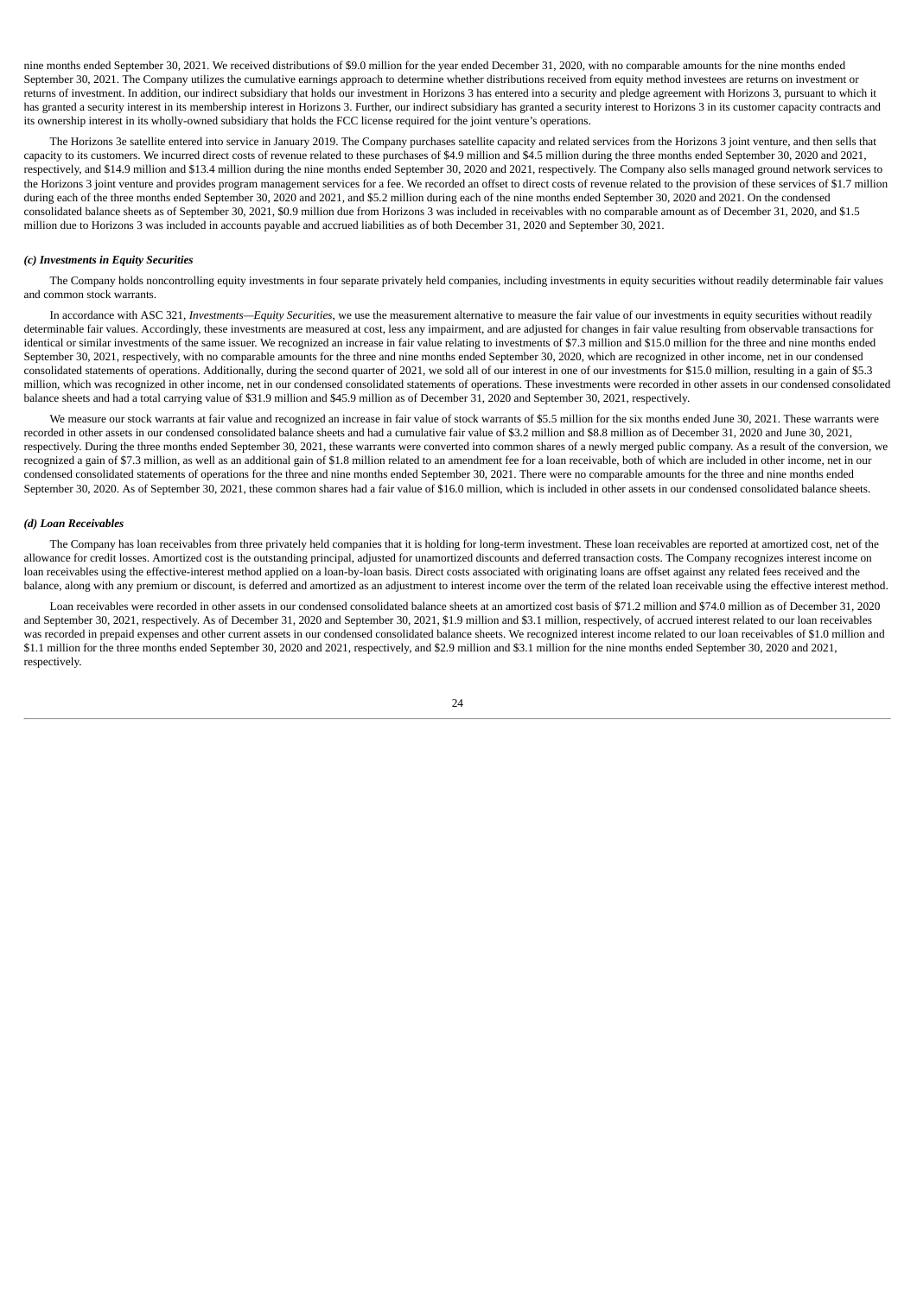nine months ended September 30, 2021. We received distributions of \$9.0 million for the year ended December 31, 2020, with no comparable amounts for the nine months ended September 30, 2021. The Company utilizes the cumulative earnings approach to determine whether distributions received from equity method investees are returns on investment or returns of investment. In addition, our indirect subsidiary that holds our investment in Horizons 3 has entered into a security and pledge agreement with Horizons 3, pursuant to which it has granted a security interest in its membership interest in Horizons 3. Further, our indirect subsidiary has granted a security interest to Horizons 3 in its customer capacity contracts and its ownership interest in its wholly-owned subsidiary that holds the FCC license required for the joint venture's operations.

The Horizons 3e satellite entered into service in January 2019. The Company purchases satellite capacity and related services from the Horizons 3 joint venture, and then sells that capacity to its customers. We incurred direct costs of revenue related to these purchases of \$4.9 million and \$4.5 million during the three months ended September 30, 2020 and 2021, respectively, and \$14.9 million and \$13.4 million during the nine months ended September 30, 2020 and 2021, respectively. The Company also sells managed ground network services to the Horizons 3 joint venture and provides program management services for a fee. We recorded an offset to direct costs of revenue related to the provision of these services of \$1.7 million during each of the three months ended September 30, 2020 and 2021, and \$5.2 million during each of the nine months ended September 30, 2020 and 2021. On the condensed consolidated balance sheets as of September 30, 2021, \$0.9 million due from Horizons 3 was included in receivables with no comparable amount as of December 31, 2020, and \$1.5 million due to Horizons 3 was included in accounts payable and accrued liabilities as of both December 31, 2020 and September 30, 2021.

## *(c) Investments in Equity Securities*

The Company holds noncontrolling equity investments in four separate privately held companies, including investments in equity securities without readily determinable fair values and common stock warrants.

In accordance with ASC 321, *Investments—Equity Securities*, we use the measurement alternative to measure the fair value of our investments in equity securities without readily determinable fair values. Accordingly, these investments are measured at cost, less any impairment, and are adjusted for changes in fair value resulting from observable transactions for identical or similar investments of the same issuer. We recognized an increase in fair value relating to investments of \$7.3 million and \$15.0 million for the three and nine months ended September 30, 2021, respectively, with no comparable amounts for the three and nine months ended September 30, 2020, which are recognized in other income, net in our condensed consolidated statements of operations. Additionally, during the second quarter of 2021, we sold all of our interest in one of our investments for \$15.0 million, resulting in a gain of \$5.3 million, which was recognized in other income, net in our condensed consolidated statements of operations. These investments were recorded in other assets in our condensed consolidated balance sheets and had a total carrying value of \$31.9 million and \$45.9 million as of December 31, 2020 and September 30, 2021, respectively.

We measure our stock warrants at fair value and recognized an increase in fair value of stock warrants of \$5.5 million for the six months ended June 30, 2021. These warrants were recorded in other assets in our condensed consolidated balance sheets and had a cumulative fair value of \$3.2 million and \$8.8 million as of December 31, 2020 and June 30, 2021, respectively. During the three months ended September 30, 2021, these warrants were converted into common shares of a newly merged public company. As a result of the conversion, we recognized a gain of \$7.3 million, as well as an additional gain of \$1.8 million related to an amendment fee for a loan receivable, both of which are included in other income, net in our condensed consolidated statements of operations for the three and nine months ended September 30, 2021. There were no comparable amounts for the three and nine months ended September 30, 2020. As of September 30, 2021, these common shares had a fair value of \$16.0 million, which is included in other assets in our condensed consolidated balance sheets.

### *(d) Loan Receivables*

The Company has loan receivables from three privately held companies that it is holding for long-term investment. These loan receivables are reported at amortized cost, net of the allowance for credit losses. Amortized cost is the outstanding principal, adjusted for unamortized discounts and deferred transaction costs. The Company recognizes interest income on loan receivables using the effective-interest method applied on a loan-by-loan basis. Direct costs associated with originating loans are offset against any related fees received and the balance, along with any premium or discount, is deferred and amortized as an adjustment to interest income over the term of the related loan receivable using the effective interest method.

Loan receivables were recorded in other assets in our condensed consolidated balance sheets at an amortized cost basis of \$71.2 million and \$74.0 million as of December 31, 2020 and September 30, 2021, respectively. As of December 31, 2020 and September 30, 2021, \$1.9 million and \$3.1 million, respectively, of accrued interest related to our loan receivables was recorded in prepaid expenses and other current assets in our condensed consolidated balance sheets. We recognized interest income related to our loan receivables of \$1.0 million and \$1.1 million for the three months ended September 30, 2020 and 2021, respectively, and \$2.9 million and \$3.1 million for the nine months ended September 30, 2020 and 2021, respectively.

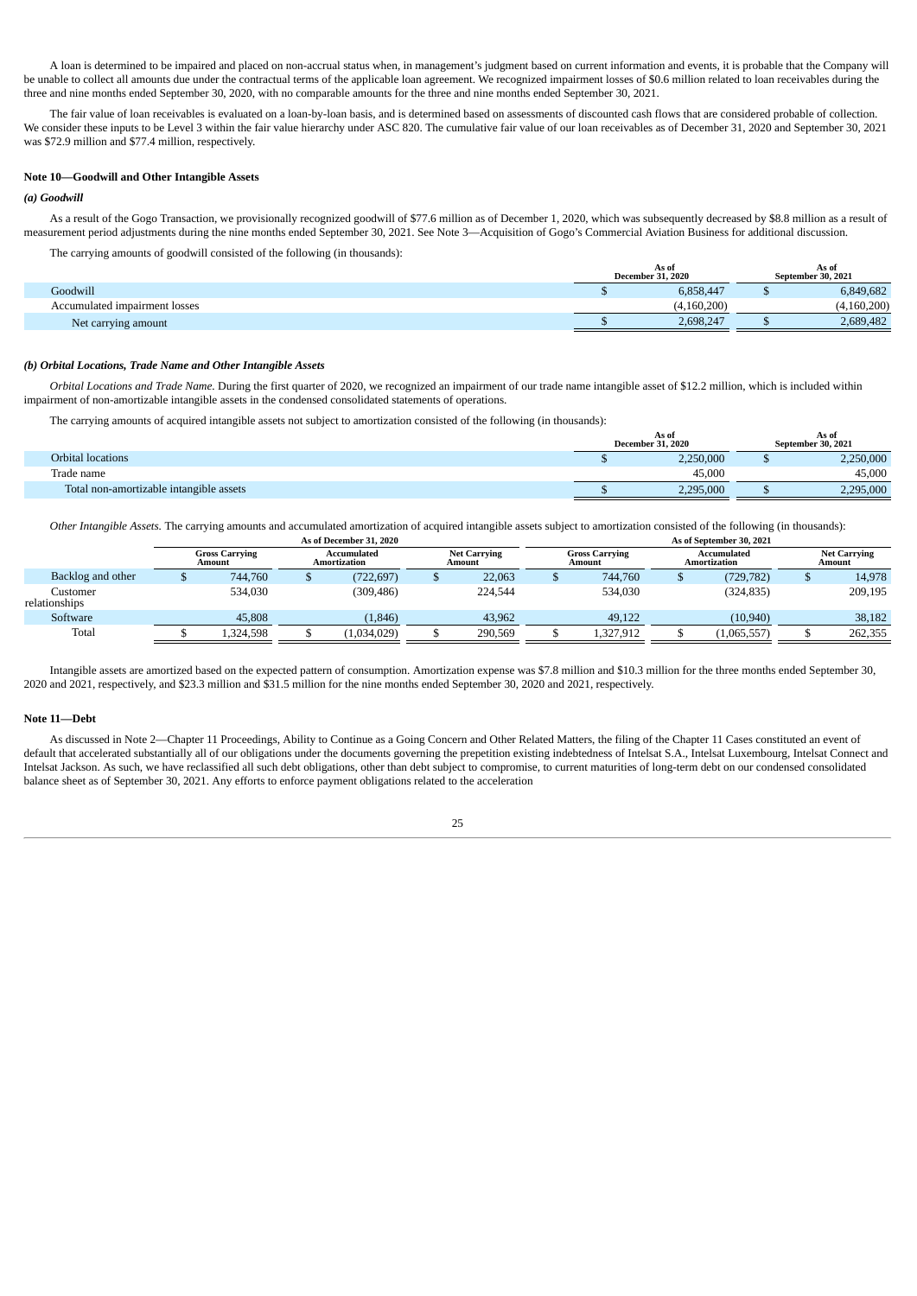A loan is determined to be impaired and placed on non-accrual status when, in management's judgment based on current information and events, it is probable that the Company will be unable to collect all amounts due under the contractual terms of the applicable loan agreement. We recognized impairment losses of \$0.6 million related to loan receivables during the three and nine months ended September 30, 2020, with no comparable amounts for the three and nine months ended September 30, 2021.

The fair value of loan receivables is evaluated on a loan-by-loan basis, and is determined based on assessments of discounted cash flows that are considered probable of collection. We consider these inputs to be Level 3 within the fair value hierarchy under ASC 820. The cumulative fair value of our loan receivables as of December 31, 2020 and September 30, 2021 was \$72.9 million and \$77.4 million, respectively.

## **Note 10—Goodwill and Other Intangible Assets**

### *(a) Goodwill*

As a result of the Gogo Transaction, we provisionally recognized goodwill of \$77.6 million as of December 1, 2020, which was subsequently decreased by \$8.8 million as a result of measurement period adjustments during the nine months ended September 30, 2021. See Note 3—Acquisition of Gogo's Commercial Aviation Business for additional discussion.

The carrying amounts of goodwill consisted of the following (in thousands):

| <b>September 30, 2021</b>                      |             |
|------------------------------------------------|-------------|
| Goodwill<br>6.858,447                          | 6,849,682   |
| (4, 160, 200)<br>Accumulated impairment losses | (4,160,200) |
| 2.698.247<br>Net carrying amount               | 2,689,482   |

### *(b) Orbital Locations, Trade Name and Other Intangible Assets*

*Orbital Locations and Trade Name.* During the first quarter of 2020, we recognized an impairment of our trade name intangible asset of \$12.2 million, which is included within impairment of non-amortizable intangible assets in the condensed consolidated statements of operations.

The carrying amounts of acquired intangible assets not subject to amortization consisted of the following (in thousands):

|                                         | As of<br><b>December 31, 2020</b> |           |  |           |
|-----------------------------------------|-----------------------------------|-----------|--|-----------|
| Orbital locations                       |                                   | 2.250,000 |  | 2,250,000 |
| Trade name                              |                                   | 45,000    |  | 45,000    |
| Total non-amortizable intangible assets |                                   | 2.295.000 |  | 2,295,000 |

*Other Intangible Assets.* The carrying amounts and accumulated amortization of acquired intangible assets subject to amortization consisted of the following (in thousands):

|                           |                                 | As of December 31, 2020     |  |                                                                  |  |           |                             | As of September 30, 2021 |                               |         |  |  |
|---------------------------|---------------------------------|-----------------------------|--|------------------------------------------------------------------|--|-----------|-----------------------------|--------------------------|-------------------------------|---------|--|--|
|                           | <b>Gross Carrying</b><br>Amount | Accumulated<br>Amortization |  | <b>Net Carrying</b><br><b>Gross Carrying</b><br>Amount<br>Amount |  |           | Accumulated<br>Amortization |                          | <b>Net Carrying</b><br>Amount |         |  |  |
| Backlog and other         | 744,760                         | (722, 697)                  |  | 22,063                                                           |  | 744,760   |                             | (729, 782)               |                               | 14,978  |  |  |
| Customer<br>relationships | 534,030                         | (309, 486)                  |  | 224,544                                                          |  | 534,030   |                             | (324, 835)               |                               | 209,195 |  |  |
| Software                  | 45,808                          | (1, 846)                    |  | 43,962                                                           |  | 49,122    |                             | (10, 940)                |                               | 38.182  |  |  |
| Total                     | 1.324.598                       | (1,034,029)                 |  | 290,569                                                          |  | 1,327,912 |                             | (1,065,557)              |                               | 262,355 |  |  |
|                           |                                 |                             |  |                                                                  |  |           |                             |                          |                               |         |  |  |

Intangible assets are amortized based on the expected pattern of consumption. Amortization expense was \$7.8 million and \$10.3 million for the three months ended September 30, 2020 and 2021, respectively, and \$23.3 million and \$31.5 million for the nine months ended September 30, 2020 and 2021, respectively.

### **Note 11—Debt**

As discussed in Note 2—Chapter 11 Proceedings, Ability to Continue as a Going Concern and Other Related Matters, the filing of the Chapter 11 Cases constituted an event of default that accelerated substantially all of our obligations under the documents governing the prepetition existing indebtedness of Intelsat S.A., Intelsat Luxembourg, Intelsat Connect and Intelsat Jackson. As such, we have reclassified all such debt obligations, other than debt subject to compromise, to current maturities of long-term debt on our condensed consolidated balance sheet as of September 30, 2021. Any efforts to enforce payment obligations related to the acceleration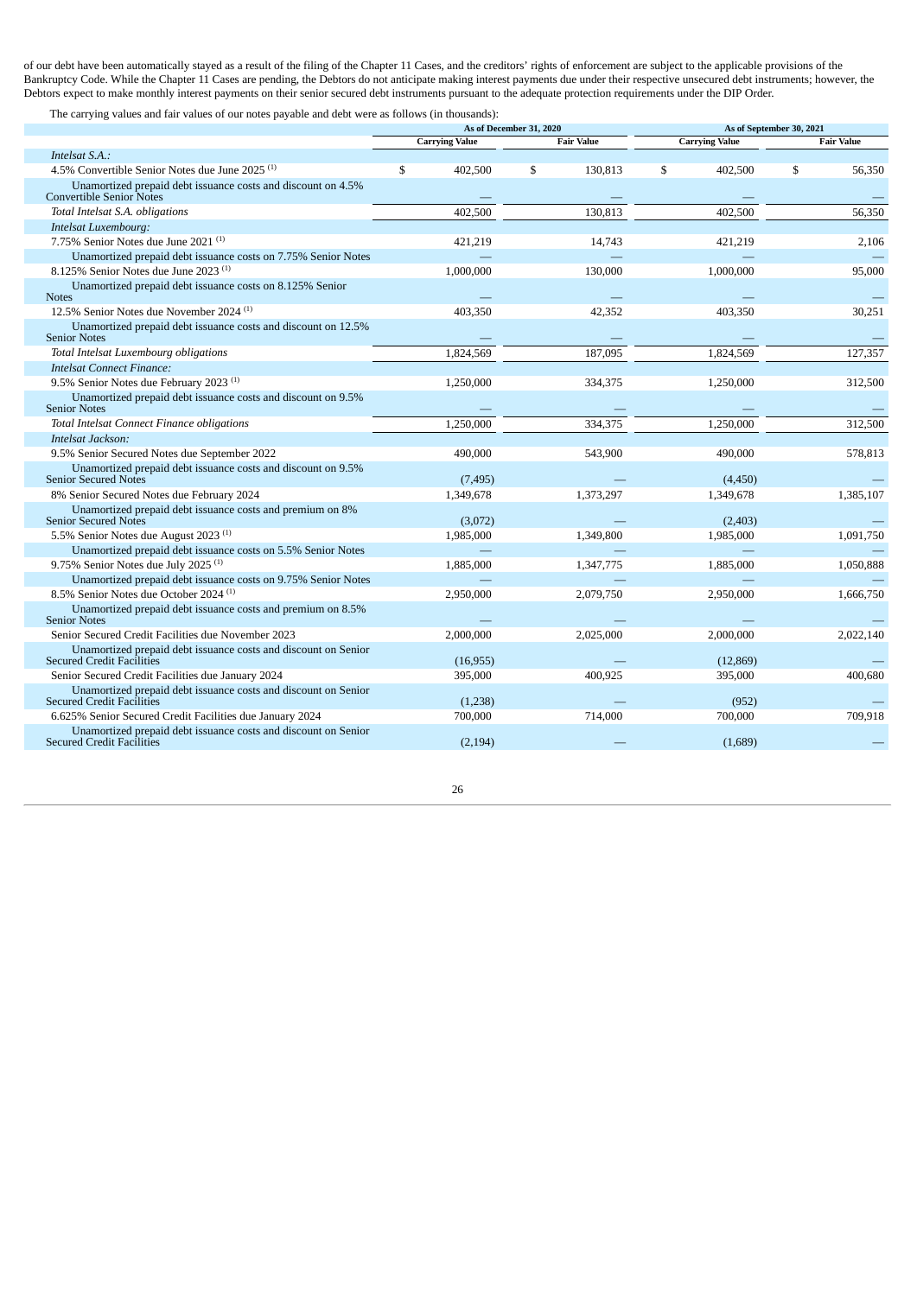of our debt have been automatically stayed as a result of the filing of the Chapter 11 Cases, and the creditors' rights of enforcement are subject to the applicable provisions of the Bankruptcy Code. While the Chapter 11 Cases are pending, the Debtors do not anticipate making interest payments due under their respective unsecured debt instruments; however, the Debtors expect to make monthly interest payments on their senior secured debt instruments pursuant to the adequate protection requirements under the DIP Order.

The carrying values and fair values of our notes payable and debt were as follows (in thousands):

|                                                                                                    | As of December 31, 2020 |                   | As of September 30, 2021 |                   |  |  |
|----------------------------------------------------------------------------------------------------|-------------------------|-------------------|--------------------------|-------------------|--|--|
|                                                                                                    | <b>Carrying Value</b>   | <b>Fair Value</b> | <b>Carrying Value</b>    | <b>Fair Value</b> |  |  |
| Intelsat S.A.:                                                                                     |                         |                   |                          |                   |  |  |
| 4.5% Convertible Senior Notes due June 2025 <sup>(1)</sup>                                         | \$<br>402,500           | \$<br>130,813     | \$<br>402,500            | \$<br>56,350      |  |  |
| Unamortized prepaid debt issuance costs and discount on 4.5%<br><b>Convertible Senior Notes</b>    |                         |                   |                          |                   |  |  |
| Total Intelsat S.A. obligations                                                                    | 402,500                 | 130,813           | 402.500                  | 56,350            |  |  |
| Intelsat Luxembourg:                                                                               |                         |                   |                          |                   |  |  |
| 7.75% Senior Notes due June 2021 $(1)$                                                             | 421,219                 | 14,743            | 421,219                  | 2,106             |  |  |
| Unamortized prepaid debt issuance costs on 7.75% Senior Notes                                      |                         |                   |                          |                   |  |  |
| 8.125% Senior Notes due June 2023 <sup>(1)</sup>                                                   | 1,000,000               | 130,000           | 1,000,000                | 95,000            |  |  |
| Unamortized prepaid debt issuance costs on 8.125% Senior<br><b>Notes</b>                           |                         |                   |                          |                   |  |  |
| 12.5% Senior Notes due November 2024 <sup>(1)</sup>                                                | 403,350                 | 42,352            | 403,350                  | 30,251            |  |  |
| Unamortized prepaid debt issuance costs and discount on 12.5%<br><b>Senior Notes</b>               |                         |                   |                          |                   |  |  |
| Total Intelsat Luxembourg obligations                                                              | 1,824,569               | 187,095           | 1.824.569                | 127,357           |  |  |
| <b>Intelsat Connect Finance:</b>                                                                   |                         |                   |                          |                   |  |  |
| 9.5% Senior Notes due February 2023 <sup>(1)</sup>                                                 | 1,250,000               | 334,375           | 1,250,000                | 312,500           |  |  |
| Unamortized prepaid debt issuance costs and discount on 9.5%<br><b>Senior Notes</b>                |                         |                   |                          |                   |  |  |
| <b>Total Intelsat Connect Finance obligations</b>                                                  | 1,250,000               | 334,375           | 1,250,000                | 312,500           |  |  |
| Intelsat Jackson:                                                                                  |                         |                   |                          |                   |  |  |
| 9.5% Senior Secured Notes due September 2022                                                       | 490,000                 | 543,900           | 490,000                  | 578,813           |  |  |
| Unamortized prepaid debt issuance costs and discount on 9.5%<br><b>Senior Secured Notes</b>        | (7, 495)                |                   | (4, 450)                 |                   |  |  |
| 8% Senior Secured Notes due February 2024                                                          | 1,349,678               | 1,373,297         | 1,349,678                | 1,385,107         |  |  |
| Unamortized prepaid debt issuance costs and premium on 8%<br><b>Senior Secured Notes</b>           | (3,072)                 |                   | (2,403)                  |                   |  |  |
| 5.5% Senior Notes due August 2023 <sup>(1)</sup>                                                   | 1,985,000               | 1,349,800         | 1,985,000                | 1,091,750         |  |  |
| Unamortized prepaid debt issuance costs on 5.5% Senior Notes                                       |                         |                   |                          |                   |  |  |
| 9.75% Senior Notes due July 2025 <sup>(1)</sup>                                                    | 1,885,000               | 1,347,775         | 1,885,000                | 1,050,888         |  |  |
| Unamortized prepaid debt issuance costs on 9.75% Senior Notes                                      |                         |                   |                          |                   |  |  |
| 8.5% Senior Notes due October 2024 <sup>(1)</sup>                                                  | 2,950,000               | 2,079,750         | 2,950,000                | 1,666,750         |  |  |
| Unamortized prepaid debt issuance costs and premium on 8.5%<br><b>Senior Notes</b>                 |                         |                   |                          |                   |  |  |
| Senior Secured Credit Facilities due November 2023                                                 | 2,000,000               | 2,025,000         | 2,000,000                | 2,022,140         |  |  |
| Unamortized prepaid debt issuance costs and discount on Senior<br>Secured Credit Facilities        | (16, 955)               |                   | (12, 869)                |                   |  |  |
| Senior Secured Credit Facilities due January 2024                                                  | 395,000                 | 400,925           | 395,000                  | 400,680           |  |  |
| Unamortized prepaid debt issuance costs and discount on Senior<br><b>Secured Credit Facilities</b> | (1,238)                 |                   | (952)                    |                   |  |  |
| 6.625% Senior Secured Credit Facilities due January 2024                                           | 700,000                 | 714,000           | 700,000                  | 709,918           |  |  |
| Unamortized prepaid debt issuance costs and discount on Senior<br>Secured Credit Facilities        | (2, 194)                |                   | (1,689)                  |                   |  |  |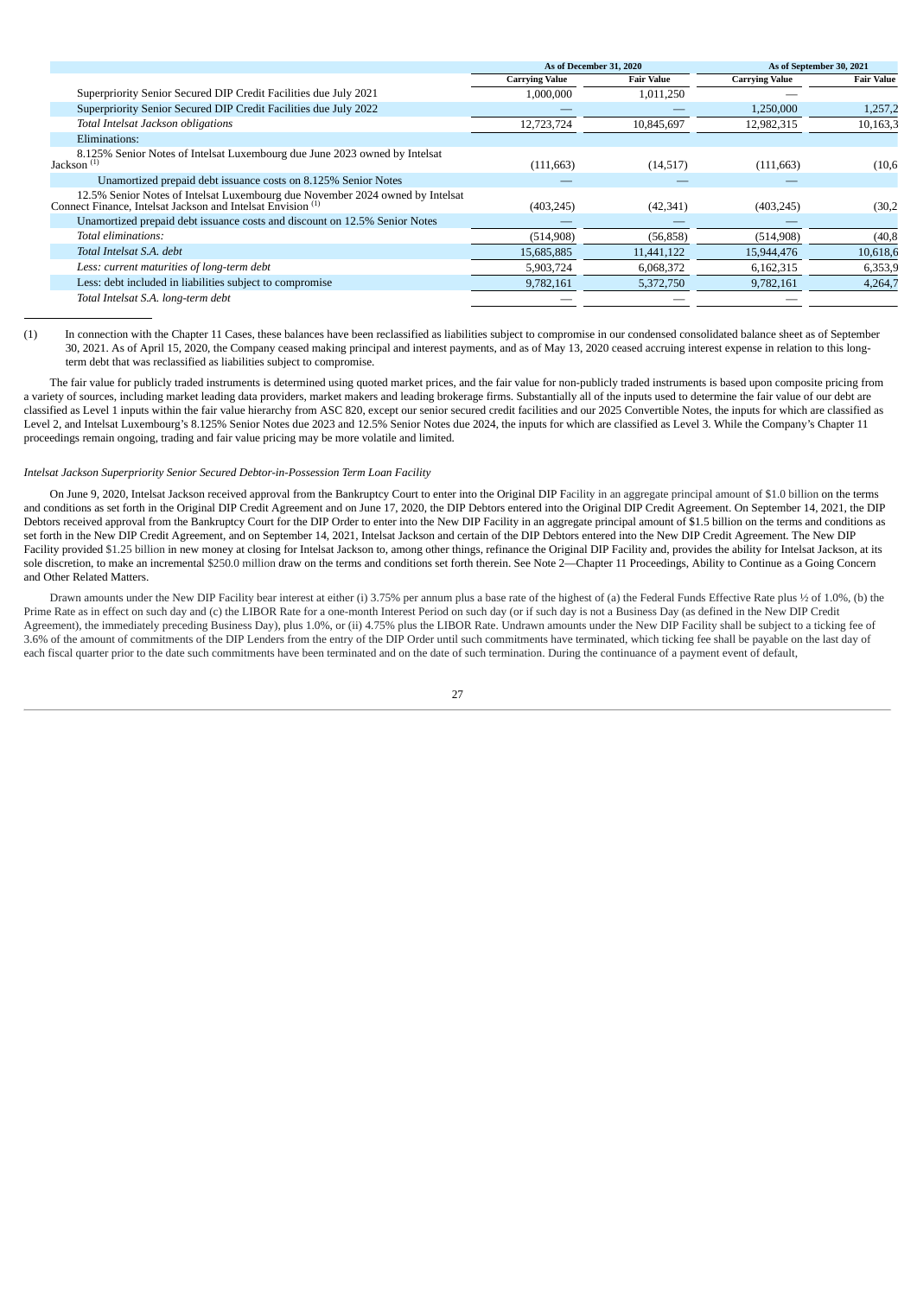|                                                                                                                                                   | As of December 31, 2020 |                   | As of September 30, 2021 |                   |  |
|---------------------------------------------------------------------------------------------------------------------------------------------------|-------------------------|-------------------|--------------------------|-------------------|--|
|                                                                                                                                                   | <b>Carrying Value</b>   | <b>Fair Value</b> | <b>Carrying Value</b>    | <b>Fair Value</b> |  |
| Superpriority Senior Secured DIP Credit Facilities due July 2021                                                                                  | 1,000,000               | 1,011,250         |                          |                   |  |
| Superpriority Senior Secured DIP Credit Facilities due July 2022                                                                                  |                         |                   | 1,250,000                | 1,257,2           |  |
| <b>Total Intelsat Jackson obligations</b>                                                                                                         | 12,723,724              | 10,845,697        | 12,982,315               | 10,163,3          |  |
| Eliminations:                                                                                                                                     |                         |                   |                          |                   |  |
| 8.125% Senior Notes of Intelsat Luxembourg due June 2023 owned by Intelsat<br>Jackson <sup>(1)</sup>                                              | (111, 663)              | (14,517)          | (111, 663)               | (10, 6)           |  |
| Unamortized prepaid debt issuance costs on 8.125% Senior Notes                                                                                    |                         |                   |                          |                   |  |
| $12.5\%$ Senior Notes of Intelsat Luxembourg due November 2024 owned by Intelsat Connect Finance, Intelsat Jackson and Intelsat Envision $^{(1)}$ | (403, 245)              | (42, 341)         | (403, 245)               | (30,2)            |  |
| Unamortized prepaid debt issuance costs and discount on 12.5% Senior Notes                                                                        |                         |                   |                          |                   |  |
| Total eliminations:                                                                                                                               | (514,908)               | (56, 858)         | (514,908)                | (40, 8)           |  |
| Total Intelsat S.A. debt                                                                                                                          | 15,685,885              | 11,441,122        | 15,944,476               | 10,618,6          |  |
| Less: current maturities of long-term debt                                                                                                        | 5,903,724               | 6,068,372         | 6,162,315                | 6,353,9           |  |
| Less: debt included in liabilities subject to compromise                                                                                          | 9,782,161               | 5,372,750         | 9,782,161                | 4,264,7           |  |
| Total Intelsat S.A. long-term debt                                                                                                                |                         |                   |                          |                   |  |

(1) In connection with the Chapter 11 Cases, these balances have been reclassified as liabilities subject to compromise in our condensed consolidated balance sheet as of September 30, 2021. As of April 15, 2020, the Company ceased making principal and interest payments, and as of May 13, 2020 ceased accruing interest expense in relation to this longterm debt that was reclassified as liabilities subject to compromise.

The fair value for publicly traded instruments is determined using quoted market prices, and the fair value for non-publicly traded instruments is based upon composite pricing from a variety of sources, including market leading data providers, market makers and leading brokerage firms. Substantially all of the inputs used to determine the fair value of our debt are classified as Level 1 inputs within the fair value hierarchy from ASC 820, except our senior secured credit facilities and our 2025 Convertible Notes, the inputs for which are classified as Level 2, and Intelsat Luxembourg's 8.125% Senior Notes due 2023 and 12.5% Senior Notes due 2024, the inputs for which are classified as Level 3. While the Company's Chapter 11 proceedings remain ongoing, trading and fair value pricing may be more volatile and limited.

### *Intelsat Jackson Superpriority Senior Secured Debtor-in-Possession Term Loan Facility*

On June 9, 2020, Intelsat Jackson received approval from the Bankruptcy Court to enter into the Original DIP Facility in an aggregate principal amount of \$1.0 billion on the terms and conditions as set forth in the Original DIP Credit Agreement and on June 17, 2020, the DIP Debtors entered into the Original DIP Credit Agreement. On September 14, 2021, the DIP Debtors received approval from the Bankruptcy Court for the DIP Order to enter into the New DIP Facility in an aggregate principal amount of \$1.5 billion on the terms and conditions as set forth in the New DIP Credit Agreement, and on September 14, 2021, Intelsat Jackson and certain of the DIP Debtors entered into the New DIP Credit Agreement. The New DIP Facility provided \$1.25 billion in new money at closing for Intelsat Jackson to, among other things, refinance the Original DIP Facility and, provides the ability for Intelsat Jackson, at its sole discretion, to make an incremental \$250.0 million draw on the terms and conditions set forth therein. See Note 2—Chapter 11 Proceedings, Ability to Continue as a Going Concern and Other Related Matters.

Drawn amounts under the New DIP Facility bear interest at either (i) 3.75% per annum plus a base rate of the highest of (a) the Federal Funds Effective Rate plus ½ of 1.0%, (b) the Prime Rate as in effect on such day and (c) the LIBOR Rate for a one-month Interest Period on such day (or if such day is not a Business Day (as defined in the New DIP Credit Agreement), the immediately preceding Business Day), plus 1.0%, or (ii) 4.75% plus the LIBOR Rate. Undrawn amounts under the New DIP Facility shall be subject to a ticking fee of 3.6% of the amount of commitments of the DIP Lenders from the entry of the DIP Order until such commitments have terminated, which ticking fee shall be payable on the last day of each fiscal quarter prior to the date such commitments have been terminated and on the date of such termination. During the continuance of a payment event of default,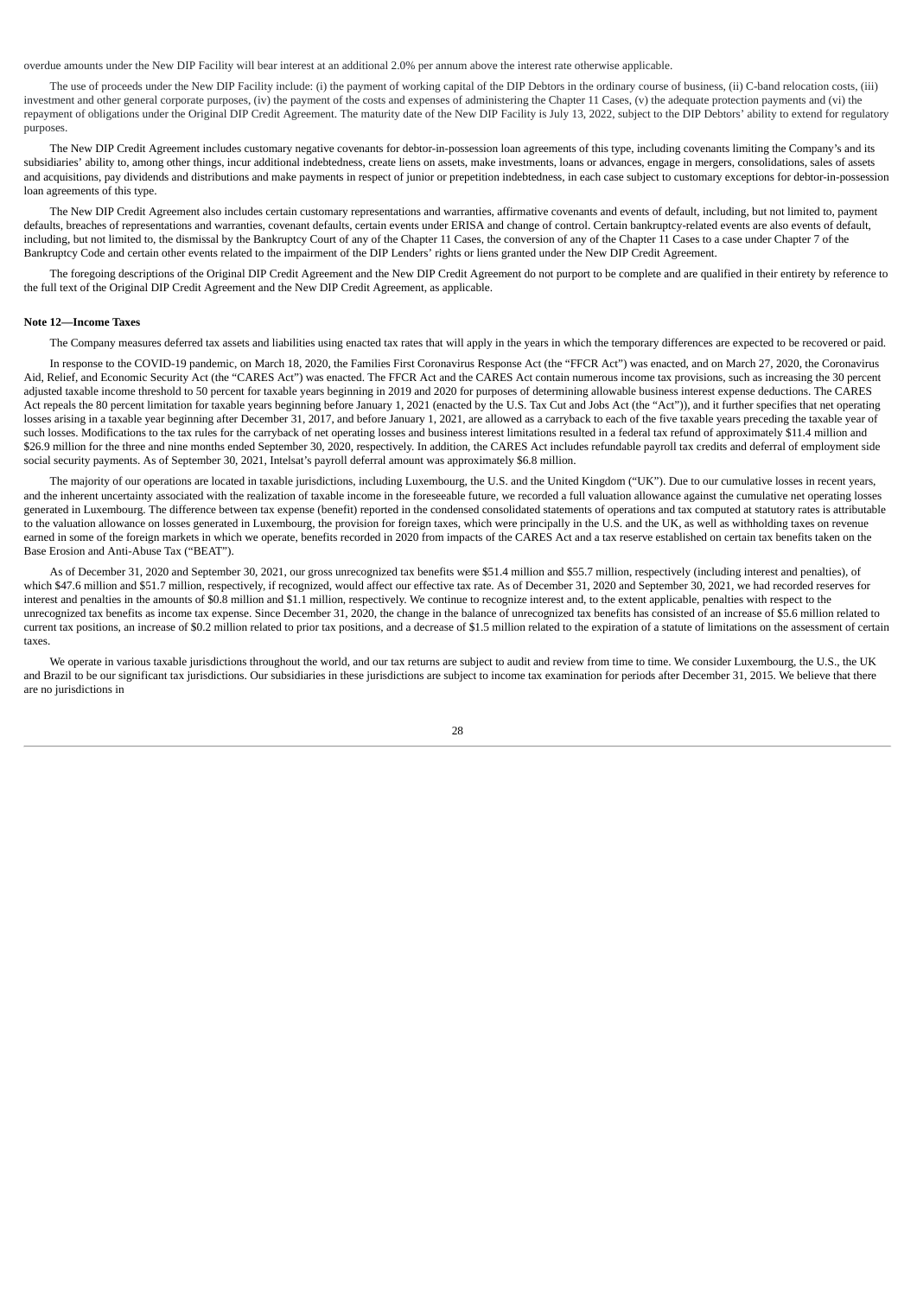overdue amounts under the New DIP Facility will bear interest at an additional 2.0% per annum above the interest rate otherwise applicable.

The use of proceeds under the New DIP Facility include: (i) the payment of working capital of the DIP Debtors in the ordinary course of business, (ii) C-band relocation costs, (iii) investment and other general corporate purposes, (iv) the payment of the costs and expenses of administering the Chapter 11 Cases, (v) the adequate protection payments and (vi) the repayment of obligations under the Original DIP Credit Agreement. The maturity date of the New DIP Facility is July 13, 2022, subject to the DIP Debtors' ability to extend for regulatory purposes.

The New DIP Credit Agreement includes customary negative covenants for debtor-in-possession loan agreements of this type, including covenants limiting the Company's and its subsidiaries' ability to, among other things, incur additional indebtedness, create liens on assets, make investments, loans or advances, engage in mergers, consolidations, sales of assets and acquisitions, pay dividends and distributions and make payments in respect of junior or prepetition indebtedness, in each case subject to customary exceptions for debtor-in-possession loan agreements of this type.

The New DIP Credit Agreement also includes certain customary representations and warranties, affirmative covenants and events of default, including, but not limited to, payment defaults, breaches of representations and warranties, covenant defaults, certain events under ERISA and change of control. Certain bankruptcy-related events are also events of default, including, but not limited to, the dismissal by the Bankruptcy Court of any of the Chapter 11 Cases, the conversion of any of the Chapter 11 Cases to a case under Chapter 7 of the Bankruptcy Code and certain other events related to the impairment of the DIP Lenders' rights or liens granted under the New DIP Credit Agreement.

The foregoing descriptions of the Original DIP Credit Agreement and the New DIP Credit Agreement do not purport to be complete and are qualified in their entirety by reference to the full text of the Original DIP Credit Agreement and the New DIP Credit Agreement, as applicable.

#### **Note 12—Income Taxes**

The Company measures deferred tax assets and liabilities using enacted tax rates that will apply in the years in which the temporary differences are expected to be recovered or paid.

In response to the COVID-19 pandemic, on March 18, 2020, the Families First Coronavirus Response Act (the "FFCR Act") was enacted, and on March 27, 2020, the Coronavirus Aid, Relief, and Economic Security Act (the "CARES Act") was enacted. The FFCR Act and the CARES Act contain numerous income tax provisions, such as increasing the 30 percent adjusted taxable income threshold to 50 percent for taxable years beginning in 2019 and 2020 for purposes of determining allowable business interest expense deductions. The CARES Act repeals the 80 percent limitation for taxable years beginning before January 1, 2021 (enacted by the U.S. Tax Cut and Jobs Act (the "Act")), and it further specifies that net operating losses arising in a taxable year beginning after December 31, 2017, and before January 1, 2021, are allowed as a carryback to each of the five taxable years preceding the taxable year of such losses. Modifications to the tax rules for the carryback of net operating losses and business interest limitations resulted in a federal tax refund of approximately \$11.4 million and \$26.9 million for the three and nine months ended September 30, 2020, respectively. In addition, the CARES Act includes refundable payroll tax credits and deferral of employment side social security payments. As of September 30, 2021, Intelsat's payroll deferral amount was approximately \$6.8 million.

The majority of our operations are located in taxable jurisdictions, including Luxembourg, the U.S. and the United Kingdom ("UK"). Due to our cumulative losses in recent years, and the inherent uncertainty associated with the realization of taxable income in the foreseeable future, we recorded a full valuation allowance against the cumulative net operating losses generated in Luxembourg. The difference between tax expense (benefit) reported in the condensed consolidated statements of operations and tax computed at statutory rates is attributable to the valuation allowance on losses generated in Luxembourg, the provision for foreign taxes, which were principally in the U.S. and the UK, as well as withholding taxes on revenue earned in some of the foreign markets in which we operate, benefits recorded in 2020 from impacts of the CARES Act and a tax reserve established on certain tax benefits taken on the Base Erosion and Anti-Abuse Tax ("BEAT").

As of December 31, 2020 and September 30, 2021, our gross unrecognized tax benefits were \$51.4 million and \$55.7 million, respectively (including interest and penalties), of which \$47.6 million and \$51.7 million, respectively, if recognized, would affect our effective tax rate. As of December 31, 2020 and September 30, 2021, we had recorded reserves for interest and penalties in the amounts of \$0.8 million and \$1.1 million, respectively. We continue to recognize interest and, to the extent applicable, penalties with respect to the unrecognized tax benefits as income tax expense. Since December 31, 2020, the change in the balance of unrecognized tax benefits has consisted of an increase of \$5.6 million related to current tax positions, an increase of \$0.2 million related to prior tax positions, and a decrease of \$1.5 million related to the expiration of a statute of limitations on the assessment of certain taxes.

We operate in various taxable jurisdictions throughout the world, and our tax returns are subject to audit and review from time to time. We consider Luxembourg, the U.S., the UK and Brazil to be our significant tax jurisdictions. Our subsidiaries in these jurisdictions are subject to income tax examination for periods after December 31, 2015. We believe that there are no jurisdictions in

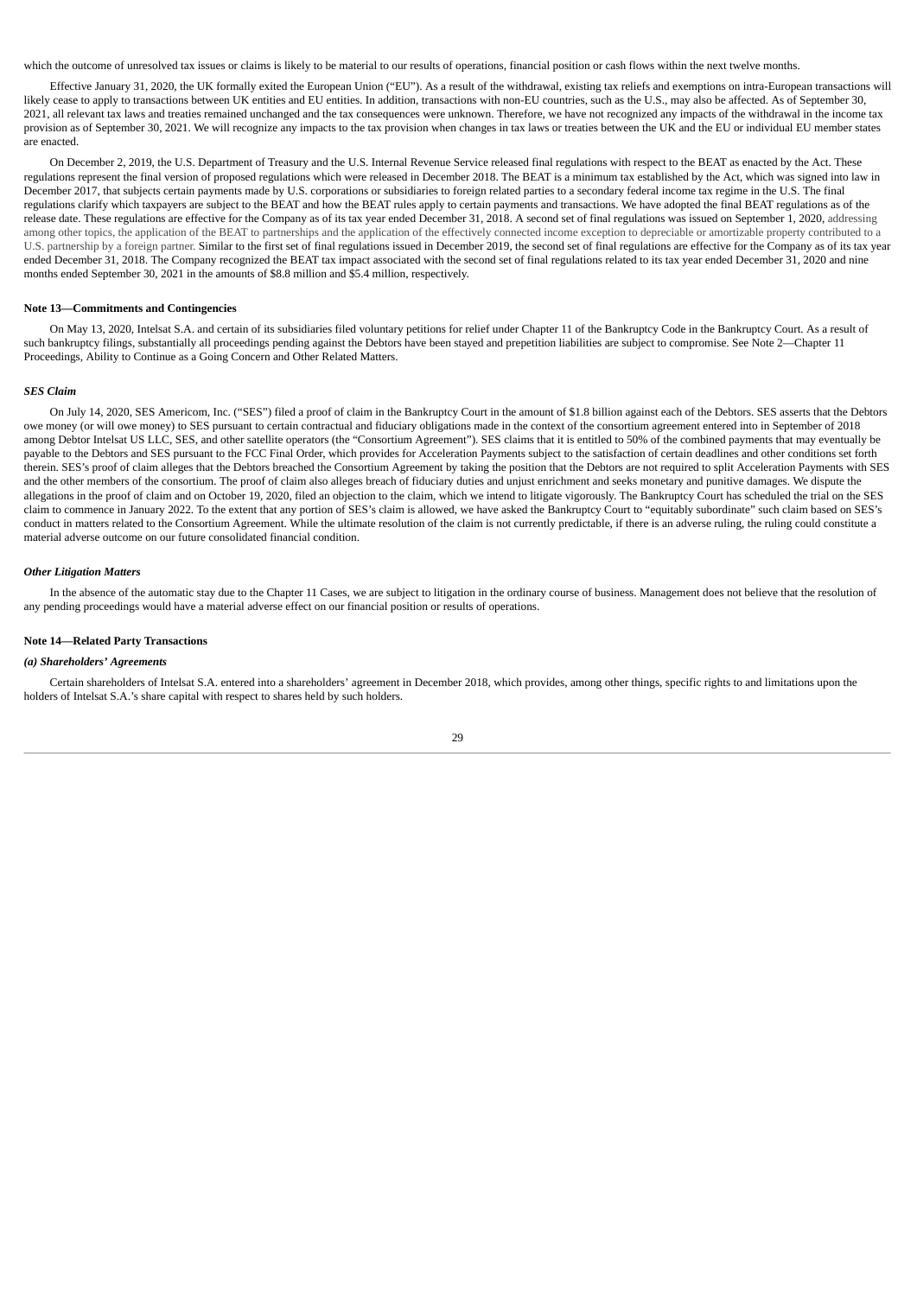which the outcome of unresolved tax issues or claims is likely to be material to our results of operations, financial position or cash flows within the next twelve months.

Effective January 31, 2020, the UK formally exited the European Union ("EU"). As a result of the withdrawal, existing tax reliefs and exemptions on intra-European transactions will likely cease to apply to transactions between UK entities and EU entities. In addition, transactions with non-EU countries, such as the U.S., may also be affected. As of September 30, 2021, all relevant tax laws and treaties remained unchanged and the tax consequences were unknown. Therefore, we have not recognized any impacts of the withdrawal in the income tax provision as of September 30, 2021. We will recognize any impacts to the tax provision when changes in tax laws or treaties between the UK and the EU or individual EU member states are enacted.

On December 2, 2019, the U.S. Department of Treasury and the U.S. Internal Revenue Service released final regulations with respect to the BEAT as enacted by the Act. These regulations represent the final version of proposed regulations which were released in December 2018. The BEAT is a minimum tax established by the Act, which was signed into law in December 2017, that subjects certain payments made by U.S. corporations or subsidiaries to foreign related parties to a secondary federal income tax regime in the U.S. The final regulations clarify which taxpayers are subject to the BEAT and how the BEAT rules apply to certain payments and transactions. We have adopted the final BEAT regulations as of the release date. These regulations are effective for the Company as of its tax year ended December 31, 2018. A second set of final regulations was issued on September 1, 2020, addressing among other topics, the application of the BEAT to partnerships and the application of the effectively connected income exception to depreciable or amortizable property contributed to a U.S. partnership by a foreign partner. Similar to the first set of final regulations issued in December 2019, the second set of final regulations are effective for the Company as of its tax year ended December 31, 2018. The Company recognized the BEAT tax impact associated with the second set of final regulations related to its tax year ended December 31, 2020 and nine months ended September 30, 2021 in the amounts of \$8.8 million and \$5.4 million, respectively.

### **Note 13—Commitments and Contingencies**

On May 13, 2020, Intelsat S.A. and certain of its subsidiaries filed voluntary petitions for relief under Chapter 11 of the Bankruptcy Code in the Bankruptcy Court. As a result of such bankruptcy filings, substantially all proceedings pending against the Debtors have been stayed and prepetition liabilities are subject to compromise. See Note 2—Chapter 11 Proceedings, Ability to Continue as a Going Concern and Other Related Matters.

#### *SES Claim*

On July 14, 2020, SES Americom, Inc. ("SES") filed a proof of claim in the Bankruptcy Court in the amount of \$1.8 billion against each of the Debtors. SES asserts that the Debtors owe money (or will owe money) to SES pursuant to certain contractual and fiduciary obligations made in the context of the consortium agreement entered into in September of 2018 among Debtor Intelsat US LLC, SES, and other satellite operators (the "Consortium Agreement"). SES claims that it is entitled to 50% of the combined payments that may eventually be payable to the Debtors and SES pursuant to the FCC Final Order, which provides for Acceleration Payments subject to the satisfaction of certain deadlines and other conditions set forth therein. SES's proof of claim alleges that the Debtors breached the Consortium Agreement by taking the position that the Debtors are not required to split Acceleration Payments with SES and the other members of the consortium. The proof of claim also alleges breach of fiduciary duties and unjust enrichment and seeks monetary and punitive damages. We dispute the allegations in the proof of claim and on October 19, 2020, filed an objection to the claim, which we intend to litigate vigorously. The Bankruptcy Court has scheduled the trial on the SES claim to commence in January 2022. To the extent that any portion of SES's claim is allowed, we have asked the Bankruptcy Court to "equitably subordinate" such claim based on SES's conduct in matters related to the Consortium Agreement. While the ultimate resolution of the claim is not currently predictable, if there is an adverse ruling, the ruling could constitute a material adverse outcome on our future consolidated financial condition.

### *Other Litigation Matters*

In the absence of the automatic stay due to the Chapter 11 Cases, we are subject to litigation in the ordinary course of business. Management does not believe that the resolution of any pending proceedings would have a material adverse effect on our financial position or results of operations.

#### **Note 14—Related Party Transactions**

## *(a) Shareholders' Agreements*

Certain shareholders of Intelsat S.A. entered into a shareholders' agreement in December 2018, which provides, among other things, specific rights to and limitations upon the holders of Intelsat S.A.'s share capital with respect to shares held by such holders.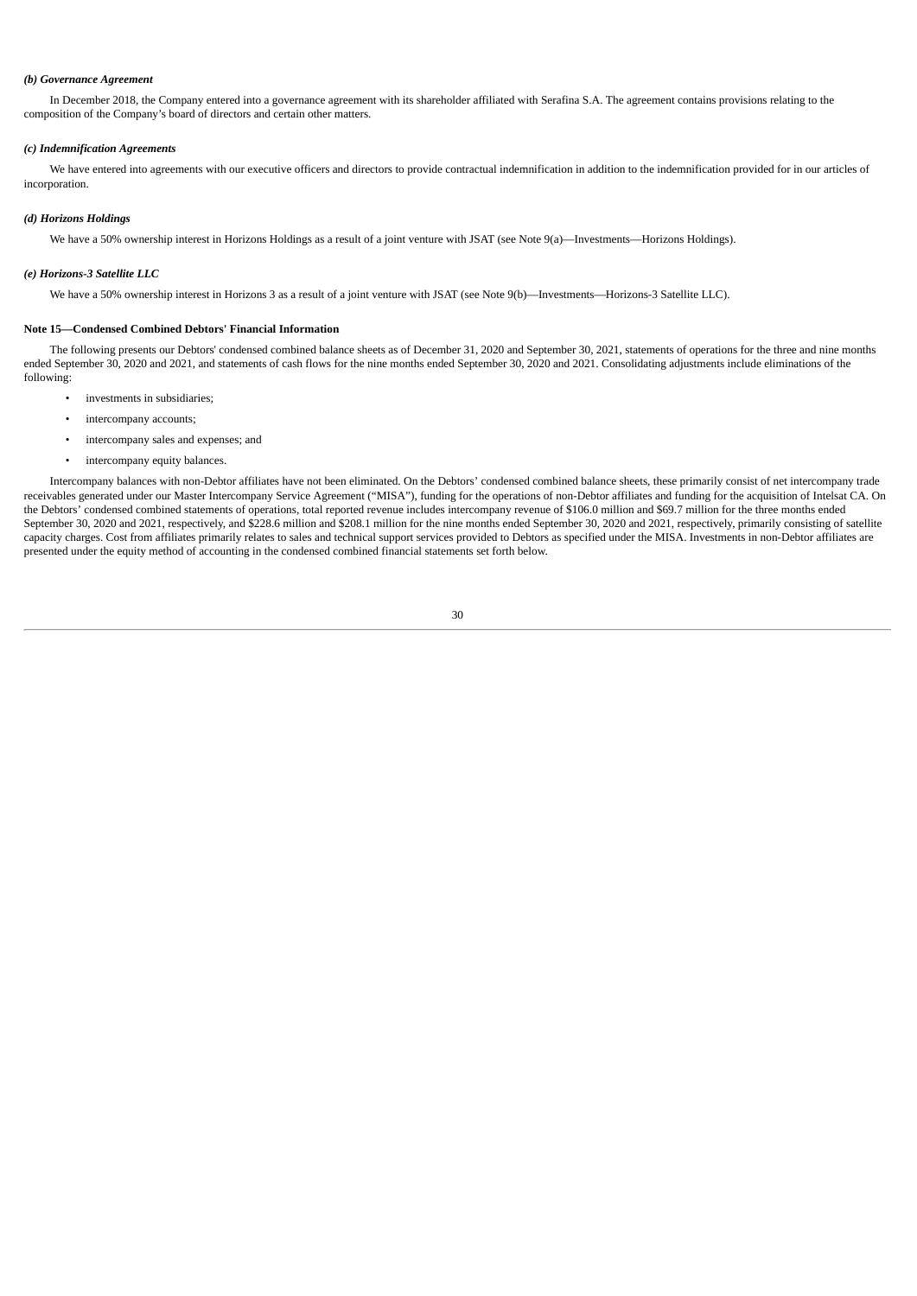## *(b) Governance Agreement*

In December 2018, the Company entered into a governance agreement with its shareholder affiliated with Serafina S.A. The agreement contains provisions relating to the composition of the Company's board of directors and certain other matters.

### *(c) Indemnification Agreements*

We have entered into agreements with our executive officers and directors to provide contractual indemnification in addition to the indemnification provided for in our articles of incorporation.

### *(d) Horizons Holdings*

We have a 50% ownership interest in Horizons Holdings as a result of a joint venture with JSAT (see Note 9(a)—Investments—Horizons Holdings).

## *(e) Horizons-3 Satellite LLC*

We have a 50% ownership interest in Horizons 3 as a result of a joint venture with JSAT (see Note 9(b)—Investments—Horizons-3 Satellite LLC).

## **Note 15—Condensed Combined Debtors' Financial Information**

The following presents our Debtors' condensed combined balance sheets as of December 31, 2020 and September 30, 2021, statements of operations for the three and nine months ended September 30, 2020 and 2021, and statements of cash flows for the nine months ended September 30, 2020 and 2021. Consolidating adjustments include eliminations of the following:

- investments in subsidiaries:
- intercompany accounts;
- intercompany sales and expenses; and
- intercompany equity balances.

Intercompany balances with non-Debtor affiliates have not been eliminated. On the Debtors' condensed combined balance sheets, these primarily consist of net intercompany trade receivables generated under our Master Intercompany Service Agreement ("MISA"), funding for the operations of non-Debtor affiliates and funding for the acquisition of Intelsat CA. On the Debtors' condensed combined statements of operations, total reported revenue includes intercompany revenue of \$106.0 million and \$69.7 million for the three months ended September 30, 2020 and 2021, respectively, and \$228.6 million and \$208.1 million for the nine months ended September 30, 2020 and 2021, respectively, primarily consisting of satellite capacity charges. Cost from affiliates primarily relates to sales and technical support services provided to Debtors as specified under the MISA. Investments in non-Debtor affiliates are presented under the equity method of accounting in the condensed combined financial statements set forth below.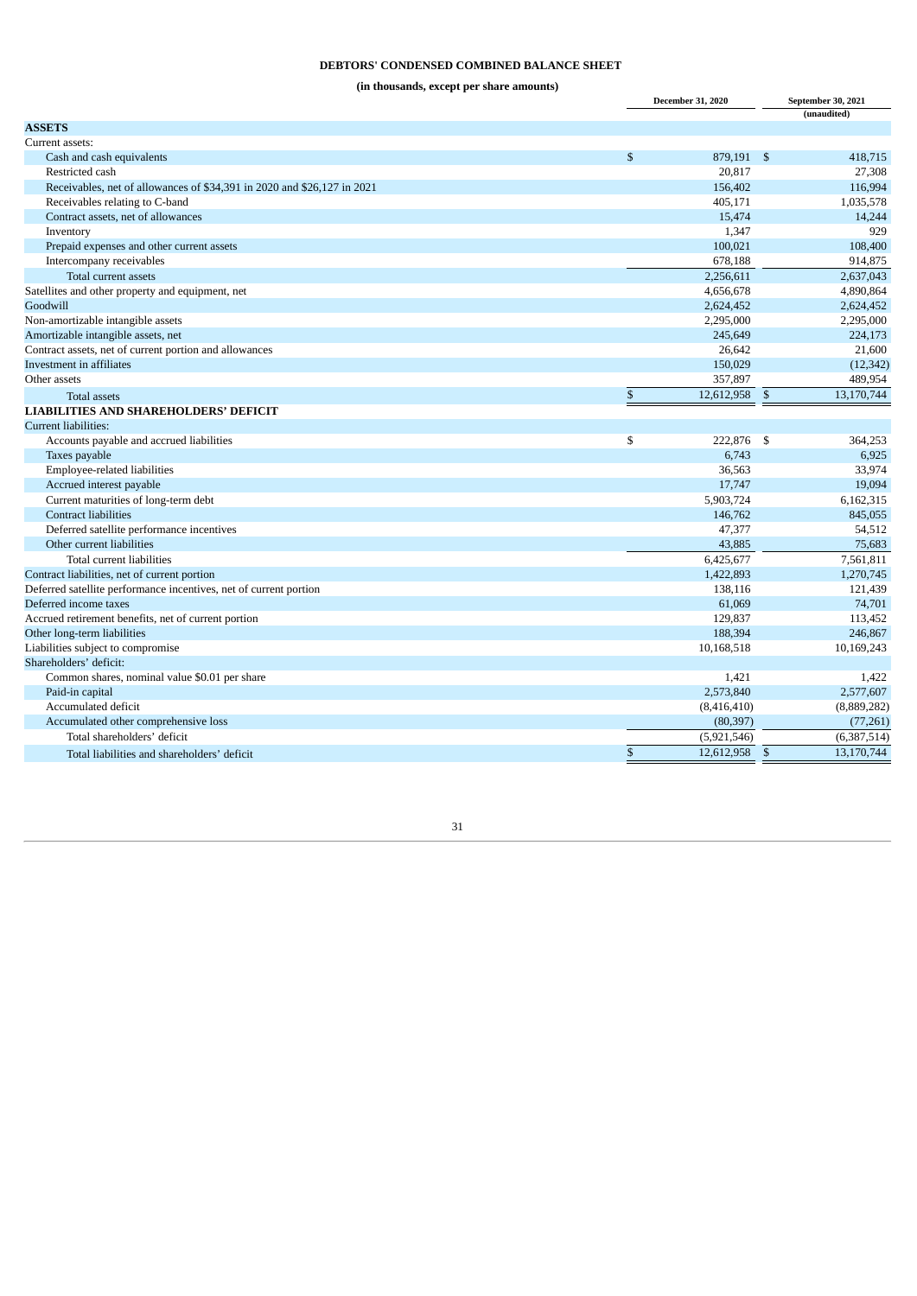# **DEBTORS' CONDENSED COMBINED BALANCE SHEET**

**(in thousands, except per share amounts)**

|                                                                         |              | <b>December 31, 2020</b> |                           | September 30, 2021 |
|-------------------------------------------------------------------------|--------------|--------------------------|---------------------------|--------------------|
|                                                                         |              |                          |                           | (unaudited)        |
| <b>ASSETS</b>                                                           |              |                          |                           |                    |
| Current assets:                                                         |              |                          |                           |                    |
| Cash and cash equivalents                                               | \$           | 879,191 \$               |                           | 418,715            |
| Restricted cash                                                         |              | 20,817                   |                           | 27,308             |
| Receivables, net of allowances of \$34,391 in 2020 and \$26,127 in 2021 |              | 156,402                  |                           | 116,994            |
| Receivables relating to C-band                                          |              | 405,171                  |                           | 1,035,578          |
| Contract assets, net of allowances                                      |              | 15,474                   |                           | 14,244             |
| Inventory                                                               |              | 1,347                    |                           | 929                |
| Prepaid expenses and other current assets                               |              | 100,021                  |                           | 108,400            |
| Intercompany receivables                                                |              | 678,188                  |                           | 914,875            |
| Total current assets                                                    |              | 2,256,611                |                           | 2,637,043          |
| Satellites and other property and equipment, net                        |              | 4,656,678                |                           | 4,890,864          |
| Goodwill                                                                |              | 2,624,452                |                           | 2,624,452          |
| Non-amortizable intangible assets                                       |              | 2,295,000                |                           | 2,295,000          |
| Amortizable intangible assets, net                                      |              | 245,649                  |                           | 224,173            |
| Contract assets, net of current portion and allowances                  |              | 26.642                   |                           | 21,600             |
| Investment in affiliates                                                |              | 150,029                  |                           | (12, 342)          |
| Other assets                                                            |              | 357,897                  |                           | 489,954            |
| <b>Total assets</b>                                                     | $\mathbf{s}$ | 12,612,958               | $\boldsymbol{\mathsf{S}}$ | 13,170,744         |
| <b>LIABILITIES AND SHAREHOLDERS' DEFICIT</b>                            |              |                          |                           |                    |
| Current liabilities:                                                    |              |                          |                           |                    |
| Accounts payable and accrued liabilities                                | \$           | 222,876 \$               |                           | 364,253            |
| Taxes payable                                                           |              | 6,743                    |                           | 6,925              |
| Employee-related liabilities                                            |              | 36,563                   |                           | 33,974             |
| Accrued interest payable                                                |              | 17,747                   |                           | 19,094             |
| Current maturities of long-term debt                                    |              | 5,903,724                |                           | 6,162,315          |
| <b>Contract liabilities</b>                                             |              | 146,762                  |                           | 845,055            |
| Deferred satellite performance incentives                               |              | 47,377                   |                           | 54,512             |
| Other current liabilities                                               |              | 43,885                   |                           | 75,683             |
| Total current liabilities                                               |              | 6,425,677                |                           | 7,561,811          |
| Contract liabilities, net of current portion                            |              | 1,422,893                |                           | 1,270,745          |
| Deferred satellite performance incentives, net of current portion       |              | 138,116                  |                           | 121,439            |
| Deferred income taxes                                                   |              | 61,069                   |                           | 74,701             |
| Accrued retirement benefits, net of current portion                     |              | 129,837                  |                           | 113,452            |
| Other long-term liabilities                                             |              | 188,394                  |                           | 246,867            |
| Liabilities subject to compromise                                       |              | 10,168,518               |                           | 10,169,243         |
| Shareholders' deficit:                                                  |              |                          |                           |                    |
| Common shares, nominal value \$0.01 per share                           |              | 1,421                    |                           | 1,422              |
| Paid-in capital                                                         |              | 2,573,840                |                           | 2,577,607          |
| Accumulated deficit                                                     |              | (8,416,410)              |                           | (8,889,282)        |
| Accumulated other comprehensive loss                                    |              | (80, 397)                |                           | (77, 261)          |
| Total shareholders' deficit                                             |              | (5,921,546)              |                           | (6,387,514)        |
| Total liabilities and shareholders' deficit                             | \$           | 12,612,958               | $\mathbf{s}$              | 13,170,744         |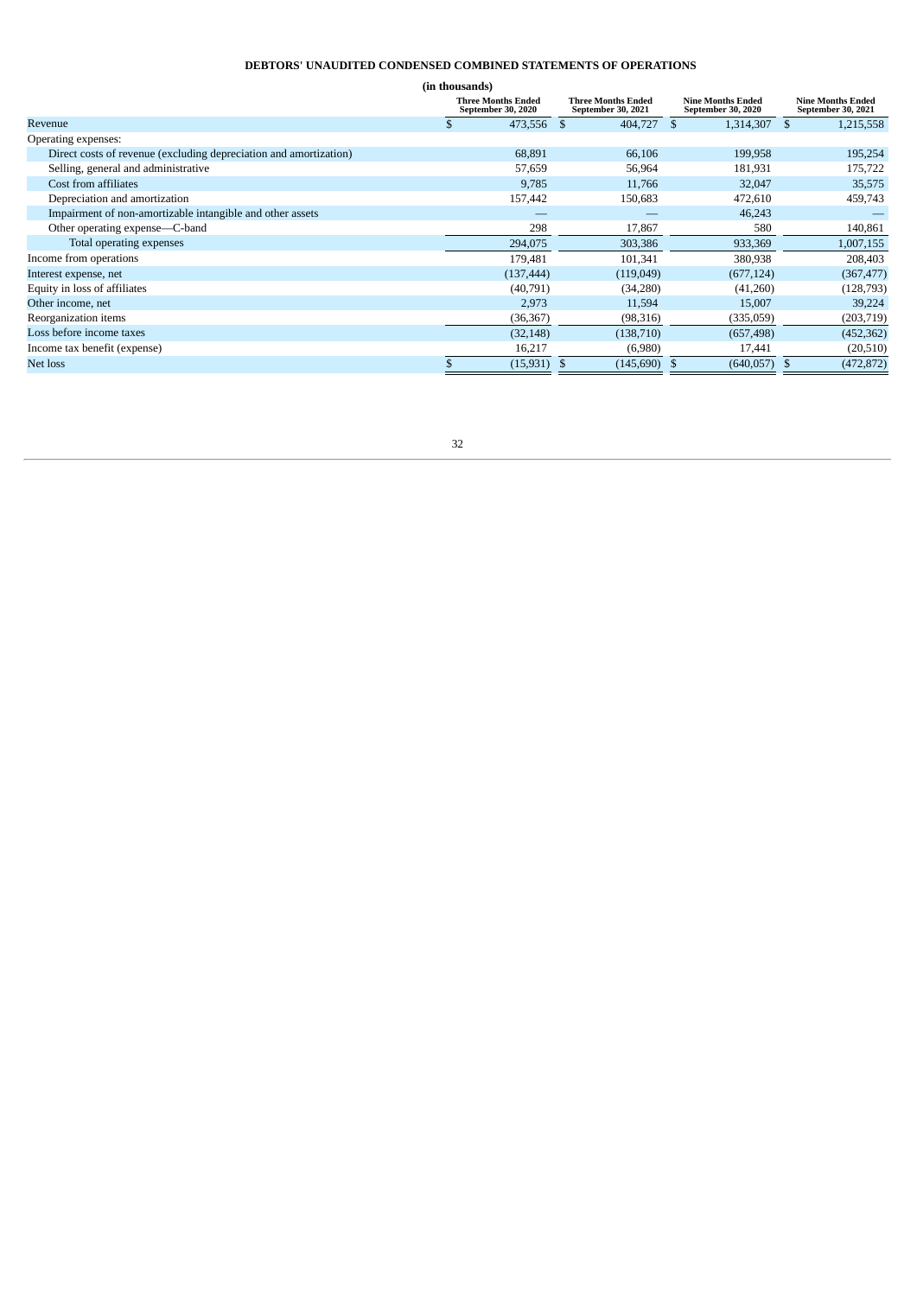# **DEBTORS' UNAUDITED CONDENSED COMBINED STATEMENTS OF OPERATIONS**

| (in thousands)                                                    |                                                                                                           |            |                        |                                                       |            |                                                |            |  |  |  |  |  |
|-------------------------------------------------------------------|-----------------------------------------------------------------------------------------------------------|------------|------------------------|-------------------------------------------------------|------------|------------------------------------------------|------------|--|--|--|--|--|
|                                                                   | <b>Three Months Ended</b><br><b>Three Months Ended</b><br>September 30, 2020<br><b>September 30, 2021</b> |            |                        | <b>Nine Months Ended</b><br><b>September 30, 2020</b> |            | <b>Nine Months Ended</b><br>September 30, 2021 |            |  |  |  |  |  |
| Revenue                                                           |                                                                                                           | 473,556 \$ | 404,727                | \$.                                                   | 1,314,307  | -\$                                            | 1,215,558  |  |  |  |  |  |
| Operating expenses:                                               |                                                                                                           |            |                        |                                                       |            |                                                |            |  |  |  |  |  |
| Direct costs of revenue (excluding depreciation and amortization) |                                                                                                           | 68,891     | 66,106                 |                                                       | 199,958    |                                                | 195,254    |  |  |  |  |  |
| Selling, general and administrative                               |                                                                                                           | 57,659     | 56,964                 |                                                       | 181,931    |                                                | 175,722    |  |  |  |  |  |
| Cost from affiliates                                              |                                                                                                           | 9,785      | 11,766                 |                                                       | 32,047     |                                                | 35,575     |  |  |  |  |  |
| Depreciation and amortization                                     |                                                                                                           | 157,442    | 150,683                |                                                       | 472,610    |                                                | 459,743    |  |  |  |  |  |
| Impairment of non-amortizable intangible and other assets         |                                                                                                           |            |                        |                                                       | 46,243     |                                                |            |  |  |  |  |  |
| Other operating expense—C-band                                    |                                                                                                           | 298        | 17,867                 |                                                       | 580        |                                                | 140,861    |  |  |  |  |  |
| Total operating expenses                                          |                                                                                                           | 294,075    | 303,386                |                                                       | 933,369    |                                                | 1,007,155  |  |  |  |  |  |
| Income from operations                                            |                                                                                                           | 179,481    | 101,341                |                                                       | 380,938    |                                                | 208,403    |  |  |  |  |  |
| Interest expense, net                                             |                                                                                                           | (137, 444) | (119,049)              |                                                       | (677, 124) |                                                | (367, 477) |  |  |  |  |  |
| Equity in loss of affiliates                                      |                                                                                                           | (40,791)   | (34,280)               |                                                       | (41,260)   |                                                | (128, 793) |  |  |  |  |  |
| Other income, net                                                 |                                                                                                           | 2,973      | 11,594                 |                                                       | 15,007     |                                                | 39,224     |  |  |  |  |  |
| Reorganization items                                              |                                                                                                           | (36, 367)  | (98, 316)              |                                                       | (335,059)  |                                                | (203, 719) |  |  |  |  |  |
| Loss before income taxes                                          |                                                                                                           | (32, 148)  | (138,710)              |                                                       | (657, 498) |                                                | (452, 362) |  |  |  |  |  |
| Income tax benefit (expense)                                      |                                                                                                           | 16,217     | (6,980)                |                                                       | 17,441     |                                                | (20,510)   |  |  |  |  |  |
| Net loss                                                          |                                                                                                           | (15, 931)  | $(145,690)$ \$<br>- 56 |                                                       | (640, 057) | - 5                                            | (472, 872) |  |  |  |  |  |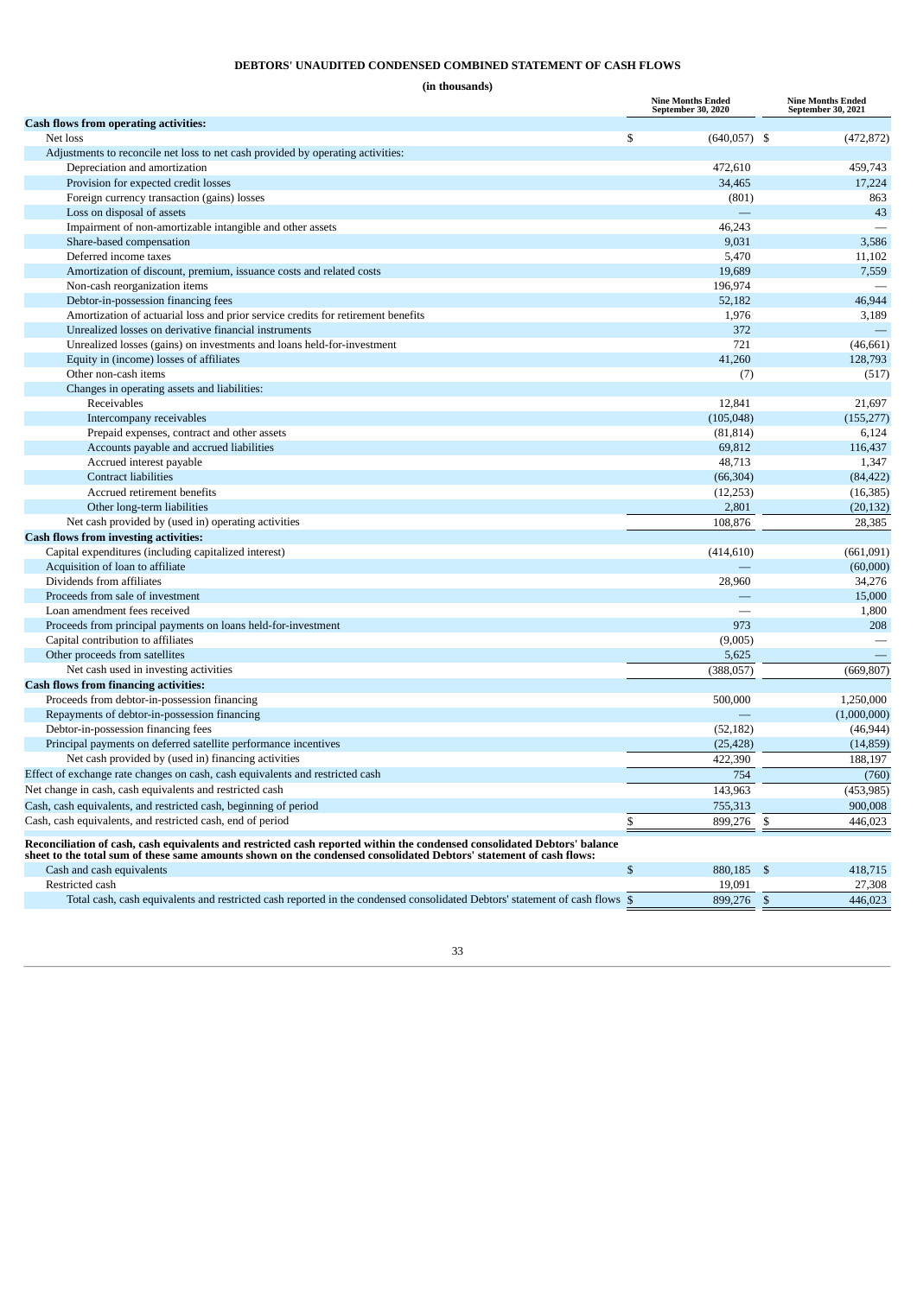# **DEBTORS' UNAUDITED CONDENSED COMBINED STATEMENT OF CASH FLOWS**

# **(in thousands)**

| uu uluusallus j                                                                                                                                                                                                                                | <b>Nine Months Ended</b><br>September 30, 2020 | <b>Nine Months Ended</b><br>September 30, 2021 |  |
|------------------------------------------------------------------------------------------------------------------------------------------------------------------------------------------------------------------------------------------------|------------------------------------------------|------------------------------------------------|--|
| <b>Cash flows from operating activities:</b>                                                                                                                                                                                                   |                                                |                                                |  |
| Net loss<br>Adjustments to reconcile net loss to net cash provided by operating activities:                                                                                                                                                    | \$<br>$(640,057)$ \$                           | (472, 872)                                     |  |
| Depreciation and amortization                                                                                                                                                                                                                  | 472,610                                        | 459,743                                        |  |
| Provision for expected credit losses                                                                                                                                                                                                           | 34,465                                         | 17,224                                         |  |
| Foreign currency transaction (gains) losses                                                                                                                                                                                                    | (801)                                          | 863                                            |  |
| Loss on disposal of assets                                                                                                                                                                                                                     |                                                | 43                                             |  |
| Impairment of non-amortizable intangible and other assets                                                                                                                                                                                      | 46,243                                         |                                                |  |
| Share-based compensation                                                                                                                                                                                                                       | 9,031                                          | 3,586                                          |  |
| Deferred income taxes                                                                                                                                                                                                                          | 5,470                                          | 11,102                                         |  |
| Amortization of discount, premium, issuance costs and related costs                                                                                                                                                                            | 19,689                                         | 7,559                                          |  |
| Non-cash reorganization items                                                                                                                                                                                                                  | 196,974                                        |                                                |  |
| Debtor-in-possession financing fees                                                                                                                                                                                                            | 52,182                                         | 46,944                                         |  |
| Amortization of actuarial loss and prior service credits for retirement benefits                                                                                                                                                               | 1,976                                          | 3,189                                          |  |
| Unrealized losses on derivative financial instruments                                                                                                                                                                                          | 372                                            |                                                |  |
| Unrealized losses (gains) on investments and loans held-for-investment                                                                                                                                                                         | 721                                            | (46, 661)                                      |  |
| Equity in (income) losses of affiliates                                                                                                                                                                                                        | 41,260                                         | 128,793                                        |  |
| Other non-cash items                                                                                                                                                                                                                           |                                                | (517)                                          |  |
| Changes in operating assets and liabilities:                                                                                                                                                                                                   | (7)                                            |                                                |  |
| Receivables                                                                                                                                                                                                                                    | 12,841                                         | 21,697                                         |  |
|                                                                                                                                                                                                                                                |                                                |                                                |  |
| Intercompany receivables                                                                                                                                                                                                                       | (105, 048)                                     | (155, 277)                                     |  |
| Prepaid expenses, contract and other assets<br>Accounts payable and accrued liabilities                                                                                                                                                        | (81, 814)                                      | 6,124                                          |  |
|                                                                                                                                                                                                                                                | 69,812                                         | 116,437                                        |  |
| Accrued interest payable                                                                                                                                                                                                                       | 48,713                                         | 1,347                                          |  |
| <b>Contract liabilities</b>                                                                                                                                                                                                                    | (66, 304)                                      | (84, 422)                                      |  |
| Accrued retirement benefits                                                                                                                                                                                                                    | (12, 253)                                      | (16, 385)                                      |  |
| Other long-term liabilities                                                                                                                                                                                                                    | 2,801                                          | (20, 132)                                      |  |
| Net cash provided by (used in) operating activities                                                                                                                                                                                            | 108,876                                        | 28,385                                         |  |
| <b>Cash flows from investing activities:</b>                                                                                                                                                                                                   |                                                |                                                |  |
| Capital expenditures (including capitalized interest)                                                                                                                                                                                          | (414, 610)                                     | (661,091)                                      |  |
| Acquisition of loan to affiliate                                                                                                                                                                                                               |                                                | (60,000)                                       |  |
| Dividends from affiliates                                                                                                                                                                                                                      | 28,960                                         | 34,276                                         |  |
| Proceeds from sale of investment                                                                                                                                                                                                               |                                                | 15,000                                         |  |
| Loan amendment fees received                                                                                                                                                                                                                   |                                                | 1,800                                          |  |
| Proceeds from principal payments on loans held-for-investment                                                                                                                                                                                  | 973                                            | 208                                            |  |
| Capital contribution to affiliates                                                                                                                                                                                                             | (9,005)                                        |                                                |  |
| Other proceeds from satellites                                                                                                                                                                                                                 | 5,625                                          |                                                |  |
| Net cash used in investing activities                                                                                                                                                                                                          | (388, 057)                                     | (669, 807)                                     |  |
| <b>Cash flows from financing activities:</b>                                                                                                                                                                                                   |                                                |                                                |  |
| Proceeds from debtor-in-possession financing                                                                                                                                                                                                   | 500,000                                        | 1,250,000                                      |  |
| Repayments of debtor-in-possession financing                                                                                                                                                                                                   |                                                | (1,000,000)                                    |  |
| Debtor-in-possession financing fees                                                                                                                                                                                                            | (52, 182)                                      | (46, 944)                                      |  |
| Principal payments on deferred satellite performance incentives                                                                                                                                                                                | (25, 428)                                      | (14, 859)                                      |  |
| Net cash provided by (used in) financing activities                                                                                                                                                                                            | 422,390                                        | 188,197                                        |  |
| Effect of exchange rate changes on cash, cash equivalents and restricted cash                                                                                                                                                                  | 754                                            | (760)                                          |  |
| Net change in cash, cash equivalents and restricted cash                                                                                                                                                                                       | 143,963                                        | (453, 985)                                     |  |
| Cash, cash equivalents, and restricted cash, beginning of period                                                                                                                                                                               | 755,313                                        | 900,008                                        |  |
| Cash, cash equivalents, and restricted cash, end of period                                                                                                                                                                                     | \$<br>899,276 \$                               | 446,023                                        |  |
| Reconciliation of cash, cash equivalents and restricted cash reported within the condensed consolidated Debtors' balance<br>sheet to the total sum of these same amounts shown on the condensed consolidated Debtors' statement of cash flows: |                                                |                                                |  |
| Cash and cash equivalents                                                                                                                                                                                                                      | \$<br>880,185 \$                               | 418,715                                        |  |
| Restricted cash                                                                                                                                                                                                                                | 19,091                                         | 27,308                                         |  |
| Total cash, cash equivalents and restricted cash reported in the condensed consolidated Debtors' statement of cash flows \$                                                                                                                    | 899,276                                        | $\overline{e}$<br>446,023                      |  |
|                                                                                                                                                                                                                                                |                                                |                                                |  |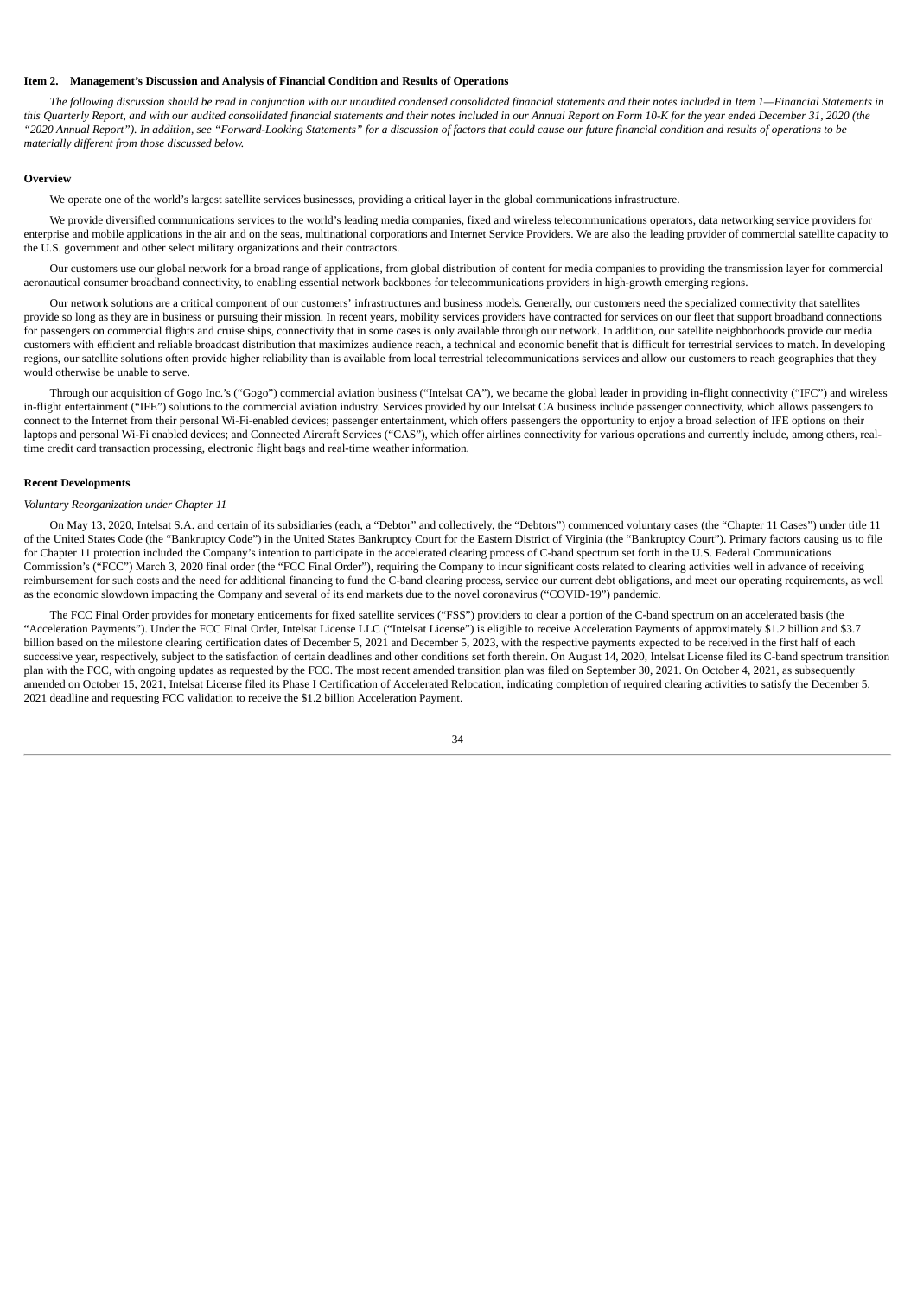## <span id="page-33-0"></span>**Item 2. Management's Discussion and Analysis of Financial Condition and Results of Operations**

The following discussion should be read in conjunction with our unaudited condensed consolidated financial statements and their notes included in Item 1—Financial Statements in this Quarterly Report, and with our audited consolidated financial statements and their notes included in our Annual Report on Form 10-K for the year ended December 31, 2020 (the "2020 Annual Report"). In addition, see "Forward-Looking Statements" for a discussion of factors that could cause our future financial condition and results of operations to be *materially different from those discussed below.*

### **Overview**

We operate one of the world's largest satellite services businesses, providing a critical layer in the global communications infrastructure.

We provide diversified communications services to the world's leading media companies, fixed and wireless telecommunications operators, data networking service providers for enterprise and mobile applications in the air and on the seas, multinational corporations and Internet Service Providers. We are also the leading provider of commercial satellite capacity to the U.S. government and other select military organizations and their contractors.

Our customers use our global network for a broad range of applications, from global distribution of content for media companies to providing the transmission layer for commercial aeronautical consumer broadband connectivity, to enabling essential network backbones for telecommunications providers in high-growth emerging regions.

Our network solutions are a critical component of our customers' infrastructures and business models. Generally, our customers need the specialized connectivity that satellites provide so long as they are in business or pursuing their mission. In recent years, mobility services providers have contracted for services on our fleet that support broadband connections for passengers on commercial flights and cruise ships, connectivity that in some cases is only available through our network. In addition, our satellite neighborhoods provide our media customers with efficient and reliable broadcast distribution that maximizes audience reach, a technical and economic benefit that is difficult for terrestrial services to match. In developing regions, our satellite solutions often provide higher reliability than is available from local terrestrial telecommunications services and allow our customers to reach geographies that they would otherwise be unable to serve.

Through our acquisition of Gogo Inc.'s ("Gogo") commercial aviation business ("Intelsat CA"), we became the global leader in providing in-flight connectivity ("IFC") and wireless in-flight entertainment ("IFE") solutions to the commercial aviation industry. Services provided by our Intelsat CA business include passenger connectivity, which allows passengers to connect to the Internet from their personal Wi-Fi-enabled devices; passenger entertainment, which offers passengers the opportunity to enjoy a broad selection of IFE options on their laptops and personal Wi-Fi enabled devices; and Connected Aircraft Services ("CAS"), which offer airlines connectivity for various operations and currently include, among others, realtime credit card transaction processing, electronic flight bags and real-time weather information.

## **Recent Developments**

### *Voluntary Reorganization under Chapter 11*

On May 13, 2020, Intelsat S.A. and certain of its subsidiaries (each, a "Debtor" and collectively, the "Debtors") commenced voluntary cases (the "Chapter 11 Cases") under title 11 of the United States Code (the "Bankruptcy Code") in the United States Bankruptcy Court for the Eastern District of Virginia (the "Bankruptcy Court"). Primary factors causing us to file for Chapter 11 protection included the Company's intention to participate in the accelerated clearing process of C-band spectrum set forth in the U.S. Federal Communications Commission's ("FCC") March 3, 2020 final order (the "FCC Final Order"), requiring the Company to incur significant costs related to clearing activities well in advance of receiving reimbursement for such costs and the need for additional financing to fund the C-band clearing process, service our current debt obligations, and meet our operating requirements, as well as the economic slowdown impacting the Company and several of its end markets due to the novel coronavirus ("COVID-19") pandemic.

The FCC Final Order provides for monetary enticements for fixed satellite services ("FSS") providers to clear a portion of the C-band spectrum on an accelerated basis (the "Acceleration Payments"). Under the FCC Final Order, Intelsat License LLC ("Intelsat License") is eligible to receive Acceleration Payments of approximately \$1.2 billion and \$3.7 billion based on the milestone clearing certification dates of December 5, 2021 and December 5, 2023, with the respective payments expected to be received in the first half of each successive year, respectively, subject to the satisfaction of certain deadlines and other conditions set forth therein. On August 14, 2020, Intelsat License filed its C-band spectrum transition plan with the FCC, with ongoing updates as requested by the FCC. The most recent amended transition plan was filed on September 30, 2021. On October 4, 2021, as subsequently amended on October 15, 2021, Intelsat License filed its Phase I Certification of Accelerated Relocation, indicating completion of required clearing activities to satisfy the December 5, 2021 deadline and requesting FCC validation to receive the \$1.2 billion Acceleration Payment.

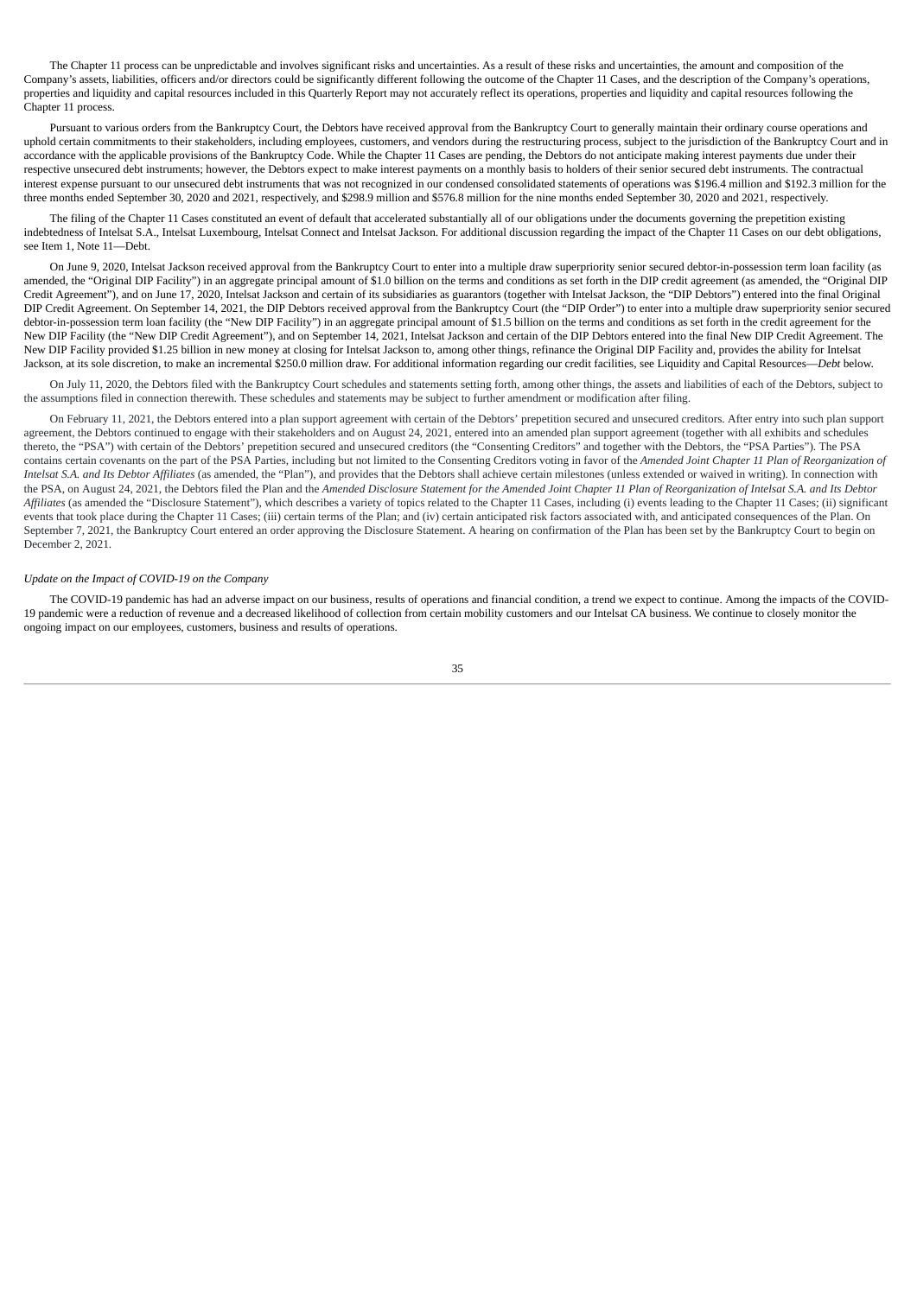The Chapter 11 process can be unpredictable and involves significant risks and uncertainties. As a result of these risks and uncertainties, the amount and composition of the Company's assets, liabilities, officers and/or directors could be significantly different following the outcome of the Chapter 11 Cases, and the description of the Company's operations, properties and liquidity and capital resources included in this Quarterly Report may not accurately reflect its operations, properties and liquidity and capital resources following the Chapter 11 process.

Pursuant to various orders from the Bankruptcy Court, the Debtors have received approval from the Bankruptcy Court to generally maintain their ordinary course operations and uphold certain commitments to their stakeholders, including employees, customers, and vendors during the restructuring process, subject to the jurisdiction of the Bankruptcy Court and in accordance with the applicable provisions of the Bankruptcy Code. While the Chapter 11 Cases are pending, the Debtors do not anticipate making interest payments due under their respective unsecured debt instruments; however, the Debtors expect to make interest payments on a monthly basis to holders of their senior secured debt instruments. The contractual interest expense pursuant to our unsecured debt instruments that was not recognized in our condensed consolidated statements of operations was \$196.4 million and \$192.3 million for the three months ended September 30, 2020 and 2021, respectively, and \$298.9 million and \$576.8 million for the nine months ended September 30, 2020 and 2021, respectively.

The filing of the Chapter 11 Cases constituted an event of default that accelerated substantially all of our obligations under the documents governing the prepetition existing indebtedness of Intelsat S.A., Intelsat Luxembourg, Intelsat Connect and Intelsat Jackson. For additional discussion regarding the impact of the Chapter 11 Cases on our debt obligations, see Item 1, Note 11—Debt.

On June 9, 2020, Intelsat Jackson received approval from the Bankruptcy Court to enter into a multiple draw superpriority senior secured debtor-in-possession term loan facility (as amended, the "Original DIP Facility") in an aggregate principal amount of \$1.0 billion on the terms and conditions as set forth in the DIP credit agreement (as amended, the "Original DIP Credit Agreement"), and on June 17, 2020, Intelsat Jackson and certain of its subsidiaries as guarantors (together with Intelsat Jackson, the "DIP Debtors") entered into the final Original DIP Credit Agreement. On September 14, 2021, the DIP Debtors received approval from the Bankruptcy Court (the "DIP Order") to enter into a multiple draw superpriority senior secured debtor-in-possession term loan facility (the "New DIP Facility") in an aggregate principal amount of \$1.5 billion on the terms and conditions as set forth in the credit agreement for the New DIP Facility (the "New DIP Credit Agreement"), and on September 14, 2021, Intelsat Jackson and certain of the DIP Debtors entered into the final New DIP Credit Agreement. The New DIP Facility provided \$1.25 billion in new money at closing for Intelsat Jackson to, among other things, refinance the Original DIP Facility and, provides the ability for Intelsat Jackson, at its sole discretion, to make an incremental \$250.0 million draw. For additional information regarding our credit facilities, see Liquidity and Capital Resources—*Debt* below.

On July 11, 2020, the Debtors filed with the Bankruptcy Court schedules and statements setting forth, among other things, the assets and liabilities of each of the Debtors, subject to the assumptions filed in connection therewith. These schedules and statements may be subject to further amendment or modification after filing.

On February 11, 2021, the Debtors entered into a plan support agreement with certain of the Debtors' prepetition secured and unsecured creditors. After entry into such plan support agreement, the Debtors continued to engage with their stakeholders and on August 24, 2021, entered into an amended plan support agreement (together with all exhibits and schedules thereto, the "PSA") with certain of the Debtors' prepetition secured and unsecured creditors (the "Consenting Creditors" and together with the Debtors, the "PSA Parties"). The PSA contains certain covenants on the part of the PSA Parties, including but not limited to the Consenting Creditors voting in favor of the Amended Joint Chapter 11 Plan of Reorganization of Intelsat S.A. and Its Debtor Affiliates (as amended, the "Plan"), and provides that the Debtors shall achieve certain milestones (unless extended or waived in writing). In connection with the PSA, on August 24, 2021, the Debtors filed the Plan and the Amended Disclosure Statement for the Amended Joint Chapter 11 Plan of Reorganization of Intelsat S.A. and Its Debtor *Affiliates* (as amended the "Disclosure Statement"), which describes a variety of topics related to the Chapter 11 Cases, including (i) events leading to the Chapter 11 Cases; (ii) significant events that took place during the Chapter 11 Cases; (iii) certain terms of the Plan; and (iv) certain anticipated risk factors associated with, and anticipated consequences of the Plan. On September 7, 2021, the Bankruptcy Court entered an order approving the Disclosure Statement. A hearing on confirmation of the Plan has been set by the Bankruptcy Court to begin on December 2, 2021.

## *Update on the Impact of COVID-19 on the Company*

The COVID-19 pandemic has had an adverse impact on our business, results of operations and financial condition, a trend we expect to continue. Among the impacts of the COVID-19 pandemic were a reduction of revenue and a decreased likelihood of collection from certain mobility customers and our Intelsat CA business. We continue to closely monitor the ongoing impact on our employees, customers, business and results of operations.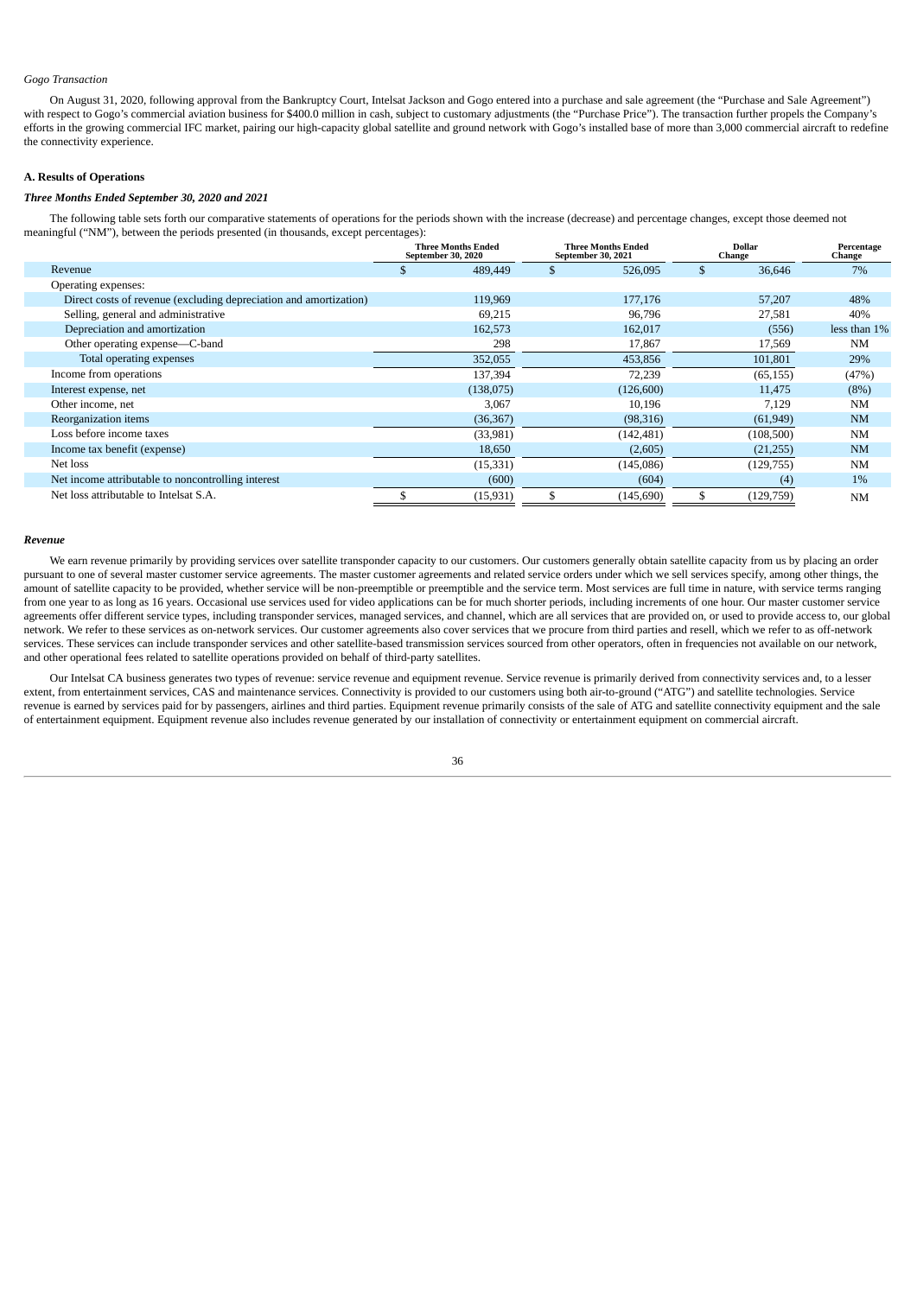## *Gogo Transaction*

On August 31, 2020, following approval from the Bankruptcy Court, Intelsat Jackson and Gogo entered into a purchase and sale agreement (the "Purchase and Sale Agreement") with respect to Gogo's commercial aviation business for \$400.0 million in cash, subject to customary adjustments (the "Purchase Price"). The transaction further propels the Company's efforts in the growing commercial IFC market, pairing our high-capacity global satellite and ground network with Gogo's installed base of more than 3,000 commercial aircraft to redefine the connectivity experience.

## **A. Results of Operations**

## *Three Months Ended September 30, 2020 and 2021*

The following table sets forth our comparative statements of operations for the periods shown with the increase (decrease) and percentage changes, except those deemed not meaningful ("NM"), between the periods presented (in thousands, except percentages):

|                                                                   |    | <b>Three Months Ended</b><br><b>September 30, 2020</b> | <b>Three Months Ended</b><br>September 30, 2021 |            | <b>Dollar</b><br>Change | Percentage<br>Change |
|-------------------------------------------------------------------|----|--------------------------------------------------------|-------------------------------------------------|------------|-------------------------|----------------------|
| Revenue                                                           | ٦. | 489,449                                                |                                                 | 526,095    | \$<br>36,646            | 7%                   |
| Operating expenses:                                               |    |                                                        |                                                 |            |                         |                      |
| Direct costs of revenue (excluding depreciation and amortization) |    | 119,969                                                |                                                 | 177,176    | 57,207                  | 48%                  |
| Selling, general and administrative                               |    | 69,215                                                 |                                                 | 96,796     | 27,581                  | 40%                  |
| Depreciation and amortization                                     |    | 162,573                                                |                                                 | 162,017    | (556)                   | less than 1%         |
| Other operating expense—C-band                                    |    | 298                                                    |                                                 | 17,867     | 17,569                  | NM                   |
| Total operating expenses                                          |    | 352,055                                                |                                                 | 453,856    | 101,801                 | 29%                  |
| Income from operations                                            |    | 137,394                                                |                                                 | 72,239     | (65, 155)               | (47%)                |
| Interest expense, net                                             |    | (138,075)                                              |                                                 | (126,600)  | 11,475                  | (8%)                 |
| Other income, net                                                 |    | 3,067                                                  |                                                 | 10,196     | 7,129                   | <b>NM</b>            |
| Reorganization items                                              |    | (36, 367)                                              |                                                 | (98,316)   | (61, 949)               | <b>NM</b>            |
| Loss before income taxes                                          |    | (33,981)                                               |                                                 | (142, 481) | (108,500)               | NM                   |
| Income tax benefit (expense)                                      |    | 18,650                                                 |                                                 | (2,605)    | (21,255)                | NM                   |
| Net loss                                                          |    | (15, 331)                                              |                                                 | (145,086)  | (129, 755)              | NM                   |
| Net income attributable to noncontrolling interest                |    | (600)                                                  |                                                 | (604)      | (4)                     | 1%                   |
| Net loss attributable to Intelsat S.A.                            |    | (15, 931)                                              | \$                                              | (145,690)  | \$<br>(129, 759)        | <b>NM</b>            |

#### *Revenue*

We earn revenue primarily by providing services over satellite transponder capacity to our customers. Our customers generally obtain satellite capacity from us by placing an order pursuant to one of several master customer service agreements. The master customer agreements and related service orders under which we sell services specify, among other things, the amount of satellite capacity to be provided, whether service will be non-preemptible or preemptible and the service term. Most services are full time in nature, with service terms ranging from one year to as long as 16 years. Occasional use services used for video applications can be for much shorter periods, including increments of one hour. Our master customer service agreements offer different service types, including transponder services, managed services, and channel, which are all services that are provided on, or used to provide access to, our global network. We refer to these services as on-network services. Our customer agreements also cover services that we procure from third parties and resell, which we refer to as off-network services. These services can include transponder services and other satellite-based transmission services sourced from other operators, often in frequencies not available on our network, and other operational fees related to satellite operations provided on behalf of third-party satellites.

Our Intelsat CA business generates two types of revenue: service revenue and equipment revenue. Service revenue is primarily derived from connectivity services and, to a lesser extent, from entertainment services, CAS and maintenance services. Connectivity is provided to our customers using both air-to-ground ("ATG") and satellite technologies. Service revenue is earned by services paid for by passengers, airlines and third parties. Equipment revenue primarily consists of the sale of ATG and satellite connectivity equipment and the sale of entertainment equipment. Equipment revenue also includes revenue generated by our installation of connectivity or entertainment equipment on commercial aircraft.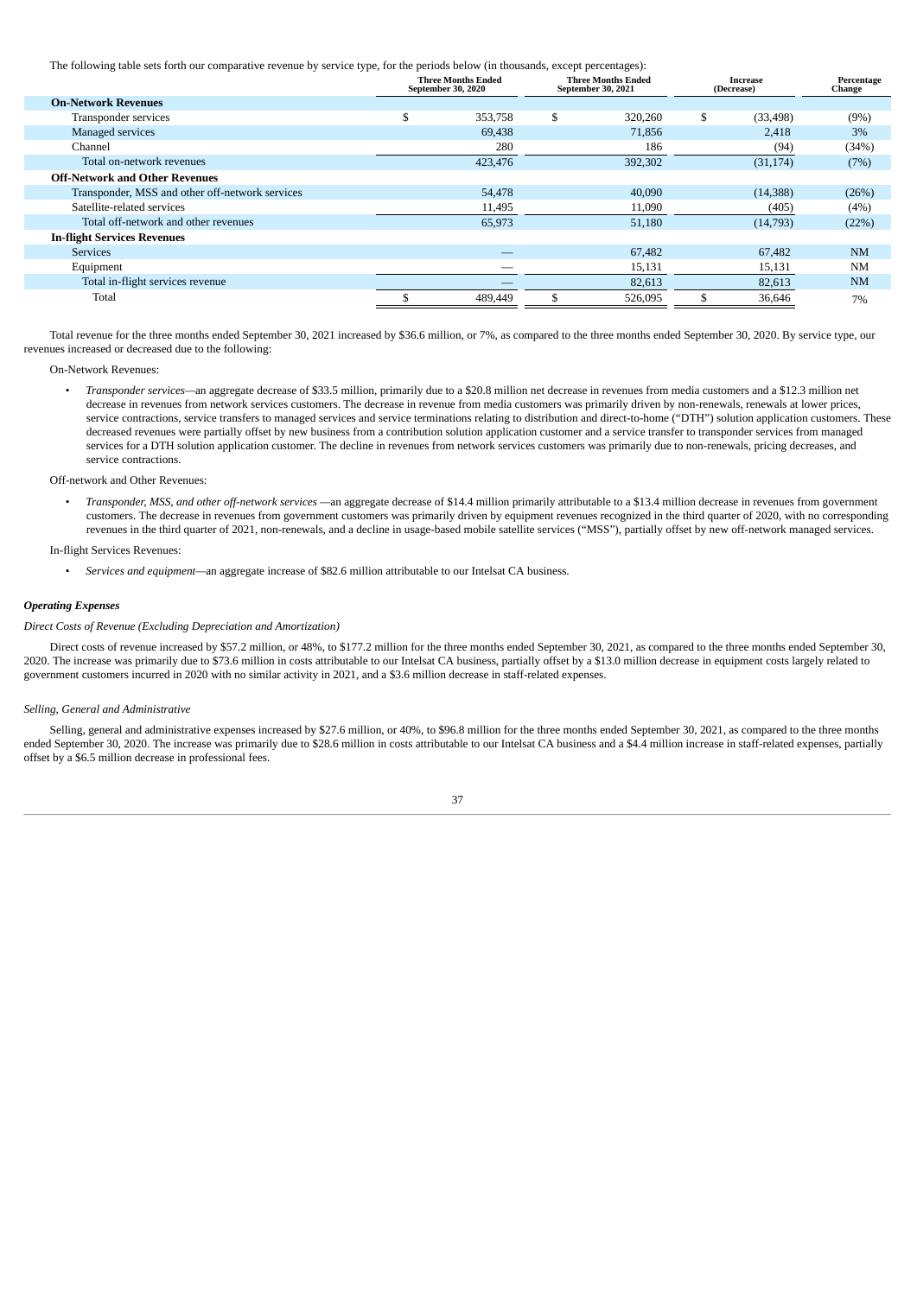The following table sets forth our comparative revenue by service type, for the periods below (in thousands, except percentages):

|                                                 |    | <b>Three Months Ended</b><br>September 30, 2020 |    | <b>Three Months Ended</b><br><b>September 30, 2021</b> | Increase<br>(Decrease) |           | Percentage<br><b>Change</b> |
|-------------------------------------------------|----|-------------------------------------------------|----|--------------------------------------------------------|------------------------|-----------|-----------------------------|
| <b>On-Network Revenues</b>                      |    |                                                 |    |                                                        |                        |           |                             |
| Transponder services                            | \$ | 353,758                                         | \$ | 320,260                                                | \$                     | (33, 498) | (9%)                        |
| Managed services                                |    | 69,438                                          |    | 71,856                                                 |                        | 2,418     | 3%                          |
| Channel                                         |    | 280                                             |    | 186                                                    |                        | (94)      | (34%)                       |
| Total on-network revenues                       |    | 423,476                                         |    | 392,302                                                |                        | (31, 174) | (7%)                        |
| <b>Off-Network and Other Revenues</b>           |    |                                                 |    |                                                        |                        |           |                             |
| Transponder, MSS and other off-network services |    | 54,478                                          |    | 40,090                                                 |                        | (14, 388) | (26%)                       |
| Satellite-related services                      |    | 11,495                                          |    | 11,090                                                 |                        | (405)     | (4%)                        |
| Total off-network and other revenues            |    | 65,973                                          |    | 51,180                                                 |                        | (14,793)  | (22%)                       |
| <b>In-flight Services Revenues</b>              |    |                                                 |    |                                                        |                        |           |                             |
| <b>Services</b>                                 |    |                                                 |    | 67,482                                                 |                        | 67,482    | NM                          |
| Equipment                                       |    |                                                 |    | 15,131                                                 |                        | 15,131    | <b>NM</b>                   |
| Total in-flight services revenue                |    |                                                 |    | 82,613                                                 |                        | 82,613    | <b>NM</b>                   |
| Total                                           |    | 489,449                                         |    | 526,095                                                |                        | 36,646    | 7%                          |
|                                                 |    |                                                 |    |                                                        |                        |           |                             |

Total revenue for the three months ended September 30, 2021 increased by \$36.6 million, or 7%, as compared to the three months ended September 30, 2020. By service type, our revenues increased or decreased due to the following:

On-Network Revenues:

• *Transponder services—*an aggregate decrease of \$33.5 million, primarily due to a \$20.8 million net decrease in revenues from media customers and a \$12.3 million net decrease in revenues from network services customers. The decrease in revenue from media customers was primarily driven by non-renewals, renewals at lower prices, service contractions, service transfers to managed services and service terminations relating to distribution and direct-to-home ("DTH") solution application customers. These decreased revenues were partially offset by new business from a contribution solution application customer and a service transfer to transponder services from managed services for a DTH solution application customer. The decline in revenues from network services customers was primarily due to non-renewals, pricing decreases, and service contractions.

Off-network and Other Revenues:

• *Transponder, MSS, and other off-network services —*an aggregate decrease of \$14.4 million primarily attributable to a \$13.4 million decrease in revenues from government customers. The decrease in revenues from government customers was primarily driven by equipment revenues recognized in the third quarter of 2020, with no corresponding revenues in the third quarter of 2021, non-renewals, and a decline in usage-based mobile satellite services ("MSS"), partially offset by new off-network managed services.

In-flight Services Revenues:

• *Services and equipment—*an aggregate increase of \$82.6 million attributable to our Intelsat CA business.

## *Operating Expenses*

*Direct Costs of Revenue (Excluding Depreciation and Amortization)*

Direct costs of revenue increased by \$57.2 million, or 48%, to \$177.2 million for the three months ended September 30, 2021, as compared to the three months ended September 30, 2020. The increase was primarily due to \$73.6 million in costs attributable to our Intelsat CA business, partially offset by a \$13.0 million decrease in equipment costs largely related to government customers incurred in 2020 with no similar activity in 2021, and a \$3.6 million decrease in staff-related expenses.

## *Selling, General and Administrative*

Selling, general and administrative expenses increased by \$27.6 million, or 40%, to \$96.8 million for the three months ended September 30, 2021, as compared to the three months ended September 30, 2020. The increase was primarily due to \$28.6 million in costs attributable to our Intelsat CA business and a \$4.4 million increase in staff-related expenses, partially offset by a \$6.5 million decrease in professional fees.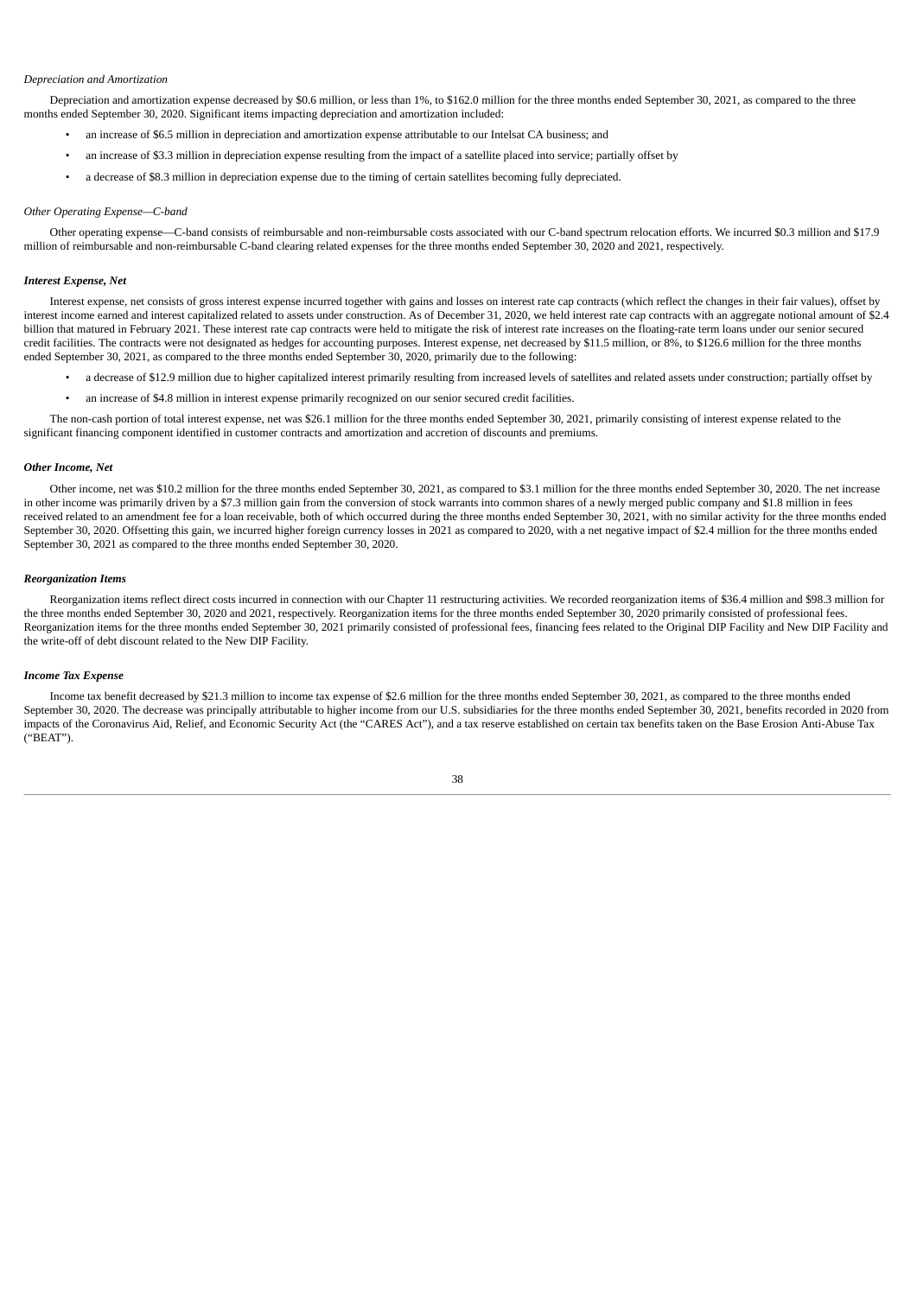### *Depreciation and Amortization*

Depreciation and amortization expense decreased by \$0.6 million, or less than 1%, to \$162.0 million for the three months ended September 30, 2021, as compared to the three months ended September 30, 2020. Significant items impacting depreciation and amortization included:

- an increase of \$6.5 million in depreciation and amortization expense attributable to our Intelsat CA business; and
- an increase of \$3.3 million in depreciation expense resulting from the impact of a satellite placed into service; partially offset by
- a decrease of \$8.3 million in depreciation expense due to the timing of certain satellites becoming fully depreciated.

## *Other Operating Expense—C-band*

Other operating expense—C-band consists of reimbursable and non-reimbursable costs associated with our C-band spectrum relocation efforts. We incurred \$0.3 million and \$17.9 million of reimbursable and non-reimbursable C-band clearing related expenses for the three months ended September 30, 2020 and 2021, respectively.

### *Interest Expense, Net*

Interest expense, net consists of gross interest expense incurred together with gains and losses on interest rate cap contracts (which reflect the changes in their fair values), offset by interest income earned and interest capitalized related to assets under construction. As of December 31, 2020, we held interest rate cap contracts with an aggregate notional amount of \$2.4 billion that matured in February 2021. These interest rate cap contracts were held to mitigate the risk of interest rate increases on the floating-rate term loans under our senior secured credit facilities. The contracts were not designated as hedges for accounting purposes. Interest expense, net decreased by \$11.5 million, or 8%, to \$126.6 million for the three months ended September 30, 2021, as compared to the three months ended September 30, 2020, primarily due to the following:

- a decrease of \$12.9 million due to higher capitalized interest primarily resulting from increased levels of satellites and related assets under construction; partially offset by
- an increase of \$4.8 million in interest expense primarily recognized on our senior secured credit facilities.

The non-cash portion of total interest expense, net was \$26.1 million for the three months ended September 30, 2021, primarily consisting of interest expense related to the significant financing component identified in customer contracts and amortization and accretion of discounts and premiums.

### *Other Income, Net*

Other income, net was \$10.2 million for the three months ended September 30, 2021, as compared to \$3.1 million for the three months ended September 30, 2020. The net increase in other income was primarily driven by a \$7.3 million gain from the conversion of stock warrants into common shares of a newly merged public company and \$1.8 million in fees received related to an amendment fee for a loan receivable, both of which occurred during the three months ended September 30, 2021, with no similar activity for the three months ended September 30, 2020. Offsetting this gain, we incurred higher foreign currency losses in 2021 as compared to 2020, with a net negative impact of \$2.4 million for the three months ended September 30, 2021 as compared to the three months ended September 30, 2020.

## *Reorganization Items*

Reorganization items reflect direct costs incurred in connection with our Chapter 11 restructuring activities. We recorded reorganization items of \$36.4 million and \$98.3 million for the three months ended September 30, 2020 and 2021, respectively. Reorganization items for the three months ended September 30, 2020 primarily consisted of professional fees. Reorganization items for the three months ended September 30, 2021 primarily consisted of professional fees, financing fees related to the Original DIP Facility and New DIP Facility and the write-off of debt discount related to the New DIP Facility.

#### *Income Tax Expense*

Income tax benefit decreased by \$21.3 million to income tax expense of \$2.6 million for the three months ended September 30, 2021, as compared to the three months ended September 30, 2020. The decrease was principally attributable to higher income from our U.S. subsidiaries for the three months ended September 30, 2021, benefits recorded in 2020 from impacts of the Coronavirus Aid, Relief, and Economic Security Act (the "CARES Act"), and a tax reserve established on certain tax benefits taken on the Base Erosion Anti-Abuse Tax ("BEAT").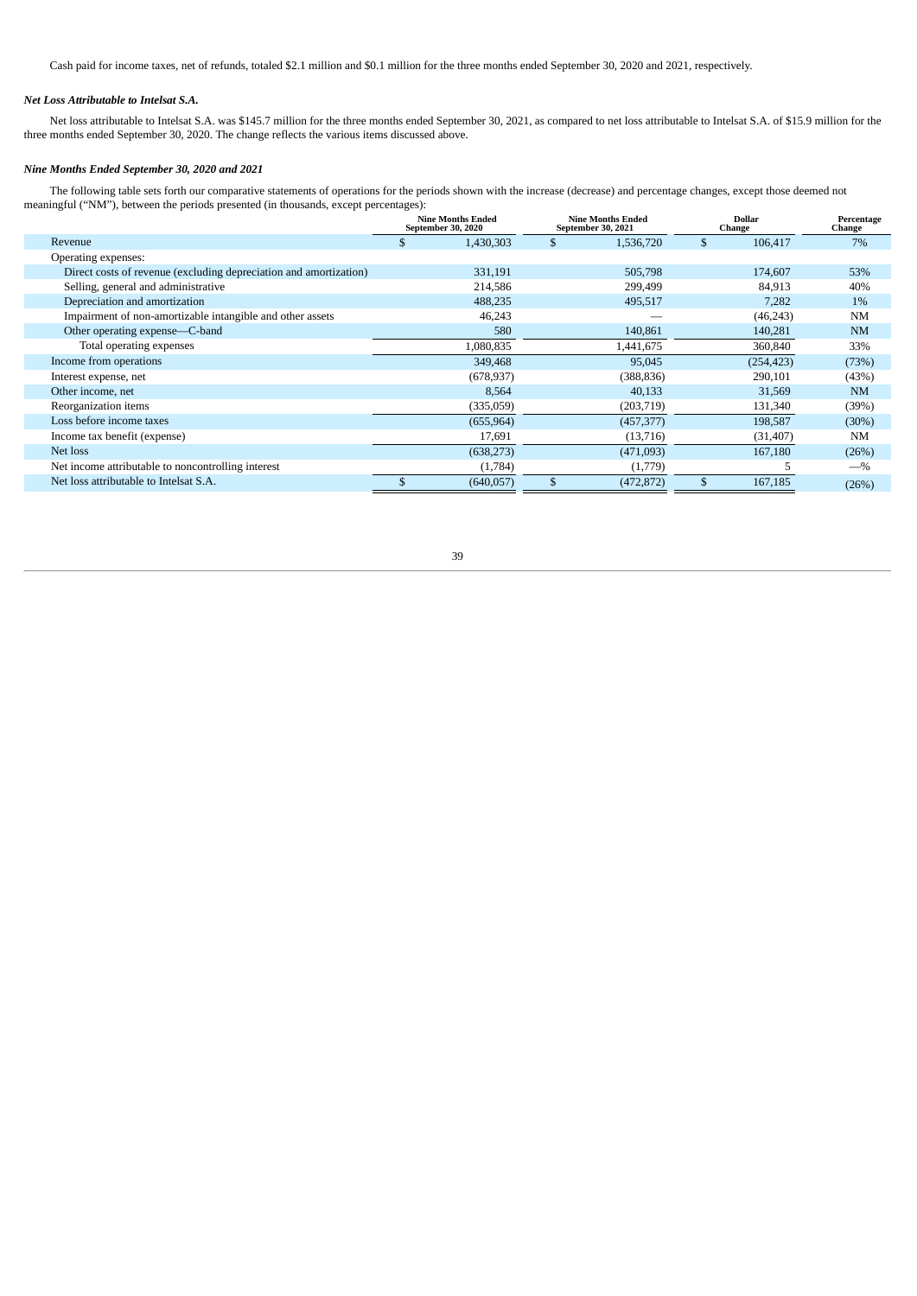Cash paid for income taxes, net of refunds, totaled \$2.1 million and \$0.1 million for the three months ended September 30, 2020 and 2021, respectively.

## *Net Loss Attributable to Intelsat S.A.*

Net loss attributable to Intelsat S.A. was \$145.7 million for the three months ended September 30, 2021, as compared to net loss attributable to Intelsat S.A. of \$15.9 million for the three months ended September 30, 2020. The change reflects the various items discussed above.

## *Nine Months Ended September 30, 2020 and 2021*

The following table sets forth our comparative statements of operations for the periods shown with the increase (decrease) and percentage changes, except those deemed not meaningful ("NM"), between the periods presented (in thousands, except percentages):

|                                                                   | <b>Nine Months Ended</b><br><b>September 30, 2020</b> | <b>Nine Months Ended</b><br><b>Dollar</b><br><b>September 30, 2021</b><br>Change |            |    | Percentage<br>Change |           |
|-------------------------------------------------------------------|-------------------------------------------------------|----------------------------------------------------------------------------------|------------|----|----------------------|-----------|
| Revenue                                                           | 1,430,303                                             |                                                                                  | 1,536,720  | \$ | 106,417              | 7%        |
| Operating expenses:                                               |                                                       |                                                                                  |            |    |                      |           |
| Direct costs of revenue (excluding depreciation and amortization) | 331,191                                               |                                                                                  | 505,798    |    | 174,607              | 53%       |
| Selling, general and administrative                               | 214,586                                               |                                                                                  | 299,499    |    | 84,913               | 40%       |
| Depreciation and amortization                                     | 488,235                                               |                                                                                  | 495,517    |    | 7,282                | 1%        |
| Impairment of non-amortizable intangible and other assets         | 46,243                                                |                                                                                  |            |    | (46, 243)            | <b>NM</b> |
| Other operating expense—C-band                                    | 580                                                   |                                                                                  | 140,861    |    | 140,281              | <b>NM</b> |
| Total operating expenses                                          | 1,080,835                                             |                                                                                  | 1,441,675  |    | 360,840              | 33%       |
| Income from operations                                            | 349,468                                               |                                                                                  | 95,045     |    | (254, 423)           | (73%)     |
| Interest expense, net                                             | (678, 937)                                            |                                                                                  | (388, 836) |    | 290,101              | (43%)     |
| Other income, net                                                 | 8,564                                                 |                                                                                  | 40,133     |    | 31,569               | <b>NM</b> |
| Reorganization items                                              | (335,059)                                             |                                                                                  | (203, 719) |    | 131,340              | (39%)     |
| Loss before income taxes                                          | (655, 964)                                            |                                                                                  | (457, 377) |    | 198,587              | (30%)     |
| Income tax benefit (expense)                                      | 17,691                                                |                                                                                  | (13,716)   |    | (31, 407)            | NM        |
| Net loss                                                          | (638, 273)                                            |                                                                                  | (471,093)  |    | 167,180              | (26%)     |
| Net income attributable to noncontrolling interest                | (1,784)                                               |                                                                                  | (1,779)    |    |                      | $-$ %     |
| Net loss attributable to Intelsat S.A.                            | (640, 057)                                            |                                                                                  | (472, 872) |    | 167,185              | (26%)     |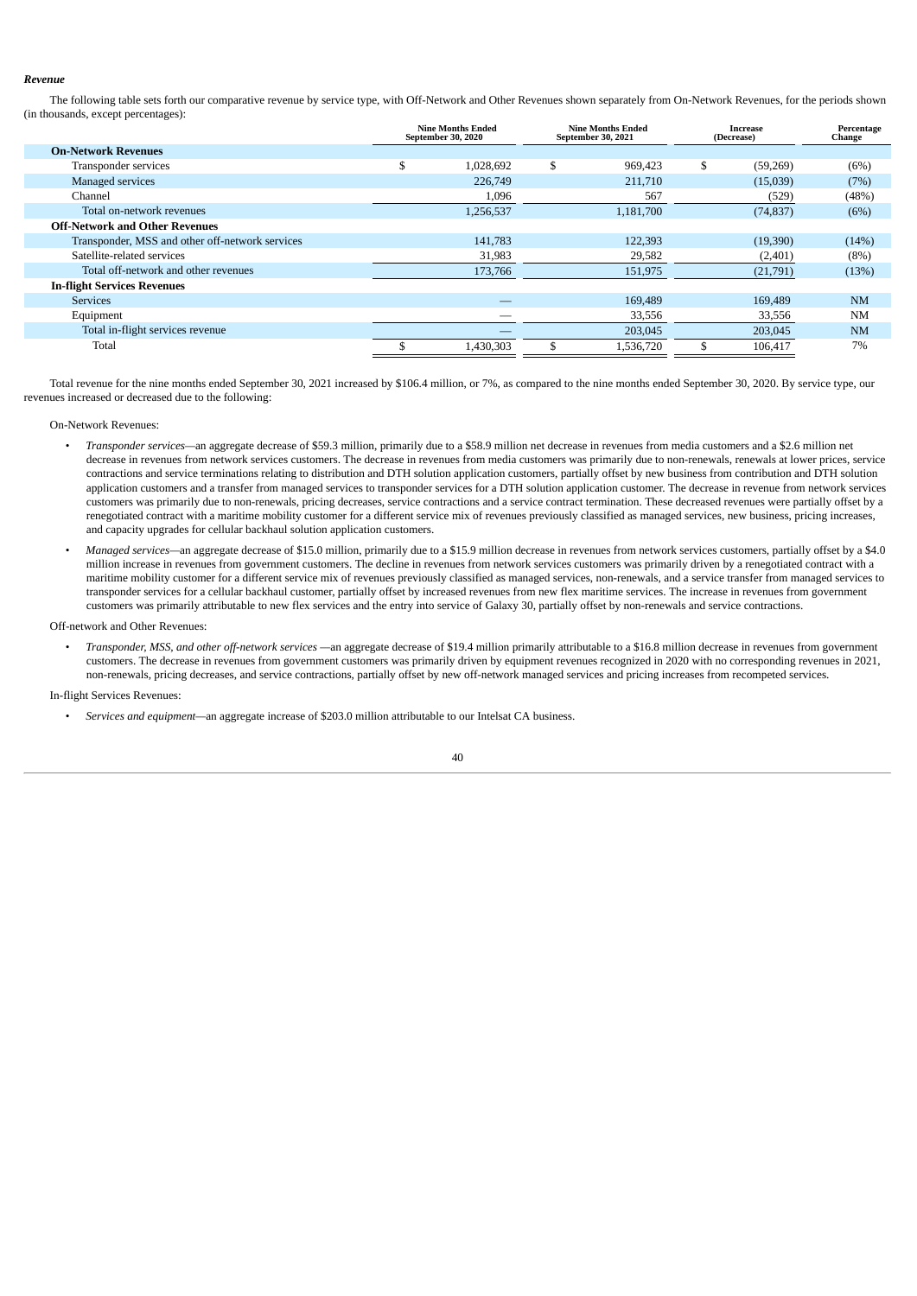## *Revenue*

The following table sets forth our comparative revenue by service type, with Off-Network and Other Revenues shown separately from On-Network Revenues, for the periods shown (in thousands, except percentages):

|                                                 | <b>Nine Months Ended</b><br><b>September 30, 2020</b> |           | <b>Nine Months Ended</b><br>September 30, 2021 |    | <b>Increase</b><br>(Decrease) | Percentage<br>Change |
|-------------------------------------------------|-------------------------------------------------------|-----------|------------------------------------------------|----|-------------------------------|----------------------|
| <b>On-Network Revenues</b>                      |                                                       |           |                                                |    |                               |                      |
| Transponder services                            | \$                                                    | 1,028,692 | \$<br>969,423                                  | \$ | (59,269)                      | (6%)                 |
| Managed services                                |                                                       | 226,749   | 211,710                                        |    | (15,039)                      | (7%)                 |
| Channel                                         |                                                       | 1,096     | 567                                            |    | (529)                         | (48%)                |
| Total on-network revenues                       |                                                       | 1,256,537 | 1,181,700                                      |    | (74, 837)                     | (6%)                 |
| <b>Off-Network and Other Revenues</b>           |                                                       |           |                                                |    |                               |                      |
| Transponder, MSS and other off-network services |                                                       | 141,783   | 122,393                                        |    | (19,390)                      | (14%)                |
| Satellite-related services                      |                                                       | 31,983    | 29,582                                         |    | (2,401)                       | (8%)                 |
| Total off-network and other revenues            |                                                       | 173,766   | 151,975                                        |    | (21,791)                      | (13%)                |
| <b>In-flight Services Revenues</b>              |                                                       |           |                                                |    |                               |                      |
| <b>Services</b>                                 |                                                       |           | 169,489                                        |    | 169,489                       | <b>NM</b>            |
| Equipment                                       |                                                       |           | 33,556                                         |    | 33,556                        | <b>NM</b>            |
| Total in-flight services revenue                |                                                       |           | 203,045                                        |    | 203,045                       | <b>NM</b>            |
| Total                                           |                                                       | 1,430,303 | 1,536,720                                      |    | 106,417                       | 7%                   |

Total revenue for the nine months ended September 30, 2021 increased by \$106.4 million, or 7%, as compared to the nine months ended September 30, 2020. By service type, our revenues increased or decreased due to the following:

### On-Network Revenues:

- *Transponder services—*an aggregate decrease of \$59.3 million, primarily due to a \$58.9 million net decrease in revenues from media customers and a \$2.6 million net decrease in revenues from network services customers. The decrease in revenues from media customers was primarily due to non-renewals, renewals at lower prices, service contractions and service terminations relating to distribution and DTH solution application customers, partially offset by new business from contribution and DTH solution application customers and a transfer from managed services to transponder services for a DTH solution application customer. The decrease in revenue from network services customers was primarily due to non-renewals, pricing decreases, service contractions and a service contract termination. These decreased revenues were partially offset by a renegotiated contract with a maritime mobility customer for a different service mix of revenues previously classified as managed services, new business, pricing increases, and capacity upgrades for cellular backhaul solution application customers.
- *Managed services—*an aggregate decrease of \$15.0 million, primarily due to a \$15.9 million decrease in revenues from network services customers, partially offset by a \$4.0 million increase in revenues from government customers. The decline in revenues from network services customers was primarily driven by a renegotiated contract with a maritime mobility customer for a different service mix of revenues previously classified as managed services, non-renewals, and a service transfer from managed services to transponder services for a cellular backhaul customer, partially offset by increased revenues from new flex maritime services. The increase in revenues from government customers was primarily attributable to new flex services and the entry into service of Galaxy 30, partially offset by non-renewals and service contractions.

Off-network and Other Revenues:

• *Transponder, MSS, and other off-network services —*an aggregate decrease of \$19.4 million primarily attributable to a \$16.8 million decrease in revenues from government customers. The decrease in revenues from government customers was primarily driven by equipment revenues recognized in 2020 with no corresponding revenues in 2021, non-renewals, pricing decreases, and service contractions, partially offset by new off-network managed services and pricing increases from recompeted services.

In-flight Services Revenues:

• *Services and equipment—*an aggregate increase of \$203.0 million attributable to our Intelsat CA business.

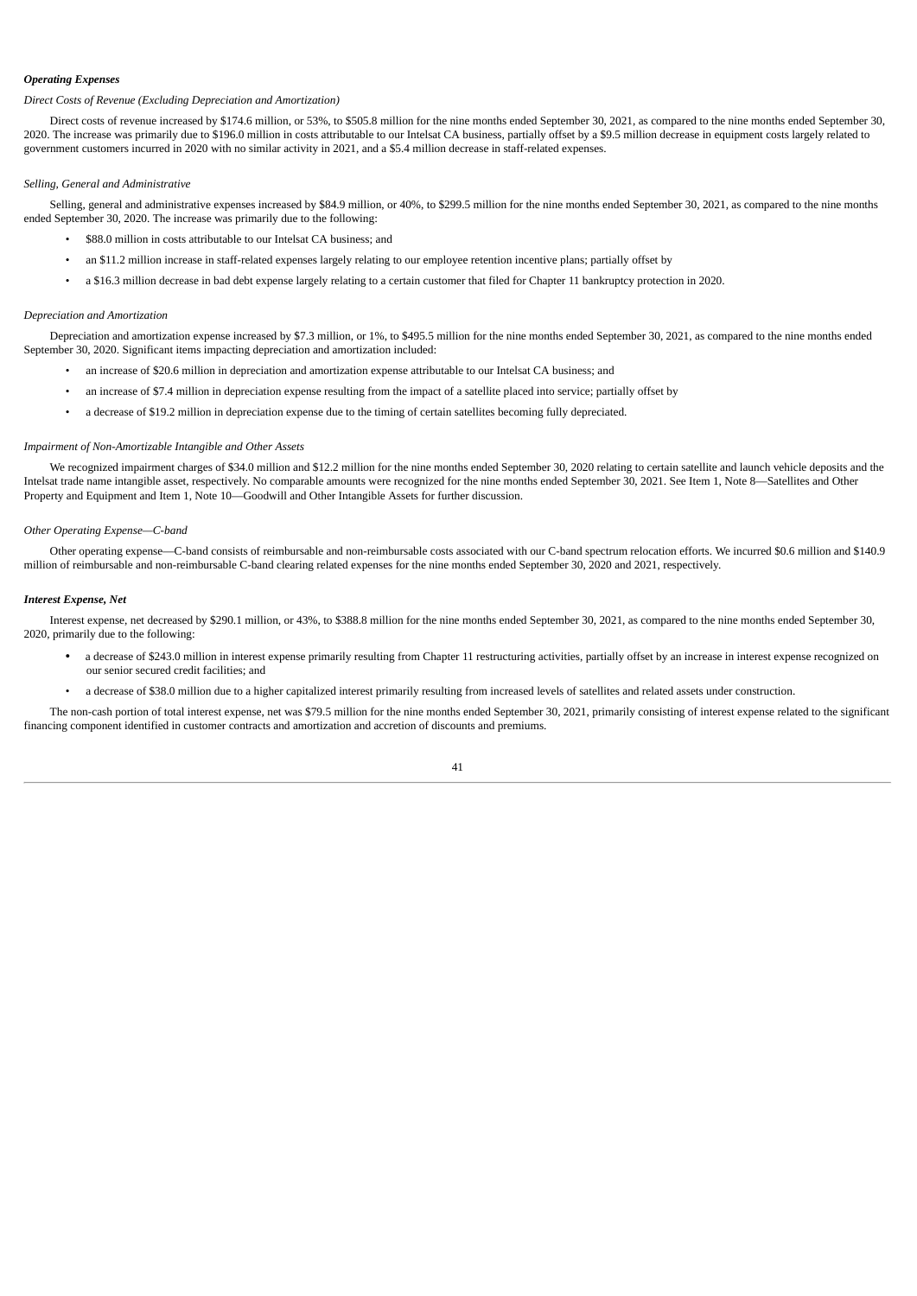## *Operating Expenses*

## *Direct Costs of Revenue (Excluding Depreciation and Amortization)*

Direct costs of revenue increased by \$174.6 million, or 53%, to \$505.8 million for the nine months ended September 30, 2021, as compared to the nine months ended September 30, 2020. The increase was primarily due to \$196.0 million in costs attributable to our Intelsat CA business, partially offset by a \$9.5 million decrease in equipment costs largely related to government customers incurred in 2020 with no similar activity in 2021, and a \$5.4 million decrease in staff-related expenses.

### *Selling, General and Administrative*

Selling, general and administrative expenses increased by \$84.9 million, or 40%, to \$299.5 million for the nine months ended September 30, 2021, as compared to the nine months ended September 30, 2020. The increase was primarily due to the following:

- \$88.0 million in costs attributable to our Intelsat CA business; and
- an \$11.2 million increase in staff-related expenses largely relating to our employee retention incentive plans; partially offset by
- a \$16.3 million decrease in bad debt expense largely relating to a certain customer that filed for Chapter 11 bankruptcy protection in 2020.

### *Depreciation and Amortization*

Depreciation and amortization expense increased by \$7.3 million, or 1%, to \$495.5 million for the nine months ended September 30, 2021, as compared to the nine months ended September 30, 2020. Significant items impacting depreciation and amortization included:

- an increase of \$20.6 million in depreciation and amortization expense attributable to our Intelsat CA business; and
- an increase of \$7.4 million in depreciation expense resulting from the impact of a satellite placed into service; partially offset by
- a decrease of \$19.2 million in depreciation expense due to the timing of certain satellites becoming fully depreciated.

### *Impairment of Non-Amortizable Intangible and Other Assets*

We recognized impairment charges of \$34.0 million and \$12.2 million for the nine months ended September 30, 2020 relating to certain satellite and launch vehicle deposits and the Intelsat trade name intangible asset, respectively. No comparable amounts were recognized for the nine months ended September 30, 2021. See Item 1, Note 8—Satellites and Other Property and Equipment and Item 1, Note 10—Goodwill and Other Intangible Assets for further discussion.

## *Other Operating Expense—C-band*

Other operating expense—C-band consists of reimbursable and non-reimbursable costs associated with our C-band spectrum relocation efforts. We incurred \$0.6 million and \$140.9 million of reimbursable and non-reimbursable C-band clearing related expenses for the nine months ended September 30, 2020 and 2021, respectively.

## *Interest Expense, Net*

Interest expense, net decreased by \$290.1 million, or 43%, to \$388.8 million for the nine months ended September 30, 2021, as compared to the nine months ended September 30, 2020, primarily due to the following:

- a decrease of \$243.0 million in interest expense primarily resulting from Chapter 11 restructuring activities, partially offset by an increase in interest expense recognized on our senior secured credit facilities; and
- a decrease of \$38.0 million due to a higher capitalized interest primarily resulting from increased levels of satellites and related assets under construction.

The non-cash portion of total interest expense, net was \$79.5 million for the nine months ended September 30, 2021, primarily consisting of interest expense related to the significant financing component identified in customer contracts and amortization and accretion of discounts and premiums.

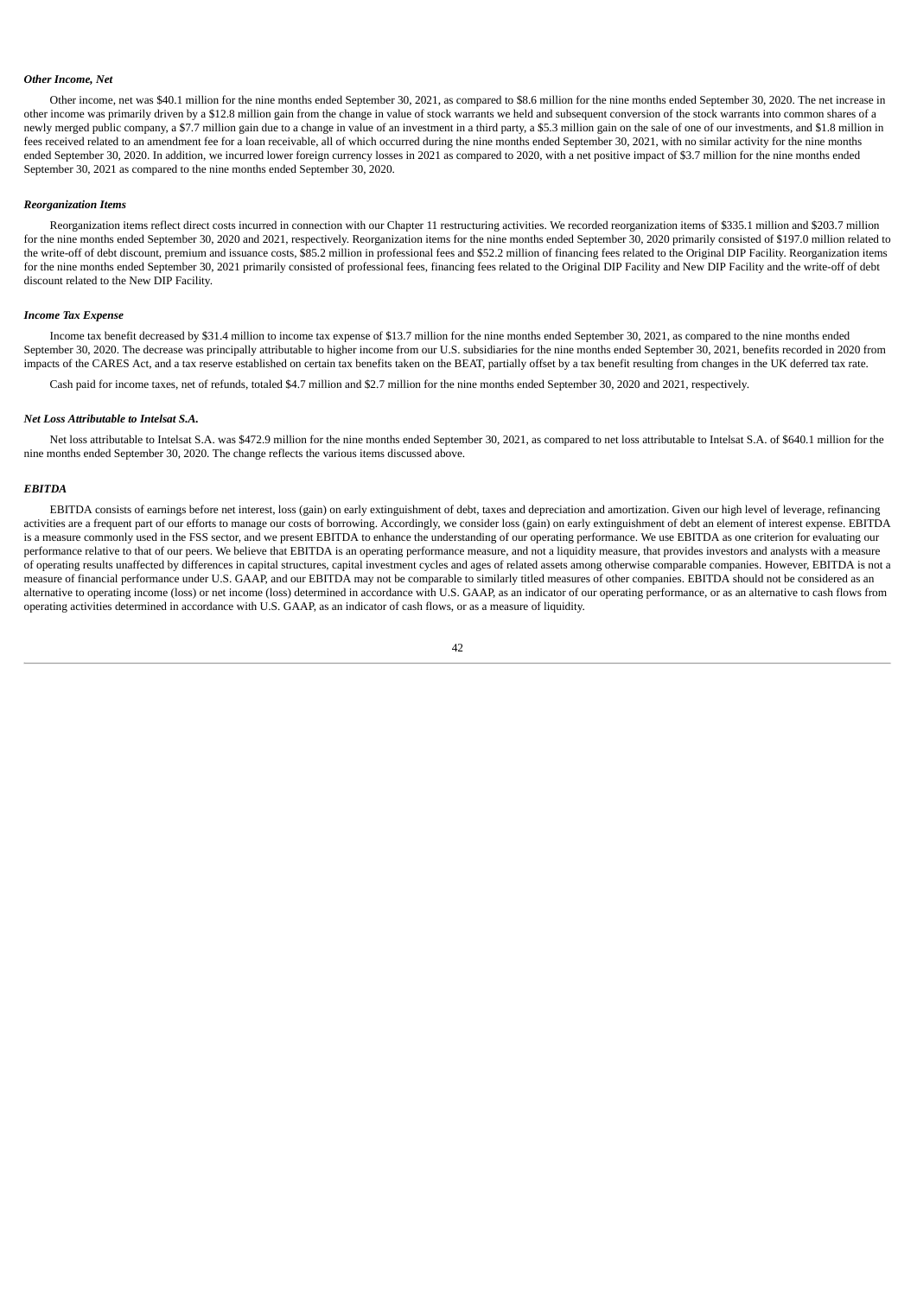## *Other Income, Net*

Other income, net was \$40.1 million for the nine months ended September 30, 2021, as compared to \$8.6 million for the nine months ended September 30, 2020. The net increase in other income was primarily driven by a \$12.8 million gain from the change in value of stock warrants we held and subsequent conversion of the stock warrants into common shares of a newly merged public company, a \$7.7 million gain due to a change in value of an investment in a third party, a \$5.3 million gain on the sale of one of our investments, and \$1.8 million in fees received related to an amendment fee for a loan receivable, all of which occurred during the nine months ended September 30, 2021, with no similar activity for the nine months ended September 30, 2020. In addition, we incurred lower foreign currency losses in 2021 as compared to 2020, with a net positive impact of \$3.7 million for the nine months ended September 30, 2021 as compared to the nine months ended September 30, 2020.

### *Reorganization Items*

Reorganization items reflect direct costs incurred in connection with our Chapter 11 restructuring activities. We recorded reorganization items of \$335.1 million and \$203.7 million for the nine months ended September 30, 2020 and 2021, respectively. Reorganization items for the nine months ended September 30, 2020 primarily consisted of \$197.0 million related to the write-off of debt discount, premium and issuance costs, \$85.2 million in professional fees and \$52.2 million of financing fees related to the Original DIP Facility. Reorganization items for the nine months ended September 30, 2021 primarily consisted of professional fees, financing fees related to the Original DIP Facility and New DIP Facility and the write-off of debt discount related to the New DIP Facility.

### *Income Tax Expense*

Income tax benefit decreased by \$31.4 million to income tax expense of \$13.7 million for the nine months ended September 30, 2021, as compared to the nine months ended September 30, 2020. The decrease was principally attributable to higher income from our U.S. subsidiaries for the nine months ended September 30, 2021, benefits recorded in 2020 from impacts of the CARES Act, and a tax reserve established on certain tax benefits taken on the BEAT, partially offset by a tax benefit resulting from changes in the UK deferred tax rate.

Cash paid for income taxes, net of refunds, totaled \$4.7 million and \$2.7 million for the nine months ended September 30, 2020 and 2021, respectively.

### *Net Loss Attributable to Intelsat S.A.*

Net loss attributable to Intelsat S.A. was \$472.9 million for the nine months ended September 30, 2021, as compared to net loss attributable to Intelsat S.A. of \$640.1 million for the nine months ended September 30, 2020. The change reflects the various items discussed above.

### *EBITDA*

EBITDA consists of earnings before net interest, loss (gain) on early extinguishment of debt, taxes and depreciation and amortization. Given our high level of leverage, refinancing activities are a frequent part of our efforts to manage our costs of borrowing. Accordingly, we consider loss (gain) on early extinguishment of debt an element of interest expense. EBITDA is a measure commonly used in the FSS sector, and we present EBITDA to enhance the understanding of our operating performance. We use EBITDA as one criterion for evaluating our performance relative to that of our peers. We believe that EBITDA is an operating performance measure, and not a liquidity measure, that provides investors and analysts with a measure of operating results unaffected by differences in capital structures, capital investment cycles and ages of related assets among otherwise comparable companies. However, EBITDA is not a measure of financial performance under U.S. GAAP, and our EBITDA may not be comparable to similarly titled measures of other companies. EBITDA should not be considered as an alternative to operating income (loss) or net income (loss) determined in accordance with U.S. GAAP, as an indicator of our operating performance, or as an alternative to cash flows from operating activities determined in accordance with U.S. GAAP, as an indicator of cash flows, or as a measure of liquidity.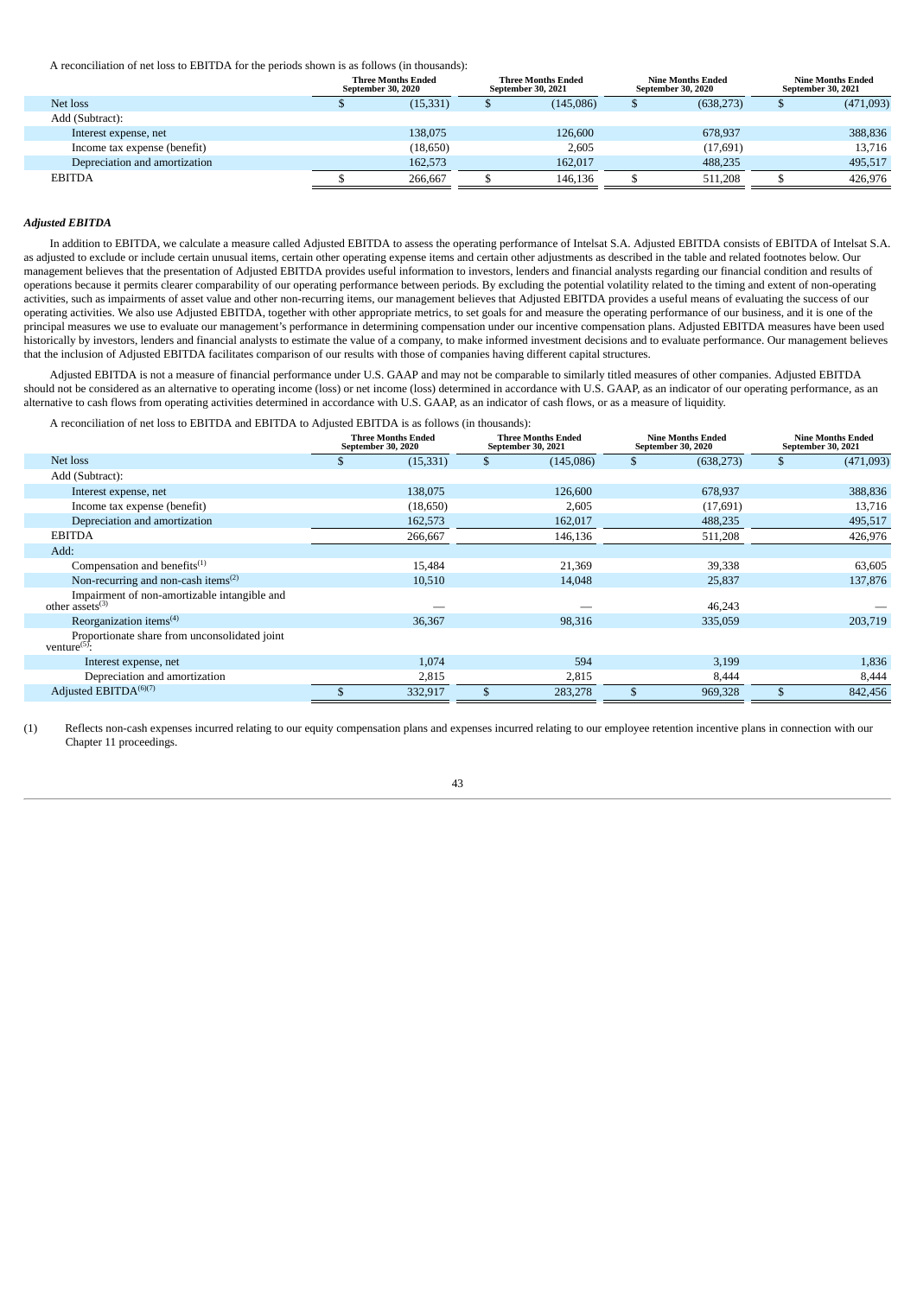A reconciliation of net loss to EBITDA for the periods shown is as follows (in thousands):

|                               | Three Months Ended<br>September 30, 2020 |           | <b>Three Months Ended</b><br>September 30, 2021 | <b>Nine Months Ended</b><br>September 30, 2020 | <b>Nine Months Ended</b><br>September 30, 2021 |           |
|-------------------------------|------------------------------------------|-----------|-------------------------------------------------|------------------------------------------------|------------------------------------------------|-----------|
| Net loss                      |                                          | (15, 331) | (145,086)                                       | (638, 273)                                     |                                                | (471,093) |
| Add (Subtract):               |                                          |           |                                                 |                                                |                                                |           |
| Interest expense, net         |                                          | 138,075   | 126,600                                         | 678,937                                        |                                                | 388,836   |
| Income tax expense (benefit)  |                                          | (18, 650) | 2,605                                           | (17, 691)                                      |                                                | 13,716    |
| Depreciation and amortization |                                          | 162,573   | 162.017                                         | 488.235                                        |                                                | 495,517   |
| <b>EBITDA</b>                 |                                          | 266,667   | 146,136                                         | 511,208                                        |                                                | 426.976   |

## *Adjusted EBITDA*

In addition to EBITDA, we calculate a measure called Adjusted EBITDA to assess the operating performance of Intelsat S.A. Adjusted EBITDA consists of EBITDA of Intelsat S.A. as adjusted to exclude or include certain unusual items, certain other operating expense items and certain other adjustments as described in the table and related footnotes below. Our management believes that the presentation of Adjusted EBITDA provides useful information to investors, lenders and financial analysts regarding our financial condition and results of operations because it permits clearer comparability of our operating performance between periods. By excluding the potential volatility related to the timing and extent of non-operating activities, such as impairments of asset value and other non-recurring items, our management believes that Adjusted EBITDA provides a useful means of evaluating the success of our operating activities. We also use Adjusted EBITDA, together with other appropriate metrics, to set goals for and measure the operating performance of our business, and it is one of the principal measures we use to evaluate our management's performance in determining compensation under our incentive compensation plans. Adjusted EBITDA measures have been used historically by investors, lenders and financial analysts to estimate the value of a company, to make informed investment decisions and to evaluate performance. Our management believes that the inclusion of Adjusted EBITDA facilitates comparison of our results with those of companies having different capital structures.

Adjusted EBITDA is not a measure of financial performance under U.S. GAAP and may not be comparable to similarly titled measures of other companies. Adjusted EBITDA should not be considered as an alternative to operating income (loss) or net income (loss) determined in accordance with U.S. GAAP, as an indicator of our operating performance, as an alternative to cash flows from operating activities determined in accordance with U.S. GAAP, as an indicator of cash flows, or as a measure of liquidity.

A reconciliation of net loss to EBITDA and EBITDA to Adjusted EBITDA is as follows (in thousands):

|                                                                       | <b>Three Months Ended</b><br><b>September 30, 2020</b> |           | <b>Three Months Ended</b><br>September 30, 2021 |           | <b>Nine Months Ended</b><br><b>September 30, 2020</b> |            | <b>Nine Months Ended</b><br><b>September 30, 2021</b> |           |
|-----------------------------------------------------------------------|--------------------------------------------------------|-----------|-------------------------------------------------|-----------|-------------------------------------------------------|------------|-------------------------------------------------------|-----------|
| Net loss                                                              |                                                        | (15, 331) |                                                 | (145,086) | \$                                                    | (638, 273) |                                                       | (471,093) |
| Add (Subtract):                                                       |                                                        |           |                                                 |           |                                                       |            |                                                       |           |
| Interest expense, net                                                 |                                                        | 138,075   |                                                 | 126,600   |                                                       | 678,937    |                                                       | 388,836   |
| Income tax expense (benefit)                                          |                                                        | (18,650)  |                                                 | 2,605     |                                                       | (17,691)   |                                                       | 13,716    |
| Depreciation and amortization                                         |                                                        | 162,573   |                                                 | 162,017   |                                                       | 488,235    |                                                       | 495,517   |
| <b>EBITDA</b>                                                         |                                                        | 266,667   |                                                 | 146,136   |                                                       | 511,208    |                                                       | 426,976   |
| Add:                                                                  |                                                        |           |                                                 |           |                                                       |            |                                                       |           |
| Compensation and benefits $(1)$                                       |                                                        | 15,484    |                                                 | 21,369    |                                                       | 39,338     |                                                       | 63,605    |
| Non-recurring and non-cash items <sup>(2)</sup>                       |                                                        | 10,510    |                                                 | 14,048    |                                                       | 25,837     |                                                       | 137,876   |
| Impairment of non-amortizable intangible and<br>other assets $^{(3)}$ |                                                        |           |                                                 |           |                                                       | 46,243     |                                                       |           |
| Reorganization items $(4)$                                            |                                                        | 36,367    |                                                 | 98,316    |                                                       | 335,059    |                                                       | 203,719   |
| Proportionate share from unconsolidated joint<br>venture $(5)$ :      |                                                        |           |                                                 |           |                                                       |            |                                                       |           |
| Interest expense, net                                                 |                                                        | 1,074     |                                                 | 594       |                                                       | 3,199      |                                                       | 1,836     |
| Depreciation and amortization                                         |                                                        | 2,815     |                                                 | 2,815     |                                                       | 8,444      |                                                       | 8,444     |
| Adjusted EBITDA <sup>(6)(7)</sup>                                     |                                                        | 332,917   |                                                 | 283,278   | æ.                                                    | 969,328    |                                                       | 842,456   |

(1) Reflects non-cash expenses incurred relating to our equity compensation plans and expenses incurred relating to our employee retention incentive plans in connection with our Chapter 11 proceedings.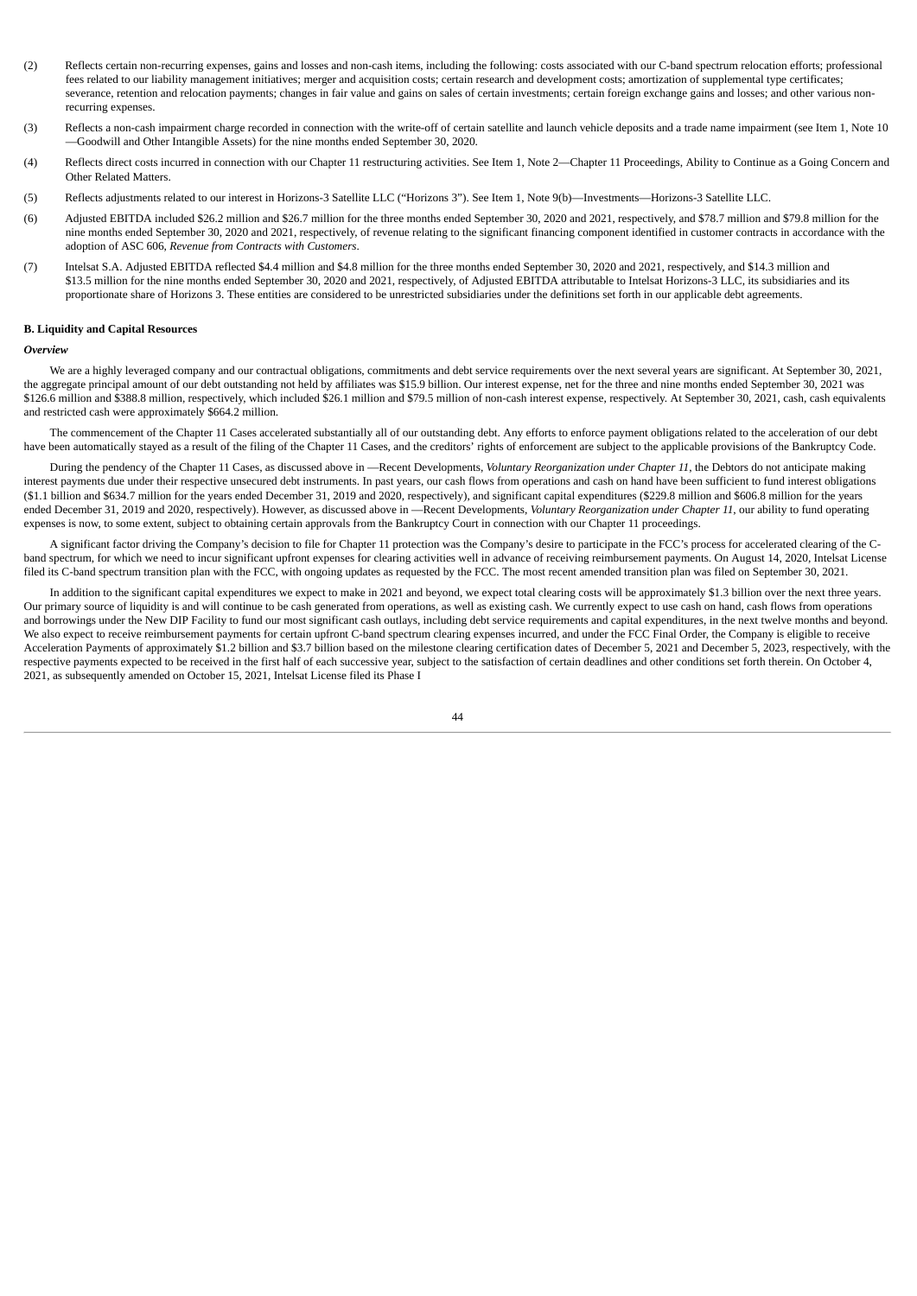- (2) Reflects certain non-recurring expenses, gains and losses and non-cash items, including the following: costs associated with our C-band spectrum relocation efforts; professional fees related to our liability management initiatives; merger and acquisition costs; certain research and development costs; amortization of supplemental type certificates; severance, retention and relocation payments; changes in fair value and gains on sales of certain investments; certain foreign exchange gains and losses; and other various nonrecurring expenses.
- (3) Reflects a non-cash impairment charge recorded in connection with the write-off of certain satellite and launch vehicle deposits and a trade name impairment (see Item 1, Note 10 —Goodwill and Other Intangible Assets) for the nine months ended September 30, 2020.
- (4) Reflects direct costs incurred in connection with our Chapter 11 restructuring activities. See Item 1, Note 2—Chapter 11 Proceedings, Ability to Continue as a Going Concern and Other Related Matters.
- (5) Reflects adjustments related to our interest in Horizons-3 Satellite LLC ("Horizons 3"). See Item 1, Note 9(b)—Investments—Horizons-3 Satellite LLC.
- (6) Adjusted EBITDA included \$26.2 million and \$26.7 million for the three months ended September 30, 2020 and 2021, respectively, and \$78.7 million and \$79.8 million for the nine months ended September 30, 2020 and 2021, respectively, of revenue relating to the significant financing component identified in customer contracts in accordance with the adoption of ASC 606, *Revenue from Contracts with Customers*.
- (7) Intelsat S.A. Adjusted EBITDA reflected \$4.4 million and \$4.8 million for the three months ended September 30, 2020 and 2021, respectively, and \$14.3 million and \$13.5 million for the nine months ended September 30, 2020 and 2021, respectively, of Adjusted EBITDA attributable to Intelsat Horizons-3 LLC, its subsidiaries and its proportionate share of Horizons 3. These entities are considered to be unrestricted subsidiaries under the definitions set forth in our applicable debt agreements.

## **B. Liquidity and Capital Resources**

### *Overview*

We are a highly leveraged company and our contractual obligations, commitments and debt service requirements over the next several years are significant. At September 30, 2021, the aggregate principal amount of our debt outstanding not held by affiliates was \$15.9 billion. Our interest expense, net for the three and nine months ended September 30, 2021 was \$126.6 million and \$388.8 million, respectively, which included \$26.1 million and \$79.5 million of non-cash interest expense, respectively. At September 30, 2021, cash, cash equivalents and restricted cash were approximately \$664.2 million.

The commencement of the Chapter 11 Cases accelerated substantially all of our outstanding debt. Any efforts to enforce payment obligations related to the acceleration of our debt have been automatically stayed as a result of the filing of the Chapter 11 Cases, and the creditors' rights of enforcement are subject to the applicable provisions of the Bankruptcy Code.

During the pendency of the Chapter 11 Cases, as discussed above in —Recent Developments, *Voluntary Reorganization under Chapter 11*, the Debtors do not anticipate making interest payments due under their respective unsecured debt instruments. In past years, our cash flows from operations and cash on hand have been sufficient to fund interest obligations (\$1.1 billion and \$634.7 million for the years ended December 31, 2019 and 2020, respectively), and significant capital expenditures (\$229.8 million and \$606.8 million for the years ended December 31, 2019 and 2020, respectively). However, as discussed above in —Recent Developments, *Voluntary Reorganization under Chapter 11*, our ability to fund operating expenses is now, to some extent, subject to obtaining certain approvals from the Bankruptcy Court in connection with our Chapter 11 proceedings.

A significant factor driving the Company's decision to file for Chapter 11 protection was the Company's desire to participate in the FCC's process for accelerated clearing of the Cband spectrum, for which we need to incur significant upfront expenses for clearing activities well in advance of receiving reimbursement payments. On August 14, 2020, Intelsat License filed its C-band spectrum transition plan with the FCC, with ongoing updates as requested by the FCC. The most recent amended transition plan was filed on September 30, 2021.

In addition to the significant capital expenditures we expect to make in 2021 and beyond, we expect total clearing costs will be approximately \$1.3 billion over the next three years. Our primary source of liquidity is and will continue to be cash generated from operations, as well as existing cash. We currently expect to use cash on hand, cash flows from operations and borrowings under the New DIP Facility to fund our most significant cash outlays, including debt service requirements and capital expenditures, in the next twelve months and beyond. We also expect to receive reimbursement payments for certain upfront C-band spectrum clearing expenses incurred, and under the FCC Final Order, the Company is eligible to receive Acceleration Payments of approximately \$1.2 billion and \$3.7 billion based on the milestone clearing certification dates of December 5, 2021 and December 5, 2023, respectively, with the respective payments expected to be received in the first half of each successive year, subject to the satisfaction of certain deadlines and other conditions set forth therein. On October 4, 2021, as subsequently amended on October 15, 2021, Intelsat License filed its Phase I

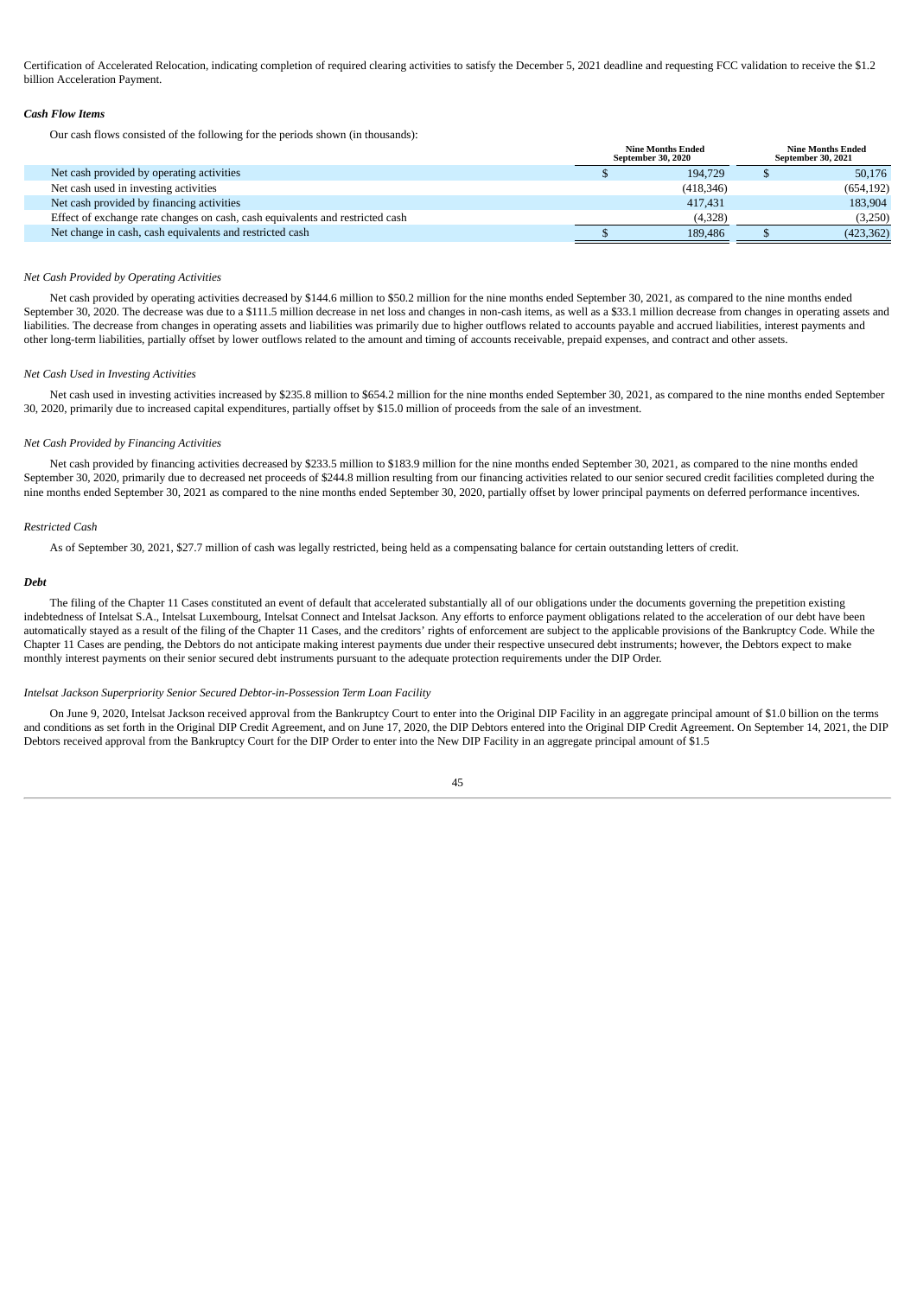Certification of Accelerated Relocation, indicating completion of required clearing activities to satisfy the December 5, 2021 deadline and requesting FCC validation to receive the \$1.2 billion Acceleration Payment.

## *Cash Flow Items*

Our cash flows consisted of the following for the periods shown (in thousands):

|                                                                               | Nine Months Ended<br>September 30, 2020 |            | Nine Months Ended<br>September 30, 2021 |            |
|-------------------------------------------------------------------------------|-----------------------------------------|------------|-----------------------------------------|------------|
| Net cash provided by operating activities                                     |                                         | 194,729    |                                         | 50,176     |
| Net cash used in investing activities                                         |                                         | (418, 346) |                                         | (654, 192) |
| Net cash provided by financing activities                                     |                                         | 417,431    |                                         | 183,904    |
| Effect of exchange rate changes on cash, cash equivalents and restricted cash |                                         | (4,328)    |                                         | (3,250)    |
| Net change in cash, cash equivalents and restricted cash                      |                                         | 189,486    |                                         | (423, 362) |

**Nine Months Ended**

**Nine Months Ended**

### *Net Cash Provided by Operating Activities*

Net cash provided by operating activities decreased by \$144.6 million to \$50.2 million for the nine months ended September 30, 2021, as compared to the nine months ended September 30, 2020. The decrease was due to a \$111.5 million decrease in net loss and changes in non-cash items, as well as a \$33.1 million decrease from changes in operating assets and liabilities. The decrease from changes in operating assets and liabilities was primarily due to higher outflows related to accounts payable and accrued liabilities, interest payments and other long-term liabilities, partially offset by lower outflows related to the amount and timing of accounts receivable, prepaid expenses, and contract and other assets.

### *Net Cash Used in Investing Activities*

Net cash used in investing activities increased by \$235.8 million to \$654.2 million for the nine months ended September 30, 2021, as compared to the nine months ended September 30, 2020, primarily due to increased capital expenditures, partially offset by \$15.0 million of proceeds from the sale of an investment.

### *Net Cash Provided by Financing Activities*

Net cash provided by financing activities decreased by \$233.5 million to \$183.9 million for the nine months ended September 30, 2021, as compared to the nine months ended September 30, 2020, primarily due to decreased net proceeds of \$244.8 million resulting from our financing activities related to our senior secured credit facilities completed during the nine months ended September 30, 2021 as compared to the nine months ended September 30, 2020, partially offset by lower principal payments on deferred performance incentives.

### *Restricted Cash*

As of September 30, 2021, \$27.7 million of cash was legally restricted, being held as a compensating balance for certain outstanding letters of credit.

### *Debt*

The filing of the Chapter 11 Cases constituted an event of default that accelerated substantially all of our obligations under the documents governing the prepetition existing indebtedness of Intelsat S.A., Intelsat Luxembourg, Intelsat Connect and Intelsat Jackson. Any efforts to enforce payment obligations related to the acceleration of our debt have been automatically stayed as a result of the filing of the Chapter 11 Cases, and the creditors' rights of enforcement are subject to the applicable provisions of the Bankruptcy Code. While the Chapter 11 Cases are pending, the Debtors do not anticipate making interest payments due under their respective unsecured debt instruments; however, the Debtors expect to make monthly interest payments on their senior secured debt instruments pursuant to the adequate protection requirements under the DIP Order.

### *Intelsat Jackson Superpriority Senior Secured Debtor-in-Possession Term Loan Facility*

On June 9, 2020, Intelsat Jackson received approval from the Bankruptcy Court to enter into the Original DIP Facility in an aggregate principal amount of \$1.0 billion on the terms and conditions as set forth in the Original DIP Credit Agreement, and on June 17, 2020, the DIP Debtors entered into the Original DIP Credit Agreement. On September 14, 2021, the DIP Debtors received approval from the Bankruptcy Court for the DIP Order to enter into the New DIP Facility in an aggregate principal amount of \$1.5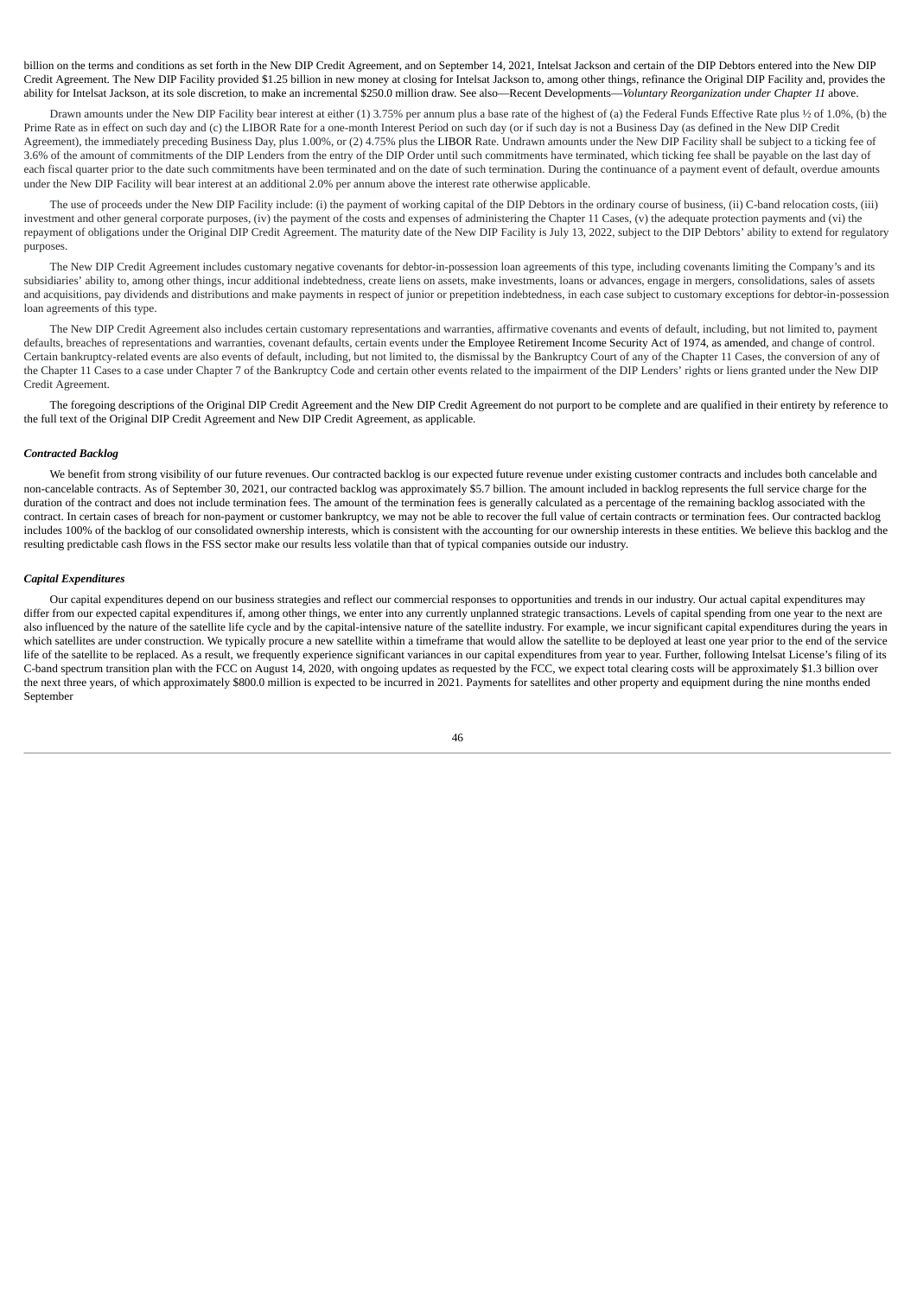billion on the terms and conditions as set forth in the New DIP Credit Agreement, and on September 14, 2021, Intelsat Jackson and certain of the DIP Debtors entered into the New DIP Credit Agreement. The New DIP Facility provided \$1.25 billion in new money at closing for Intelsat Jackson to, among other things, refinance the Original DIP Facility and, provides the ability for Intelsat Jackson, at its sole discretion, to make an incremental \$250.0 million draw. See also—Recent Developments—*Voluntary Reorganization under Chapter 11* above.

Drawn amounts under the New DIP Facility bear interest at either (1) 3.75% per annum plus a base rate of the highest of (a) the Federal Funds Effective Rate plus ½ of 1.0%, (b) the Prime Rate as in effect on such day and (c) the LIBOR Rate for a one-month Interest Period on such day (or if such day is not a Business Day (as defined in the New DIP Credit Agreement), the immediately preceding Business Day, plus 1.00%, or (2) 4.75% plus the LIBOR Rate. Undrawn amounts under the New DIP Facility shall be subject to a ticking fee of 3.6% of the amount of commitments of the DIP Lenders from the entry of the DIP Order until such commitments have terminated, which ticking fee shall be payable on the last day of each fiscal quarter prior to the date such commitments have been terminated and on the date of such termination. During the continuance of a payment event of default, overdue amounts under the New DIP Facility will bear interest at an additional 2.0% per annum above the interest rate otherwise applicable.

The use of proceeds under the New DIP Facility include: (i) the payment of working capital of the DIP Debtors in the ordinary course of business, (ii) C-band relocation costs, (iii) investment and other general corporate purposes, (iv) the payment of the costs and expenses of administering the Chapter 11 Cases, (v) the adequate protection payments and (vi) the repayment of obligations under the Original DIP Credit Agreement. The maturity date of the New DIP Facility is July 13, 2022, subject to the DIP Debtors' ability to extend for regulatory purposes.

The New DIP Credit Agreement includes customary negative covenants for debtor-in-possession loan agreements of this type, including covenants limiting the Company's and its subsidiaries' ability to, among other things, incur additional indebtedness, create liens on assets, make investments, loans or advances, engage in mergers, consolidations, sales of assets and acquisitions, pay dividends and distributions and make payments in respect of junior or prepetition indebtedness, in each case subject to customary exceptions for debtor-in-possession loan agreements of this type.

The New DIP Credit Agreement also includes certain customary representations and warranties, affirmative covenants and events of default, including, but not limited to, payment defaults, breaches of representations and warranties, covenant defaults, certain events under the Employee Retirement Income Security Act of 1974, as amended, and change of control. Certain bankruptcy-related events are also events of default, including, but not limited to, the dismissal by the Bankruptcy Court of any of the Chapter 11 Cases, the conversion of any of the Chapter 11 Cases to a case under Chapter 7 of the Bankruptcy Code and certain other events related to the impairment of the DIP Lenders' rights or liens granted under the New DIP Credit Agreement.

The foregoing descriptions of the Original DIP Credit Agreement and the New DIP Credit Agreement do not purport to be complete and are qualified in their entirety by reference to the full text of the Original DIP Credit Agreement and New DIP Credit Agreement, as applicable.

### *Contracted Backlog*

We benefit from strong visibility of our future revenues. Our contracted backlog is our expected future revenue under existing customer contracts and includes both cancelable and non-cancelable contracts. As of September 30, 2021, our contracted backlog was approximately \$5.7 billion. The amount included in backlog represents the full service charge for the duration of the contract and does not include termination fees. The amount of the termination fees is generally calculated as a percentage of the remaining backlog associated with the contract. In certain cases of breach for non-payment or customer bankruptcy, we may not be able to recover the full value of certain contracts or termination fees. Our contracted backlog includes 100% of the backlog of our consolidated ownership interests, which is consistent with the accounting for our ownership interests in these entities. We believe this backlog and the resulting predictable cash flows in the FSS sector make our results less volatile than that of typical companies outside our industry.

## *Capital Expenditures*

Our capital expenditures depend on our business strategies and reflect our commercial responses to opportunities and trends in our industry. Our actual capital expenditures may differ from our expected capital expenditures if, among other things, we enter into any currently unplanned strategic transactions. Levels of capital spending from one year to the next are also influenced by the nature of the satellite life cycle and by the capital-intensive nature of the satellite industry. For example, we incur significant capital expenditures during the years in which satellites are under construction. We typically procure a new satellite within a timeframe that would allow the satellite to be deployed at least one year prior to the end of the service life of the satellite to be replaced. As a result, we frequently experience significant variances in our capital expenditures from year to year. Further, following Intelsat License's filing of its C-band spectrum transition plan with the FCC on August 14, 2020, with ongoing updates as requested by the FCC, we expect total clearing costs will be approximately \$1.3 billion over the next three years, of which approximately \$800.0 million is expected to be incurred in 2021. Payments for satellites and other property and equipment during the nine months ended September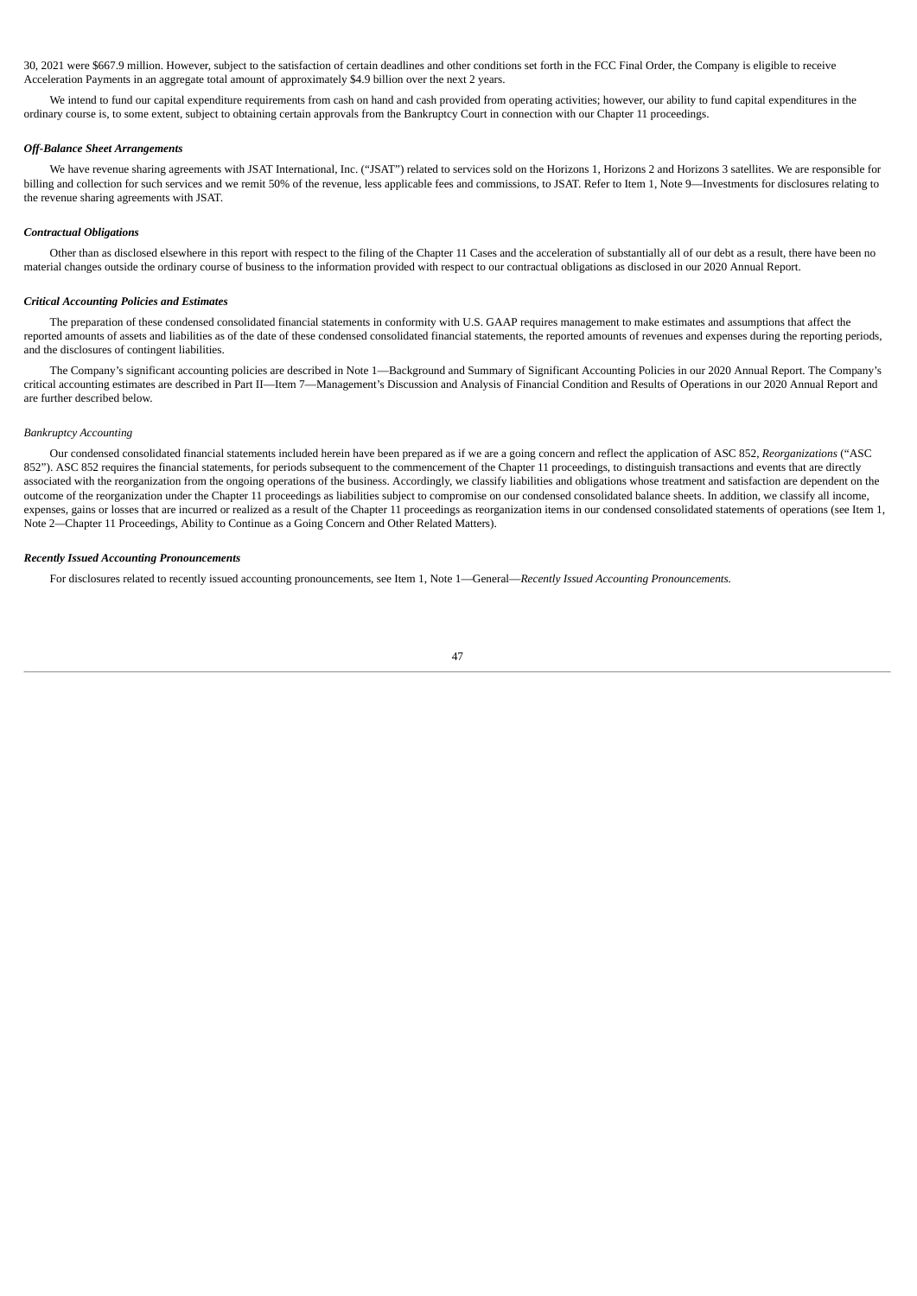30, 2021 were \$667.9 million. However, subject to the satisfaction of certain deadlines and other conditions set forth in the FCC Final Order, the Company is eligible to receive Acceleration Payments in an aggregate total amount of approximately \$4.9 billion over the next 2 years.

We intend to fund our capital expenditure requirements from cash on hand and cash provided from operating activities; however, our ability to fund capital expenditures in the ordinary course is, to some extent, subject to obtaining certain approvals from the Bankruptcy Court in connection with our Chapter 11 proceedings.

### *Off-Balance Sheet Arrangements*

We have revenue sharing agreements with JSAT International, Inc. ("JSAT") related to services sold on the Horizons 1, Horizons 2 and Horizons 3 satellites. We are responsible for billing and collection for such services and we remit 50% of the revenue, less applicable fees and commissions, to JSAT. Refer to Item 1, Note 9- Investments for disclosures relating to the revenue sharing agreements with JSAT.

### *Contractual Obligations*

Other than as disclosed elsewhere in this report with respect to the filing of the Chapter 11 Cases and the acceleration of substantially all of our debt as a result, there have been no material changes outside the ordinary course of business to the information provided with respect to our contractual obligations as disclosed in our 2020 Annual Report.

### *Critical Accounting Policies and Estimates*

The preparation of these condensed consolidated financial statements in conformity with U.S. GAAP requires management to make estimates and assumptions that affect the reported amounts of assets and liabilities as of the date of these condensed consolidated financial statements, the reported amounts of revenues and expenses during the reporting periods, and the disclosures of contingent liabilities.

The Company's significant accounting policies are described in Note 1—Background and Summary of Significant Accounting Policies in our 2020 Annual Report. The Company's critical accounting estimates are described in Part II—Item 7—Management's Discussion and Analysis of Financial Condition and Results of Operations in our 2020 Annual Report and are further described below.

### *Bankruptcy Accounting*

Our condensed consolidated financial statements included herein have been prepared as if we are a going concern and reflect the application of ASC 852, *Reorganizations* ("ASC 852"). ASC 852 requires the financial statements, for periods subsequent to the commencement of the Chapter 11 proceedings, to distinguish transactions and events that are directly associated with the reorganization from the ongoing operations of the business. Accordingly, we classify liabilities and obligations whose treatment and satisfaction are dependent on the outcome of the reorganization under the Chapter 11 proceedings as liabilities subject to compromise on our condensed consolidated balance sheets. In addition, we classify all income, expenses, gains or losses that are incurred or realized as a result of the Chapter 11 proceedings as reorganization items in our condensed consolidated statements of operations (see Item 1, Note 2*—*Chapter 11 Proceedings, Ability to Continue as a Going Concern and Other Related Matters).

### *Recently Issued Accounting Pronouncements*

<span id="page-46-0"></span>For disclosures related to recently issued accounting pronouncements, see Item 1, Note 1—General—*Recently Issued Accounting Pronouncements.*

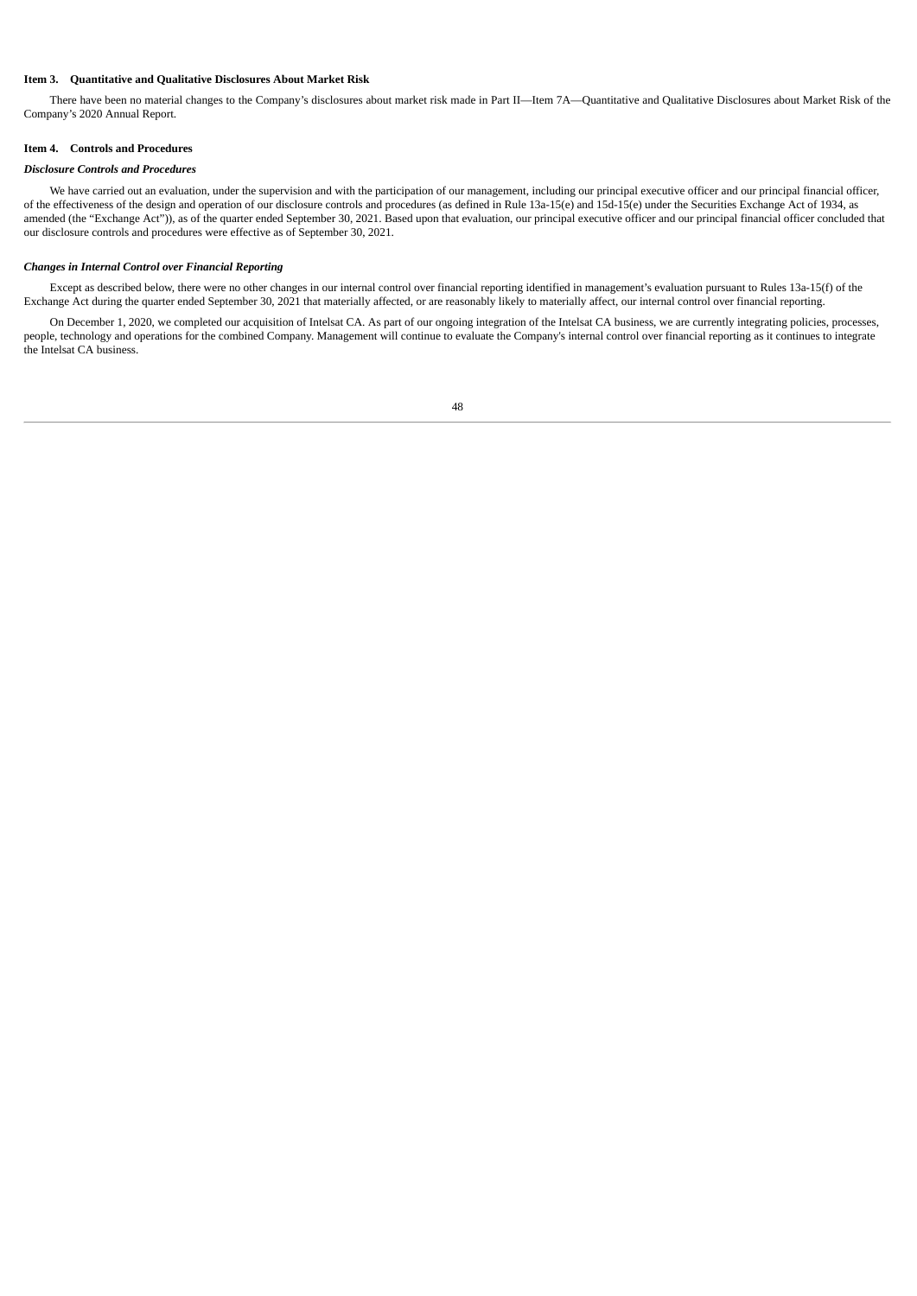## **Item 3. Quantitative and Qualitative Disclosures About Market Risk**

There have been no material changes to the Company's disclosures about market risk made in Part II—Item 7A—Quantitative and Qualitative Disclosures about Market Risk of the Company's 2020 Annual Report.

## <span id="page-47-0"></span>**Item 4. Controls and Procedures**

### *Disclosure Controls and Procedures*

We have carried out an evaluation, under the supervision and with the participation of our management, including our principal executive officer and our principal financial officer, of the effectiveness of the design and operation of our disclosure controls and procedures (as defined in Rule 13a-15(e) and 15d-15(e) under the Securities Exchange Act of 1934, as amended (the "Exchange Act")), as of the quarter ended September 30, 2021. Based upon that evaluation, our principal executive officer and our principal financial officer concluded that our disclosure controls and procedures were effective as of September 30, 2021.

## *Changes in Internal Control over Financial Reporting*

Except as described below, there were no other changes in our internal control over financial reporting identified in management's evaluation pursuant to Rules 13a-15(f) of the Exchange Act during the quarter ended September 30, 2021 that materially affected, or are reasonably likely to materially affect, our internal control over financial reporting.

<span id="page-47-1"></span>On December 1, 2020, we completed our acquisition of Intelsat CA. As part of our ongoing integration of the Intelsat CA business, we are currently integrating policies, processes, people, technology and operations for the combined Company. Management will continue to evaluate the Company's internal control over financial reporting as it continues to integrate the Intelsat CA business.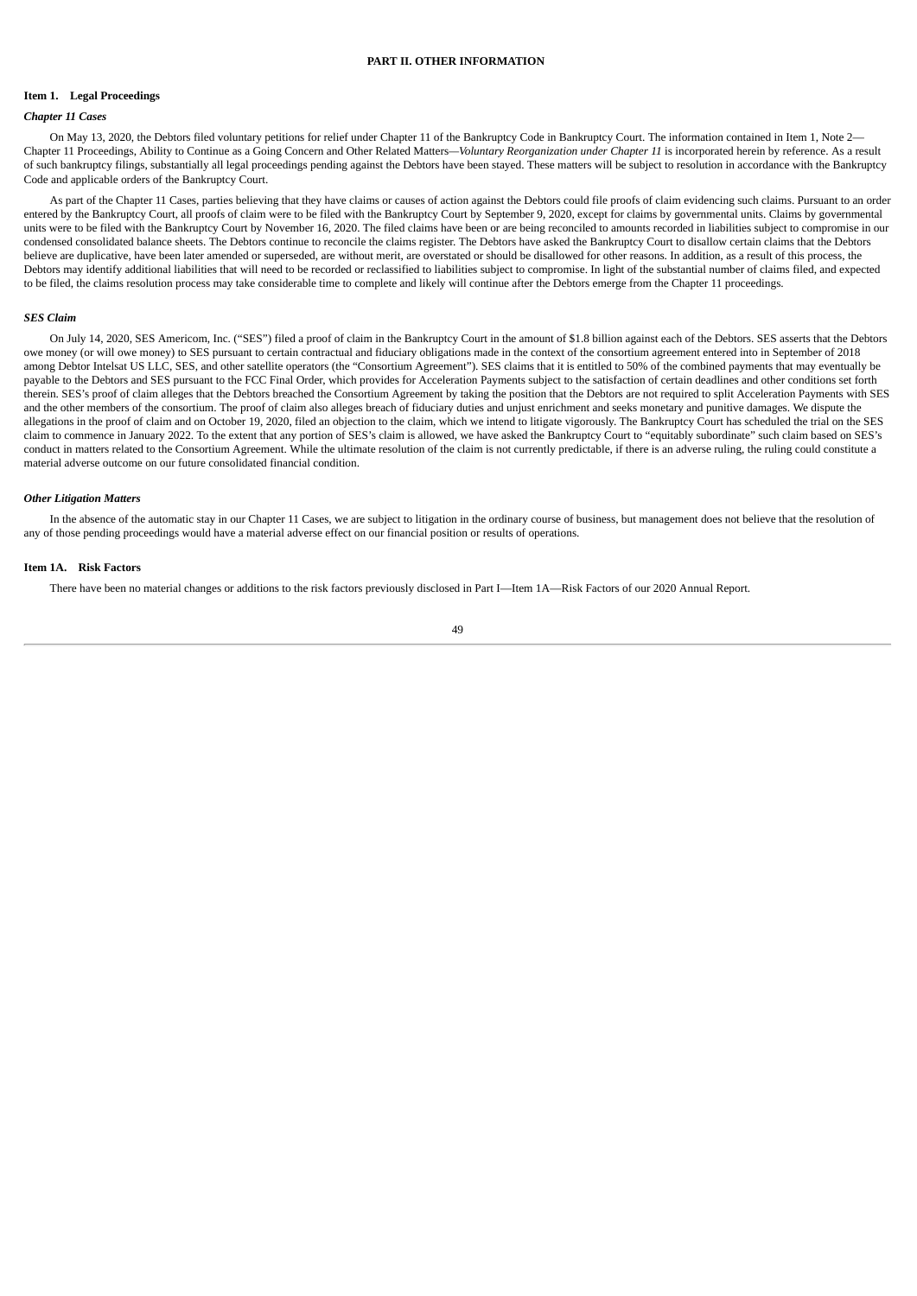## **PART II. OTHER INFORMATION**

## <span id="page-48-0"></span>**Item 1. Legal Proceedings**

## *Chapter 11 Cases*

On May 13, 2020, the Debtors filed voluntary petitions for relief under Chapter 11 of the Bankruptcy Code in Bankruptcy Court. The information contained in Item 1, Note 2-Chapter 11 Proceedings, Ability to Continue as a Going Concern and Other Related Matters*—Voluntary Reorganization under Chapter 11* is incorporated herein by reference. As a result of such bankruptcy filings, substantially all legal proceedings pending against the Debtors have been stayed. These matters will be subject to resolution in accordance with the Bankruptcy Code and applicable orders of the Bankruptcy Court.

As part of the Chapter 11 Cases, parties believing that they have claims or causes of action against the Debtors could file proofs of claim evidencing such claims. Pursuant to an order entered by the Bankruptcy Court, all proofs of claim were to be filed with the Bankruptcy Court by September 9, 2020, except for claims by governmental units. Claims by governmental units were to be filed with the Bankruptcy Court by November 16, 2020. The filed claims have been or are being reconciled to amounts recorded in liabilities subject to compromise in our condensed consolidated balance sheets. The Debtors continue to reconcile the claims register. The Debtors have asked the Bankruptcy Court to disallow certain claims that the Debtors believe are duplicative, have been later amended or superseded, are without merit, are overstated or should be disallowed for other reasons. In addition, as a result of this process, the Debtors may identify additional liabilities that will need to be recorded or reclassified to liabilities subject to compromise. In light of the substantial number of claims filed, and expected to be filed, the claims resolution process may take considerable time to complete and likely will continue after the Debtors emerge from the Chapter 11 proceedings.

### *SES Claim*

On July 14, 2020, SES Americom, Inc. ("SES") filed a proof of claim in the Bankruptcy Court in the amount of \$1.8 billion against each of the Debtors. SES asserts that the Debtors owe money (or will owe money) to SES pursuant to certain contractual and fiduciary obligations made in the context of the consortium agreement entered into in September of 2018 among Debtor Intelsat US LLC, SES, and other satellite operators (the "Consortium Agreement"). SES claims that it is entitled to 50% of the combined payments that may eventually be payable to the Debtors and SES pursuant to the FCC Final Order, which provides for Acceleration Payments subject to the satisfaction of certain deadlines and other conditions set forth therein. SES's proof of claim alleges that the Debtors breached the Consortium Agreement by taking the position that the Debtors are not required to split Acceleration Payments with SES and the other members of the consortium. The proof of claim also alleges breach of fiduciary duties and unjust enrichment and seeks monetary and punitive damages. We dispute the allegations in the proof of claim and on October 19, 2020, filed an objection to the claim, which we intend to litigate vigorously. The Bankruptcy Court has scheduled the trial on the SES claim to commence in January 2022. To the extent that any portion of SES's claim is allowed, we have asked the Bankruptcy Court to "equitably subordinate" such claim based on SES's conduct in matters related to the Consortium Agreement. While the ultimate resolution of the claim is not currently predictable, if there is an adverse ruling, the ruling could constitute a material adverse outcome on our future consolidated financial condition.

## *Other Litigation Matters*

In the absence of the automatic stay in our Chapter 11 Cases, we are subject to litigation in the ordinary course of business, but management does not believe that the resolution of any of those pending proceedings would have a material adverse effect on our financial position or results of operations.

## <span id="page-48-1"></span>**Item 1A. Risk Factors**

<span id="page-48-2"></span>There have been no material changes or additions to the risk factors previously disclosed in Part I—Item 1A—Risk Factors of our 2020 Annual Report.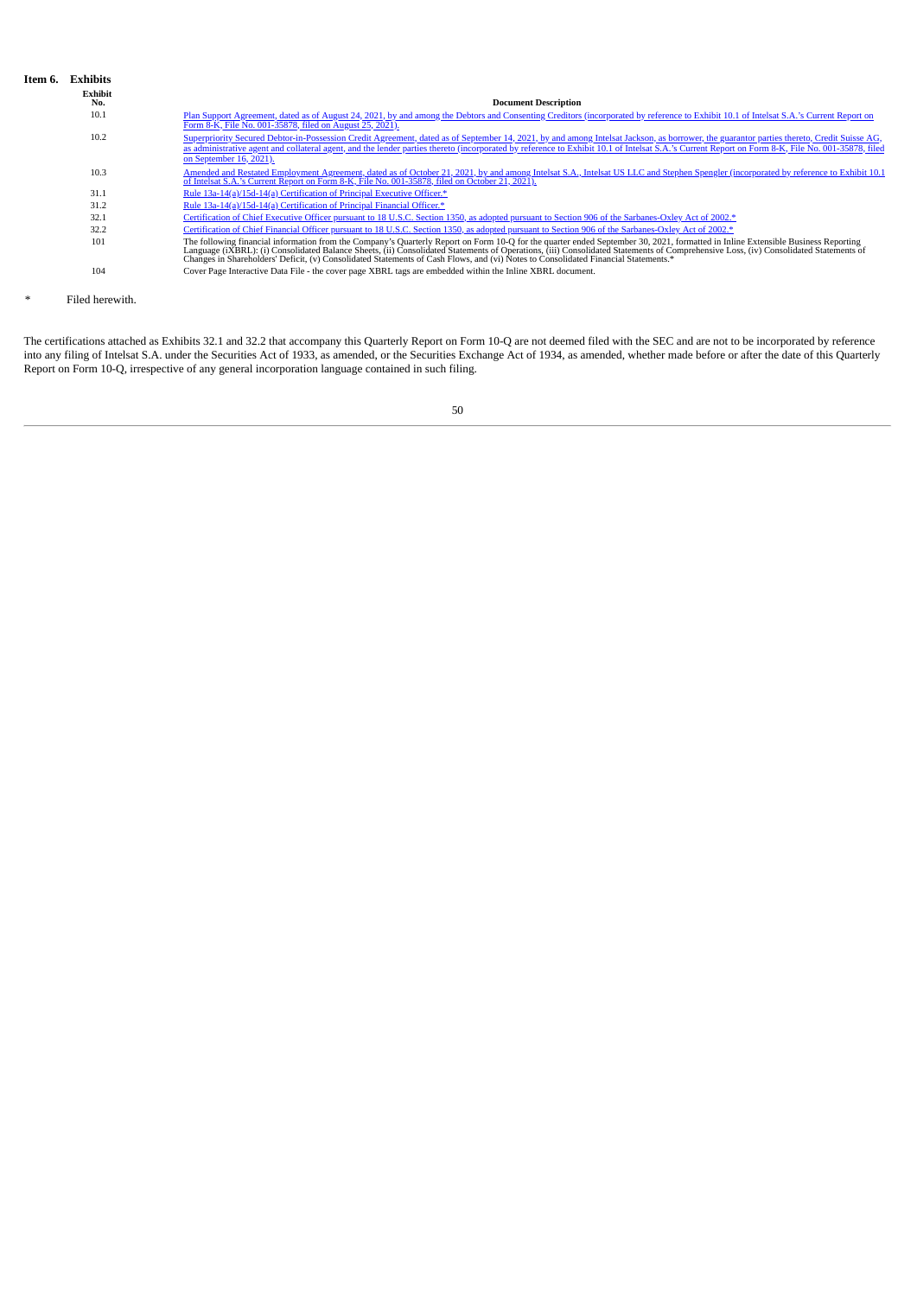| Exhibit<br>No. | <b>Document Description</b>                                                                                                                                                                                                                                                                                                                                                                                                                                                                                   |
|----------------|---------------------------------------------------------------------------------------------------------------------------------------------------------------------------------------------------------------------------------------------------------------------------------------------------------------------------------------------------------------------------------------------------------------------------------------------------------------------------------------------------------------|
| 10.1           | Plan Support Agreement, dated as of August 24, 2021, by and among the Debtors and Consenting Creditors (incorporated by reference to Exhibit 10.1 of Intelsat S.A.'s Current Report on<br>Form 8-K, File No. 001-35878, filed on August 25, 2021).                                                                                                                                                                                                                                                            |
| 10.2           | Superpriority Secured Debtor-in-Possession Credit Agreement, dated as of September 14, 2021, by and among Intelsat Jackson, as borrower, the guarantor parties thereto, Credit Suisse AG,<br>as administrative agent and collateral agent, and the lender parties thereto (incorporated by reference to Exhibit 10.1 of Intelsat S.A.'s Current Report on Form 8-K, File No. 001-35878, filed<br>on September 16, 2021).                                                                                      |
| 10.3           | Amended and Restated Employment Agreement, dated as of October 21, 2021, by and among Intelsat S.A., Intelsat US LLC and Stephen Spengler (incorporated by reference to Exhibit 10.1<br>of Intelsat S.A.'s Current Report on Form 8-K, File No. 001-35878, filed on October 21, 2021).                                                                                                                                                                                                                        |
| 31.1           | Rule 13a-14(a)/15d-14(a) Certification of Principal Executive Officer.*                                                                                                                                                                                                                                                                                                                                                                                                                                       |
| 31.2           | Rule 13a-14(a)/15d-14(a) Certification of Principal Financial Officer.*                                                                                                                                                                                                                                                                                                                                                                                                                                       |
| 32.1           | Certification of Chief Executive Officer pursuant to 18 U.S.C. Section 1350, as adopted pursuant to Section 906 of the Sarbanes-Oxley Act of 2002.*                                                                                                                                                                                                                                                                                                                                                           |
| 32.2           | Certification of Chief Financial Officer pursuant to 18 U.S.C. Section 1350, as adopted pursuant to Section 906 of the Sarbanes-Oxley Act of 2002.*                                                                                                                                                                                                                                                                                                                                                           |
| 101            | The following financial information from the Company's Quarterly Report on Form 10-Q for the quarter ended September 30, 2021, formatted in Inline Extensible Business Reporting<br>Language (iXBRL): (i) Consolidated Balance Sheets, (ii) Consolidated Statements of Operations, (iii) Consolidated Statements of Comprehensive Loss, (iv) Consolidated Statements of<br>Changes in Shareholders' Deficit. (v) Consolidated Statements of Cash Flows, and (vi) Notes to Consolidated Financial Statements.* |
| 104            | Cover Page Interactive Data File - the cover page XBRL tags are embedded within the Inline XBRL document.                                                                                                                                                                                                                                                                                                                                                                                                     |

Filed herewith.

<span id="page-49-0"></span>The certifications attached as Exhibits 32.1 and 32.2 that accompany this Quarterly Report on Form 10-Q are not deemed filed with the SEC and are not to be incorporated by reference into any filing of Intelsat S.A. under the Securities Act of 1933, as amended, or the Securities Exchange Act of 1934, as amended, whether made before or after the date of this Quarterly Report on Form 10-Q, irrespective of any general incorporation language contained in such filing.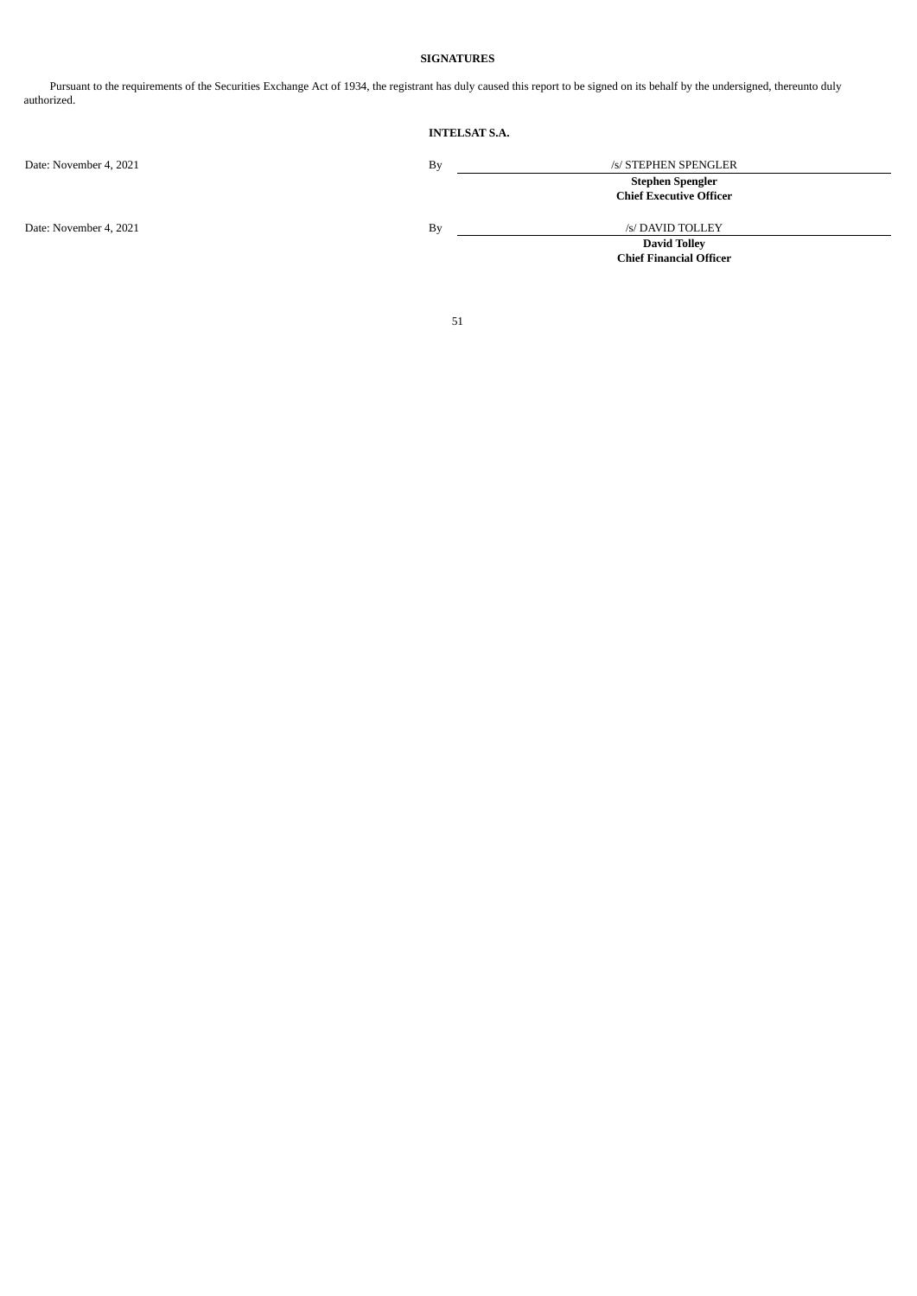# **SIGNATURES**

Pursuant to the requirements of the Securities Exchange Act of 1934, the registrant has duly caused this report to be signed on its behalf by the undersigned, thereunto duly authorized.

# **INTELSAT S.A.**

Date: November 4, 2021 By By /s/ STEPHEN SPENGLER **Stephen Spengler Chief Executive Officer** Date: November 4, 2021 By *S/ DAVID TOLLEY* 

**David Tolley Chief Financial Officer**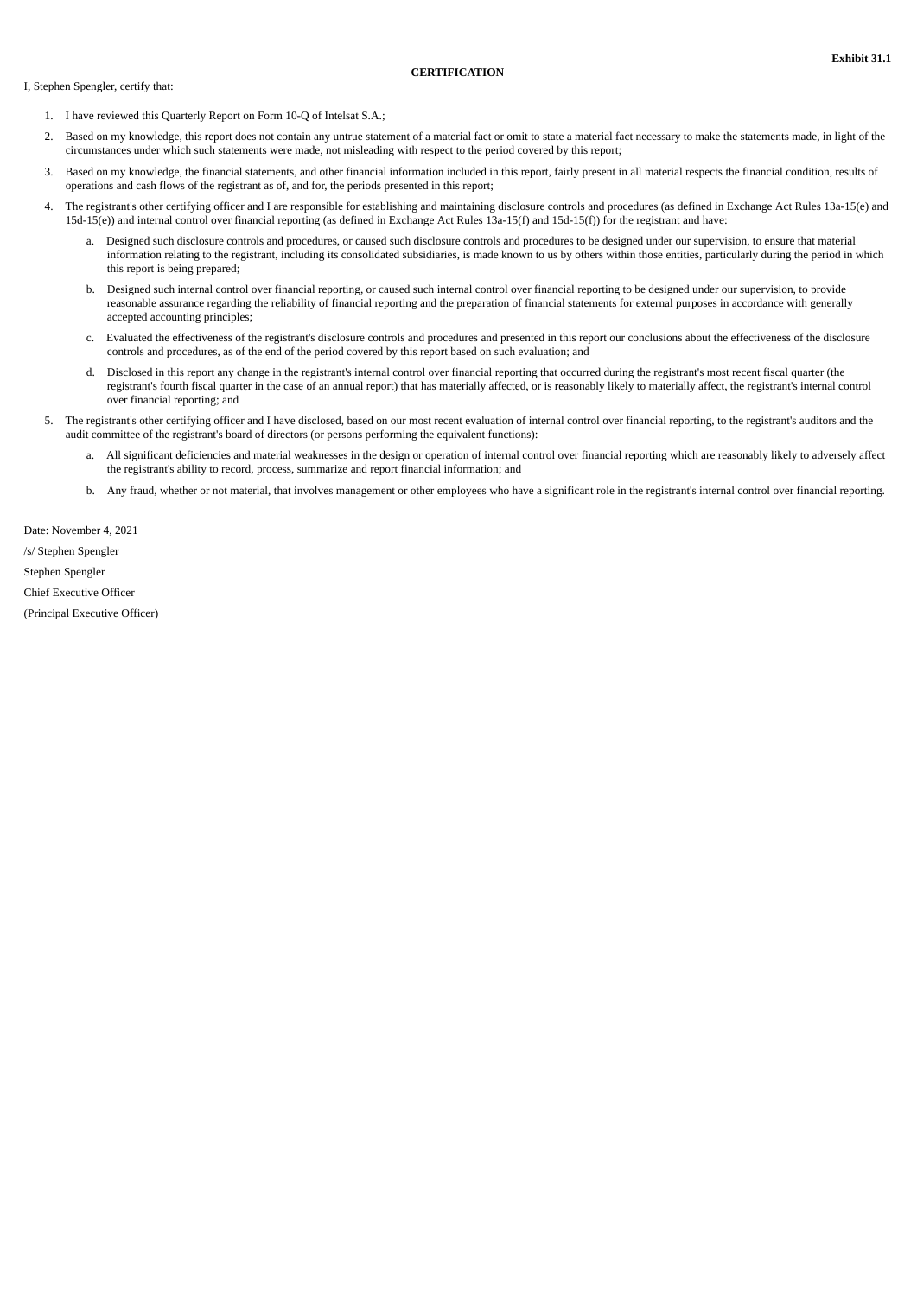### **CERTIFICATION**

<span id="page-51-0"></span>I, Stephen Spengler, certify that:

- 1. I have reviewed this Quarterly Report on Form 10-Q of Intelsat S.A.;
- 2. Based on my knowledge, this report does not contain any untrue statement of a material fact or omit to state a material fact necessary to make the statements made, in light of the circumstances under which such statements were made, not misleading with respect to the period covered by this report;
- 3. Based on my knowledge, the financial statements, and other financial information included in this report, fairly present in all material respects the financial condition, results of operations and cash flows of the registrant as of, and for, the periods presented in this report;
- 4. The registrant's other certifying officer and I are responsible for establishing and maintaining disclosure controls and procedures (as defined in Exchange Act Rules 13a-15(e) and 15d-15(e)) and internal control over financial reporting (as defined in Exchange Act Rules 13a-15(f) and 15d-15(f)) for the registrant and have:
	- Designed such disclosure controls and procedures, or caused such disclosure controls and procedures to be designed under our supervision, to ensure that material information relating to the registrant, including its consolidated subsidiaries, is made known to us by others within those entities, particularly during the period in which this report is being prepared;
	- b. Designed such internal control over financial reporting, or caused such internal control over financial reporting to be designed under our supervision, to provide reasonable assurance regarding the reliability of financial reporting and the preparation of financial statements for external purposes in accordance with generally accepted accounting principles;
	- c. Evaluated the effectiveness of the registrant's disclosure controls and procedures and presented in this report our conclusions about the effectiveness of the disclosure controls and procedures, as of the end of the period covered by this report based on such evaluation; and
	- d. Disclosed in this report any change in the registrant's internal control over financial reporting that occurred during the registrant's most recent fiscal quarter (the registrant's fourth fiscal quarter in the case of an annual report) that has materially affected, or is reasonably likely to materially affect, the registrant's internal control over financial reporting; and
- 5. The registrant's other certifying officer and I have disclosed, based on our most recent evaluation of internal control over financial reporting, to the registrant's auditors and the audit committee of the registrant's board of directors (or persons performing the equivalent functions):
	- All significant deficiencies and material weaknesses in the design or operation of internal control over financial reporting which are reasonably likely to adversely affect the registrant's ability to record, process, summarize and report financial information; and
	- b. Any fraud, whether or not material, that involves management or other employees who have a significant role in the registrant's internal control over financial reporting.

Date: November 4, 2021 /s/ Stephen Spengler Stephen Spengler Chief Executive Officer

(Principal Executive Officer)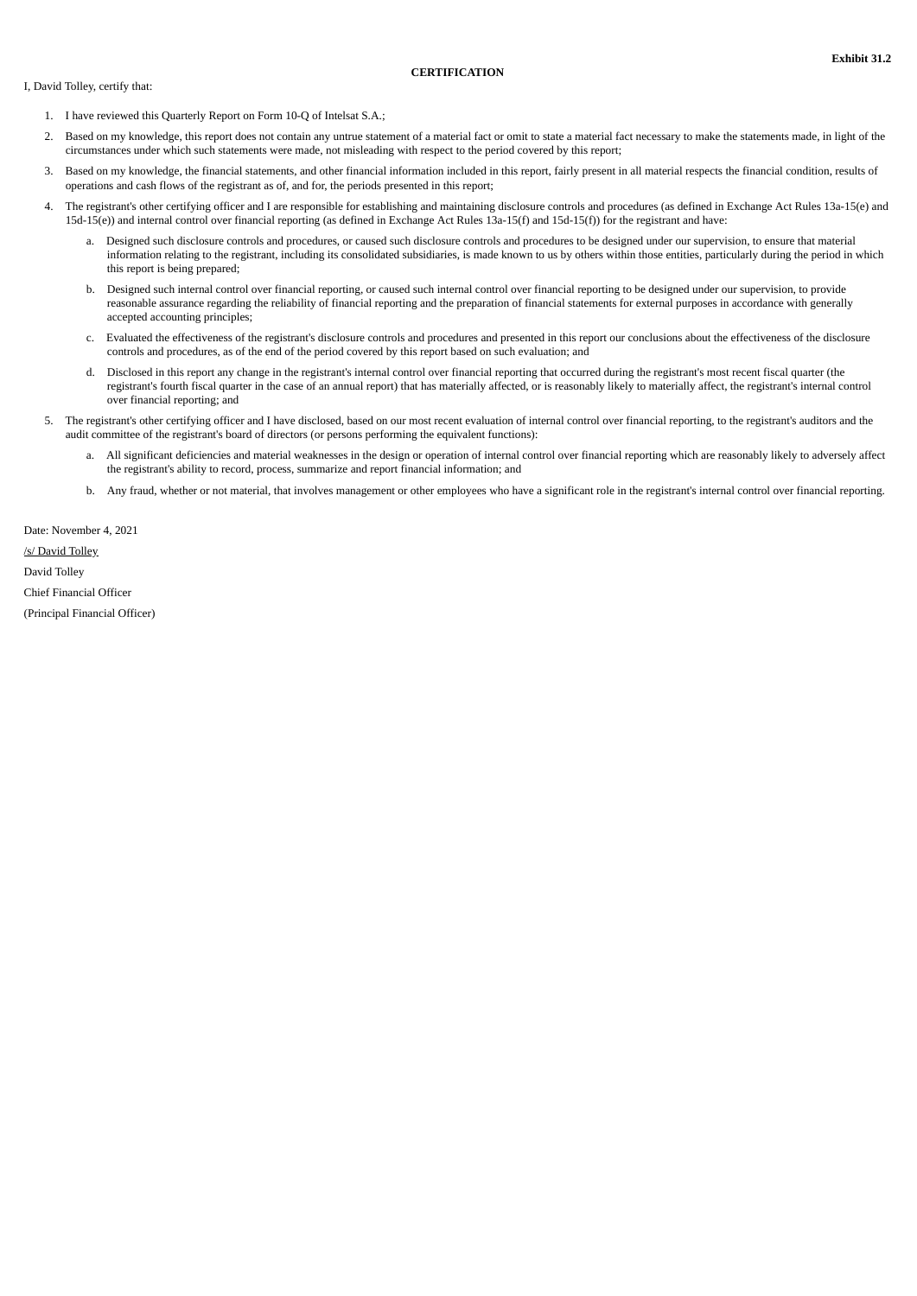### **CERTIFICATION**

- <span id="page-52-0"></span>1. I have reviewed this Quarterly Report on Form 10-Q of Intelsat S.A.;
- 2. Based on my knowledge, this report does not contain any untrue statement of a material fact or omit to state a material fact necessary to make the statements made, in light of the circumstances under which such statements were made, not misleading with respect to the period covered by this report;
- 3. Based on my knowledge, the financial statements, and other financial information included in this report, fairly present in all material respects the financial condition, results of operations and cash flows of the registrant as of, and for, the periods presented in this report;
- 4. The registrant's other certifying officer and I are responsible for establishing and maintaining disclosure controls and procedures (as defined in Exchange Act Rules 13a-15(e) and 15d-15(e)) and internal control over financial reporting (as defined in Exchange Act Rules 13a-15(f) and 15d-15(f)) for the registrant and have:
	- Designed such disclosure controls and procedures, or caused such disclosure controls and procedures to be designed under our supervision, to ensure that material information relating to the registrant, including its consolidated subsidiaries, is made known to us by others within those entities, particularly during the period in which this report is being prepared;
	- b. Designed such internal control over financial reporting, or caused such internal control over financial reporting to be designed under our supervision, to provide reasonable assurance regarding the reliability of financial reporting and the preparation of financial statements for external purposes in accordance with generally accepted accounting principles;
	- c. Evaluated the effectiveness of the registrant's disclosure controls and procedures and presented in this report our conclusions about the effectiveness of the disclosure controls and procedures, as of the end of the period covered by this report based on such evaluation; and
	- d. Disclosed in this report any change in the registrant's internal control over financial reporting that occurred during the registrant's most recent fiscal quarter (the registrant's fourth fiscal quarter in the case of an annual report) that has materially affected, or is reasonably likely to materially affect, the registrant's internal control over financial reporting; and
- 5. The registrant's other certifying officer and I have disclosed, based on our most recent evaluation of internal control over financial reporting, to the registrant's auditors and the audit committee of the registrant's board of directors (or persons performing the equivalent functions):
	- All significant deficiencies and material weaknesses in the design or operation of internal control over financial reporting which are reasonably likely to adversely affect the registrant's ability to record, process, summarize and report financial information; and
	- b. Any fraud, whether or not material, that involves management or other employees who have a significant role in the registrant's internal control over financial reporting.

Date: November 4, 2021 /s/ David Tolley David Tolley Chief Financial Officer (Principal Financial Officer)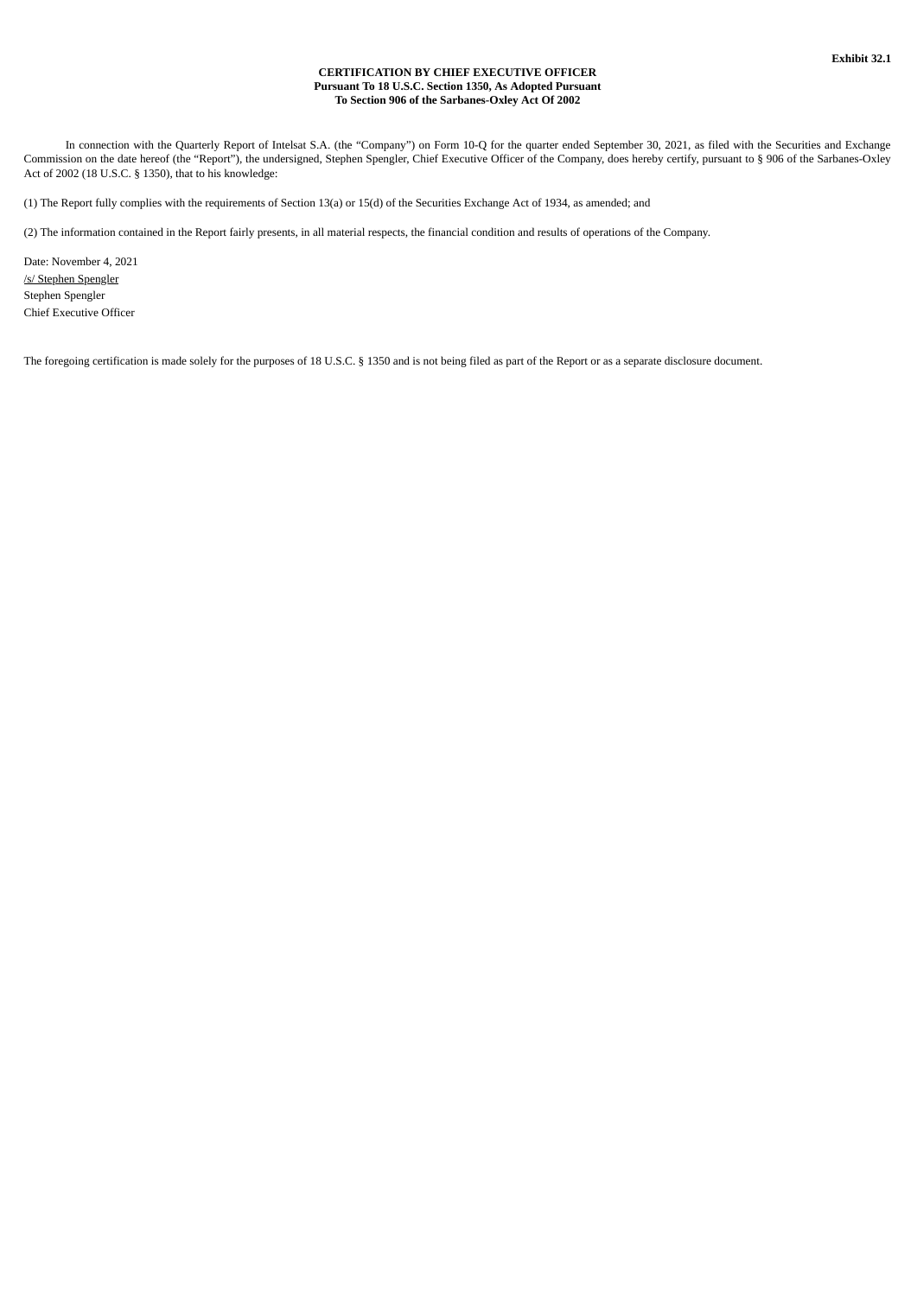## **CERTIFICATION BY CHIEF EXECUTIVE OFFICER Pursuant To 18 U.S.C. Section 1350, As Adopted Pursuant To Section 906 of the Sarbanes-Oxley Act Of 2002**

<span id="page-53-0"></span>In connection with the Quarterly Report of Intelsat S.A. (the "Company") on Form 10-Q for the quarter ended September 30, 2021, as filed with the Securities and Exchange Commission on the date hereof (the "Report"), the undersigned, Stephen Spengler, Chief Executive Officer of the Company, does hereby certify, pursuant to § 906 of the Sarbanes-Oxley Act of 2002 (18 U.S.C. § 1350), that to his knowledge:

(1) The Report fully complies with the requirements of Section 13(a) or 15(d) of the Securities Exchange Act of 1934, as amended; and

(2) The information contained in the Report fairly presents, in all material respects, the financial condition and results of operations of the Company.

Date: November 4, 2021 /s/ Stephen Spengler Stephen Spengler Chief Executive Officer

The foregoing certification is made solely for the purposes of 18 U.S.C. § 1350 and is not being filed as part of the Report or as a separate disclosure document.